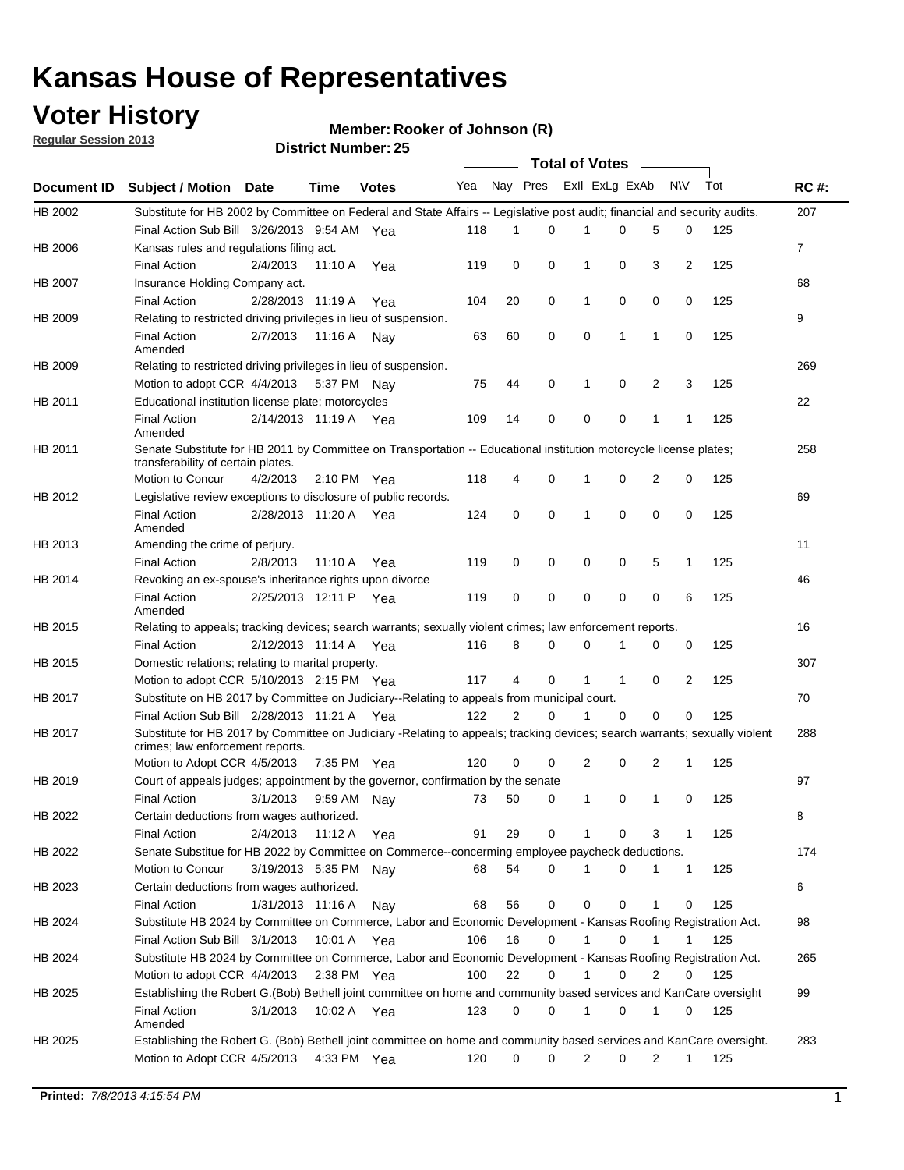## **Voter History**

**Member: Rooker of Johnson (R)** 

**Regular Session 2013**

|             |                                                                                                                                                                |                       |             |               |     |                |          | <b>Total of Votes</b> |          |             |                |     |             |
|-------------|----------------------------------------------------------------------------------------------------------------------------------------------------------------|-----------------------|-------------|---------------|-----|----------------|----------|-----------------------|----------|-------------|----------------|-----|-------------|
| Document ID | <b>Subject / Motion Date</b>                                                                                                                                   |                       | Time        | <b>Votes</b>  | Yea | Nay Pres       |          | Exll ExLg ExAb        |          |             | <b>NV</b>      | Tot | <b>RC#:</b> |
| HB 2002     | Substitute for HB 2002 by Committee on Federal and State Affairs -- Legislative post audit; financial and security audits.                                     |                       |             |               |     |                |          |                       |          |             |                |     | 207         |
|             | Final Action Sub Bill 3/26/2013 9:54 AM Yea                                                                                                                    |                       |             |               | 118 | 1              | 0        | 1                     | 0        | 5           | 0              | 125 |             |
| HB 2006     | Kansas rules and regulations filing act.                                                                                                                       |                       |             |               |     |                |          |                       |          |             |                |     | 7           |
|             | <b>Final Action</b>                                                                                                                                            | 2/4/2013              | 11:10 A     | Yea           | 119 | 0              | 0        | 1                     | 0        | 3           | 2              | 125 |             |
| HB 2007     | Insurance Holding Company act.                                                                                                                                 |                       |             |               |     |                |          |                       |          |             |                |     | 68          |
|             | <b>Final Action</b>                                                                                                                                            | 2/28/2013 11:19 A     |             | Yea           | 104 | 20             | 0        | 1                     | 0        | 0           | 0              | 125 |             |
| HB 2009     | Relating to restricted driving privileges in lieu of suspension.                                                                                               |                       |             |               |     |                |          |                       |          |             |                |     | 9           |
|             | <b>Final Action</b><br>Amended                                                                                                                                 | 2/7/2013              | 11:16 A     | Nav           | 63  | 60             | 0        | 0                     | 1        | 1           | 0              | 125 |             |
| HB 2009     | Relating to restricted driving privileges in lieu of suspension.                                                                                               |                       |             |               |     |                |          |                       |          |             |                |     | 269         |
|             | Motion to adopt CCR 4/4/2013                                                                                                                                   |                       | 5:37 PM Nav |               | 75  | 44             | 0        | 1                     | 0        | 2           | 3              | 125 |             |
| HB 2011     | Educational institution license plate; motorcycles                                                                                                             |                       |             |               |     |                |          |                       |          |             |                |     | 22          |
|             | <b>Final Action</b><br>Amended                                                                                                                                 | 2/14/2013 11:19 A Yea |             |               | 109 | 14             | 0        | 0                     | 0        | 1           | 1              | 125 |             |
| HB 2011     | Senate Substitute for HB 2011 by Committee on Transportation -- Educational institution motorcycle license plates;                                             |                       |             |               |     |                |          |                       |          |             |                |     | 258         |
|             | transferability of certain plates.                                                                                                                             |                       |             |               |     |                |          |                       |          |             |                |     |             |
|             | Motion to Concur                                                                                                                                               | 4/2/2013              |             | 2:10 PM Yea   | 118 | 4              | 0        | 1                     | 0        | 2           | 0              | 125 |             |
| HB 2012     | Legislative review exceptions to disclosure of public records.                                                                                                 |                       |             |               |     |                |          |                       |          |             |                |     | 69          |
|             | <b>Final Action</b><br>Amended                                                                                                                                 | 2/28/2013 11:20 A     |             | Yea           | 124 | 0              | 0        | 1                     | 0        | 0           | 0              | 125 |             |
| HB 2013     | Amending the crime of perjury.                                                                                                                                 |                       |             |               |     |                |          |                       |          |             |                |     | 11          |
|             | <b>Final Action</b>                                                                                                                                            | 2/8/2013              | 11:10 A     | Yea           | 119 | 0              | 0        | 0                     | 0        | 5           | 1              | 125 |             |
| HB 2014     | Revoking an ex-spouse's inheritance rights upon divorce                                                                                                        |                       |             |               |     |                |          |                       |          |             |                |     | 46          |
|             | <b>Final Action</b><br>Amended                                                                                                                                 | 2/25/2013 12:11 P     |             | Yea           | 119 | 0              | 0        | 0                     | 0        | $\mathbf 0$ | 6              | 125 |             |
| HB 2015     | Relating to appeals; tracking devices; search warrants; sexually violent crimes; law enforcement reports.                                                      |                       |             |               |     |                |          |                       |          |             |                |     | 16          |
|             | <b>Final Action</b>                                                                                                                                            | 2/12/2013 11:14 A Yea |             |               | 116 | 8              | 0        | 0                     |          | 0           | 0              | 125 |             |
| HB 2015     | Domestic relations; relating to marital property.                                                                                                              |                       |             |               |     |                |          |                       |          |             |                |     | 307         |
|             | Motion to adopt CCR 5/10/2013 2:15 PM Yea                                                                                                                      |                       |             |               | 117 | 4              | $\Omega$ | 1                     | 1        | 0           | $\overline{2}$ | 125 |             |
| HB 2017     | Substitute on HB 2017 by Committee on Judiciary--Relating to appeals from municipal court.                                                                     |                       |             |               |     |                |          |                       |          |             |                |     | 70          |
|             | Final Action Sub Bill 2/28/2013 11:21 A Yea                                                                                                                    |                       |             |               | 122 | $\overline{2}$ | $\Omega$ | 1                     | $\Omega$ | 0           | 0              | 125 |             |
| HB 2017     | Substitute for HB 2017 by Committee on Judiciary -Relating to appeals; tracking devices; search warrants; sexually violent<br>crimes; law enforcement reports. |                       |             |               |     |                |          |                       |          |             |                |     | 288         |
|             | Motion to Adopt CCR 4/5/2013                                                                                                                                   |                       |             | 7:35 PM Yea   | 120 | 0              | 0        | 2                     | 0        | 2           | 1              | 125 |             |
| HB 2019     | Court of appeals judges; appointment by the governor, confirmation by the senate                                                                               |                       |             |               |     |                |          |                       |          |             |                |     | 97          |
|             | <b>Final Action</b>                                                                                                                                            | 3/1/2013              | 9:59 AM     | Nav           | 73  | 50             | 0        | 1                     | 0        | 1           | 0              | 125 |             |
| HB 2022     | Certain deductions from wages authorized.                                                                                                                      |                       |             |               |     |                |          |                       |          |             |                |     | В           |
|             | <b>Final Action</b>                                                                                                                                            | 2/4/2013              |             | 11:12 A Yea   | 91  | 29             | 0        | 1                     | 0        | 3           | 1              | 125 |             |
| HB 2022     | Senate Substitue for HB 2022 by Committee on Commerce--concerming employee paycheck deductions.                                                                |                       |             |               |     |                |          |                       |          |             |                |     | 174         |
|             | Motion to Concur                                                                                                                                               | 3/19/2013 5:35 PM Nay |             |               | 68  | 54             | 0        | 1                     | 0        | 1           | $\mathbf{1}$   | 125 |             |
| HB 2023     | Certain deductions from wages authorized.                                                                                                                      |                       |             |               |     |                |          |                       |          |             |                |     | 6           |
|             | <b>Final Action</b>                                                                                                                                            | 1/31/2013 11:16 A     |             | Nav           | 68  | 56             | 0        | 0                     | 0        | 1           | 0              | 125 |             |
| HB 2024     | Substitute HB 2024 by Committee on Commerce, Labor and Economic Development - Kansas Roofing Registration Act.                                                 |                       |             |               |     |                |          |                       |          |             |                |     | 98          |
|             | Final Action Sub Bill 3/1/2013                                                                                                                                 |                       |             | 10:01 A Yea   | 106 | 16             | 0        | 1                     | 0        |             |                | 125 |             |
| HB 2024     | Substitute HB 2024 by Committee on Commerce, Labor and Economic Development - Kansas Roofing Registration Act.                                                 |                       |             |               |     |                |          |                       |          |             |                |     | 265         |
|             | Motion to adopt CCR 4/4/2013                                                                                                                                   |                       |             | $2:38$ PM Yea | 100 | 22             | 0        |                       | 0        | 2           | 0              | 125 |             |
| HB 2025     | Establishing the Robert G.(Bob) Bethell joint committee on home and community based services and KanCare oversight                                             |                       |             |               |     |                |          |                       |          |             |                |     | 99          |
|             | <b>Final Action</b><br>Amended                                                                                                                                 | 3/1/2013              |             | 10:02 A Yea   | 123 | 0              | 0        | 1                     | 0        | 1           | 0              | 125 |             |
| HB 2025     | Establishing the Robert G. (Bob) Bethell joint committee on home and community based services and KanCare oversight.                                           |                       |             |               |     |                |          |                       |          |             |                |     | 283         |
|             | Motion to Adopt CCR 4/5/2013                                                                                                                                   |                       |             | 4:33 PM Yea   | 120 | 0              | 0        | 2                     | 0        | 2           | $\mathbf{1}$   | 125 |             |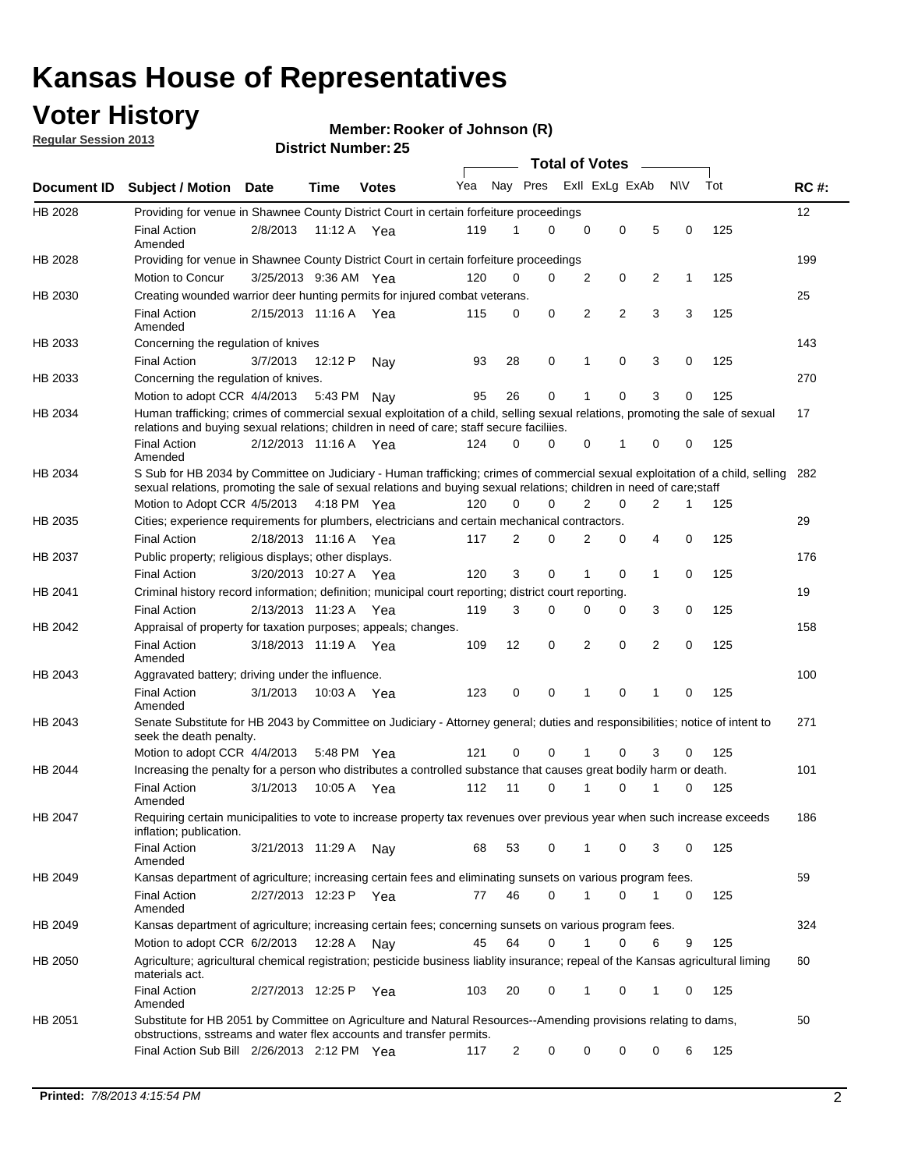## **Voter History**

**Member: Rooker of Johnson (R)** 

**Regular Session 2013**

|             |                                                                                                                                                                                                                                                       |                       |         |              |     |                | <b>Total of Votes</b> |             |                |                |           |     |             |
|-------------|-------------------------------------------------------------------------------------------------------------------------------------------------------------------------------------------------------------------------------------------------------|-----------------------|---------|--------------|-----|----------------|-----------------------|-------------|----------------|----------------|-----------|-----|-------------|
| Document ID | <b>Subject / Motion Date</b>                                                                                                                                                                                                                          |                       | Time    | <b>Votes</b> | Yea | Nay Pres       |                       |             | Exll ExLg ExAb |                | <b>NV</b> | Tot | <b>RC#:</b> |
| HB 2028     | Providing for venue in Shawnee County District Court in certain forfeiture proceedings                                                                                                                                                                |                       |         |              |     |                |                       |             |                |                |           |     | 12          |
|             | <b>Final Action</b><br>Amended                                                                                                                                                                                                                        | 2/8/2013              |         | 11:12 A Yea  | 119 | 1              | $\Omega$              | $\mathbf 0$ | 0              | 5              | 0         | 125 |             |
| HB 2028     | Providing for venue in Shawnee County District Court in certain forfeiture proceedings                                                                                                                                                                |                       |         |              |     |                |                       |             |                |                |           |     | 199         |
|             | Motion to Concur                                                                                                                                                                                                                                      | 3/25/2013 9:36 AM Yea |         |              | 120 | 0              | 0                     | 2           | 0              | 2              | 1         | 125 |             |
| HB 2030     | Creating wounded warrior deer hunting permits for injured combat veterans.                                                                                                                                                                            |                       |         |              |     |                |                       |             |                |                |           |     | 25          |
|             | <b>Final Action</b><br>Amended                                                                                                                                                                                                                        | 2/15/2013 11:16 A     |         | Yea          | 115 | 0              | 0                     | 2           | $\overline{2}$ | 3              | 3         | 125 |             |
| HB 2033     | Concerning the regulation of knives                                                                                                                                                                                                                   |                       |         |              |     |                |                       |             |                |                |           |     | 143         |
|             | <b>Final Action</b>                                                                                                                                                                                                                                   | 3/7/2013              | 12:12 P | Nav          | 93  | 28             | 0                     | 1           | 0              | 3              | 0         | 125 |             |
| HB 2033     | Concerning the regulation of knives.                                                                                                                                                                                                                  |                       |         |              |     |                |                       |             |                |                |           |     | 270         |
|             | Motion to adopt CCR 4/4/2013                                                                                                                                                                                                                          |                       | 5:43 PM | Nav          | 95  | 26             | 0                     |             | 0              | 3              | 0         | 125 |             |
| HB 2034     | Human trafficking; crimes of commercial sexual exploitation of a child, selling sexual relations, promoting the sale of sexual<br>relations and buying sexual relations; children in need of care; staff secure faciliies.                            |                       |         |              |     |                |                       |             |                |                |           |     | 17          |
|             | <b>Final Action</b><br>Amended                                                                                                                                                                                                                        | 2/12/2013 11:16 A Yea |         |              | 124 | $\Omega$       | 0                     | 0           | 1              | 0              | 0         | 125 |             |
| HB 2034     | S Sub for HB 2034 by Committee on Judiciary - Human trafficking; crimes of commercial sexual exploitation of a child, selling<br>sexual relations, promoting the sale of sexual relations and buying sexual relations; children in need of care;staff |                       |         |              |     |                |                       |             |                |                |           |     | 282         |
|             | Motion to Adopt CCR 4/5/2013 4:18 PM Yea                                                                                                                                                                                                              |                       |         |              | 120 | 0              | 0                     | 2           | 0              | $\overline{2}$ | 1         | 125 |             |
| HB 2035     | Cities; experience requirements for plumbers, electricians and certain mechanical contractors.                                                                                                                                                        |                       |         |              |     |                |                       |             |                |                |           |     | 29          |
|             | <b>Final Action</b>                                                                                                                                                                                                                                   | 2/18/2013 11:16 A     |         | Yea          | 117 | 2              | 0                     | 2           | 0              | 4              | 0         | 125 |             |
| HB 2037     | Public property; religious displays; other displays.                                                                                                                                                                                                  |                       |         |              |     |                |                       |             |                |                |           |     | 176         |
|             | <b>Final Action</b>                                                                                                                                                                                                                                   | 3/20/2013 10:27 A     |         | Yea          | 120 | 3              | 0                     | 1           | 0              | 1              | 0         | 125 |             |
| HB 2041     | Criminal history record information; definition; municipal court reporting; district court reporting.                                                                                                                                                 |                       |         |              |     |                |                       |             |                |                |           |     | 19          |
|             | <b>Final Action</b>                                                                                                                                                                                                                                   | 2/13/2013 11:23 A     |         | Yea          | 119 | 3              | 0                     | 0           | 0              | 3              | 0         | 125 |             |
| HB 2042     | Appraisal of property for taxation purposes; appeals; changes.                                                                                                                                                                                        |                       |         |              |     |                |                       |             |                |                |           |     | 158         |
|             | <b>Final Action</b><br>Amended                                                                                                                                                                                                                        | 3/18/2013 11:19 A     |         | Yea          | 109 | 12             | 0                     | 2           | 0              | 2              | 0         | 125 |             |
| HB 2043     | Aggravated battery; driving under the influence.                                                                                                                                                                                                      |                       |         |              |     |                |                       |             |                |                |           |     | 100         |
|             | <b>Final Action</b><br>Amended                                                                                                                                                                                                                        | 3/1/2013              |         | 10:03 A Yea  | 123 | 0              | 0                     |             | 0              | 1              | 0         | 125 |             |
| HB 2043     | Senate Substitute for HB 2043 by Committee on Judiciary - Attorney general; duties and responsibilities; notice of intent to<br>seek the death penalty.                                                                                               |                       |         |              |     |                |                       |             |                |                |           |     | 271         |
|             | Motion to adopt CCR 4/4/2013                                                                                                                                                                                                                          |                       |         | 5:48 PM Yea  | 121 | 0              | 0                     |             | 0              | 3              | 0         | 125 |             |
| HB 2044     | Increasing the penalty for a person who distributes a controlled substance that causes great bodily harm or death.                                                                                                                                    |                       |         |              |     |                |                       |             |                |                |           |     | 101         |
|             | <b>Final Action</b><br>Amended                                                                                                                                                                                                                        | 3/1/2013              | 10:05 A | Yea          | 112 | 11             | 0                     |             | 0              |                | 0         | 125 |             |
| HB 2047     | Requiring certain municipalities to vote to increase property tax revenues over previous year when such increase exceeds<br>inflation; publication.                                                                                                   |                       |         |              |     |                |                       |             |                |                |           |     | 186         |
|             | <b>Final Action</b><br>Amended                                                                                                                                                                                                                        | 3/21/2013 11:29 A     |         | Nay          | 68  | 53             | 0                     |             | 0              | 3              | 0         | 125 |             |
| HB 2049     | Kansas department of agriculture; increasing certain fees and eliminating sunsets on various program fees.                                                                                                                                            |                       |         |              |     |                |                       |             |                |                |           |     | 59          |
|             | <b>Final Action</b><br>Amended                                                                                                                                                                                                                        | 2/27/2013 12:23 P     |         | Yea          | 77  | 46             | 0                     | 1           | 0              | 1              | 0         | 125 |             |
| HB 2049     | Kansas department of agriculture; increasing certain fees; concerning sunsets on various program fees.                                                                                                                                                |                       |         |              |     |                |                       |             |                |                |           |     | 324         |
|             | Motion to adopt CCR 6/2/2013                                                                                                                                                                                                                          |                       | 12:28 A | Nay          | 45  | 64             | 0                     |             | 0              | 6              | 9         | 125 |             |
| HB 2050     | Agriculture; agricultural chemical registration; pesticide business liablity insurance; repeal of the Kansas agricultural liming<br>materials act.                                                                                                    |                       |         |              |     |                |                       |             |                |                |           |     | 60          |
|             | <b>Final Action</b><br>Amended                                                                                                                                                                                                                        | 2/27/2013 12:25 P     |         | Yea          | 103 | 20             | 0                     | 1           | 0              | 1              | 0         | 125 |             |
| HB 2051     | Substitute for HB 2051 by Committee on Agriculture and Natural Resources--Amending provisions relating to dams,<br>obstructions, sstreams and water flex accounts and transfer permits.                                                               |                       |         |              |     |                |                       |             |                |                |           |     | 50          |
|             | Final Action Sub Bill 2/26/2013 2:12 PM Yea                                                                                                                                                                                                           |                       |         |              | 117 | $\overline{c}$ | 0                     | 0           | 0              | 0              | 6         | 125 |             |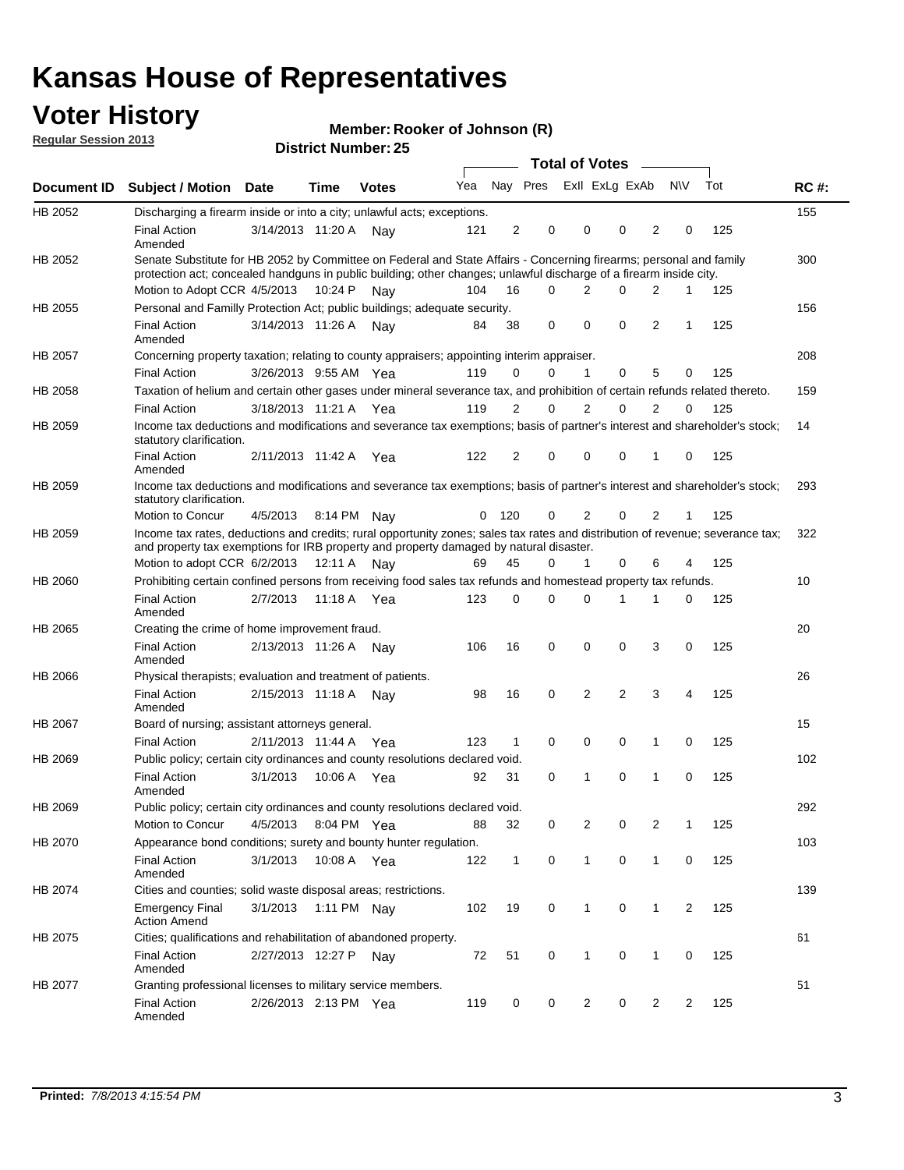## **Voter History**

**Member: Rooker of Johnson (R)** 

**Regular Session 2013**

|             |                                                                                                                                                                                                                                          |                       |             | וסוטו וענווווטקו. בט |     |              |             | <b>Total of Votes</b> |                | $\overline{\phantom{0}}$ |                |                |     |             |
|-------------|------------------------------------------------------------------------------------------------------------------------------------------------------------------------------------------------------------------------------------------|-----------------------|-------------|----------------------|-----|--------------|-------------|-----------------------|----------------|--------------------------|----------------|----------------|-----|-------------|
| Document ID | <b>Subject / Motion Date</b>                                                                                                                                                                                                             |                       | <b>Time</b> | <b>Votes</b>         | Yea |              | Nay Pres    |                       | Exll ExLg ExAb |                          |                | <b>NV</b>      | Tot | <b>RC#:</b> |
| HB 2052     | Discharging a firearm inside or into a city; unlawful acts; exceptions.                                                                                                                                                                  |                       |             |                      |     |              |             |                       |                |                          |                |                |     | 155         |
|             | <b>Final Action</b><br>Amended                                                                                                                                                                                                           | 3/14/2013 11:20 A Nav |             |                      | 121 | 2            | 0           |                       | 0              | 0                        | 2              | 0              | 125 |             |
| HB 2052     | Senate Substitute for HB 2052 by Committee on Federal and State Affairs - Concerning firearms; personal and family<br>protection act; concealed handguns in public building; other changes; unlawful discharge of a firearm inside city. |                       |             |                      |     |              |             |                       |                |                          |                |                |     | 300         |
|             | Motion to Adopt CCR 4/5/2013 10:24 P                                                                                                                                                                                                     |                       |             | Nav                  | 104 | 16           | $\Omega$    |                       | 2              | 0                        | 2              | 1              | 125 |             |
| HB 2055     | Personal and Familly Protection Act; public buildings; adequate security.                                                                                                                                                                |                       |             |                      |     |              |             |                       |                |                          |                |                |     | 156         |
|             | <b>Final Action</b><br>Amended                                                                                                                                                                                                           | 3/14/2013 11:26 A     |             | Nav                  | 84  | 38           | 0           |                       | 0              | 0                        | 2              | 1              | 125 |             |
| HB 2057     | Concerning property taxation; relating to county appraisers; appointing interim appraiser.                                                                                                                                               |                       |             |                      |     |              |             |                       |                |                          |                |                |     | 208         |
|             | <b>Final Action</b>                                                                                                                                                                                                                      | 3/26/2013 9:55 AM Yea |             |                      | 119 | 0            | 0           |                       | $\mathbf{1}$   | 0                        | 5              | 0              | 125 |             |
| HB 2058     | Taxation of helium and certain other gases under mineral severance tax, and prohibition of certain refunds related thereto.                                                                                                              |                       |             |                      |     |              |             |                       |                |                          |                |                |     | 159         |
|             | <b>Final Action</b>                                                                                                                                                                                                                      | 3/18/2013 11:21 A Yea |             |                      | 119 | 2            | 0           |                       | $\overline{2}$ | $\Omega$                 | 2              | $\Omega$       | 125 |             |
| HB 2059     | Income tax deductions and modifications and severance tax exemptions; basis of partner's interest and shareholder's stock;<br>statutory clarification.                                                                                   |                       |             |                      |     |              |             |                       |                |                          |                |                |     | 14          |
|             | <b>Final Action</b><br>Amended                                                                                                                                                                                                           | 2/11/2013 11:42 A     |             | Yea                  | 122 | 2            | 0           |                       | 0              | 0                        | 1              | 0              | 125 |             |
| HB 2059     | Income tax deductions and modifications and severance tax exemptions; basis of partner's interest and shareholder's stock;<br>statutory clarification.                                                                                   |                       |             |                      |     |              |             |                       |                |                          |                |                |     | 293         |
|             | Motion to Concur                                                                                                                                                                                                                         | 4/5/2013              | 8:14 PM     | Nav                  | 0   | - 120        | 0           |                       | 2              | 0                        | $\overline{2}$ | 1              | 125 |             |
| HB 2059     | Income tax rates, deductions and credits; rural opportunity zones; sales tax rates and distribution of revenue; severance tax;<br>and property tax exemptions for IRB property and property damaged by natural disaster.                 |                       |             |                      |     |              |             |                       |                |                          |                |                |     | 322         |
|             | Motion to adopt CCR 6/2/2013                                                                                                                                                                                                             |                       | 12:11 A     | Nav                  | 69  | 45           | 0           |                       | $\mathbf{1}$   | 0                        | 6              | 4              | 125 |             |
| HB 2060     | Prohibiting certain confined persons from receiving food sales tax refunds and homestead property tax refunds.                                                                                                                           |                       |             |                      |     |              |             |                       |                |                          |                |                |     | 10          |
|             | <b>Final Action</b><br>Amended                                                                                                                                                                                                           | 2/7/2013              | 11:18 A     | Yea                  | 123 | 0            | 0           |                       | $\Omega$       | 1                        | 1              | 0              | 125 |             |
| HB 2065     | Creating the crime of home improvement fraud.                                                                                                                                                                                            |                       |             |                      |     |              |             |                       |                |                          |                |                |     | 20          |
|             | <b>Final Action</b><br>Amended                                                                                                                                                                                                           | 2/13/2013 11:26 A Nav |             |                      | 106 | 16           | 0           |                       | $\mathbf 0$    | 0                        | 3              | 0              | 125 |             |
| HB 2066     | Physical therapists; evaluation and treatment of patients.                                                                                                                                                                               |                       |             |                      |     |              |             |                       |                |                          |                |                |     | 26          |
|             | <b>Final Action</b><br>Amended                                                                                                                                                                                                           | 2/15/2013 11:18 A     |             | Nav                  | 98  | 16           | $\mathbf 0$ |                       | 2              | $\overline{2}$           | 3              | 4              | 125 |             |
| HB 2067     | Board of nursing; assistant attorneys general.                                                                                                                                                                                           |                       |             |                      |     |              |             |                       |                |                          |                |                |     | 15          |
|             | <b>Final Action</b>                                                                                                                                                                                                                      | 2/11/2013 11:44 A Yea |             |                      | 123 | 1            | 0           |                       | 0              | 0                        | 1              | 0              | 125 |             |
| HB 2069     | Public policy; certain city ordinances and county resolutions declared void.                                                                                                                                                             |                       |             |                      |     |              |             |                       |                |                          |                |                |     | 102         |
|             | <b>Final Action</b><br>Amended                                                                                                                                                                                                           | 3/1/2013              | 10:06 A     | Yea                  | 92  | 31           | $\Omega$    |                       | 1              | $\Omega$                 | 1              | $\mathbf 0$    | 125 |             |
| HB 2069     | Public policy; certain city ordinances and county resolutions declared void.                                                                                                                                                             |                       |             |                      |     |              |             |                       |                |                          |                |                |     | 292         |
|             | <b>Motion to Concur</b>                                                                                                                                                                                                                  | 4/5/2013              |             | 8:04 PM Yea          | 88  | 32           | 0           |                       | 2              | 0                        | $\overline{2}$ | 1              | 125 |             |
| HB 2070     | Appearance bond conditions; surety and bounty hunter regulation.                                                                                                                                                                         |                       |             |                      |     |              |             |                       |                |                          |                |                |     | 103         |
|             | <b>Final Action</b><br>Amended                                                                                                                                                                                                           | 3/1/2013              |             | 10:08 A Yea          | 122 | $\mathbf{1}$ | 0           |                       | $\mathbf{1}$   | 0                        | 1              | 0              | 125 |             |
| HB 2074     | Cities and counties; solid waste disposal areas; restrictions.                                                                                                                                                                           |                       |             |                      |     |              |             |                       |                |                          |                |                |     | 139         |
|             | <b>Emergency Final</b><br><b>Action Amend</b>                                                                                                                                                                                            | 3/1/2013              |             | 1:11 PM Nay          | 102 | 19           | 0           |                       | 1              | 0                        | 1              | $\overline{2}$ | 125 |             |
| HB 2075     | Cities; qualifications and rehabilitation of abandoned property.                                                                                                                                                                         |                       |             |                      |     |              |             |                       |                |                          |                |                |     | 61          |
|             | <b>Final Action</b><br>Amended                                                                                                                                                                                                           | 2/27/2013 12:27 P     |             | Nav                  | 72  | 51           | 0           |                       | 1              | 0                        | 1              | 0              | 125 |             |
| HB 2077     | Granting professional licenses to military service members.<br><b>Final Action</b><br>Amended                                                                                                                                            | 2/26/2013 2:13 PM Yea |             |                      | 119 | 0            | 0           |                       | $\overline{2}$ | 0                        | $\overline{2}$ | 2              | 125 | 51          |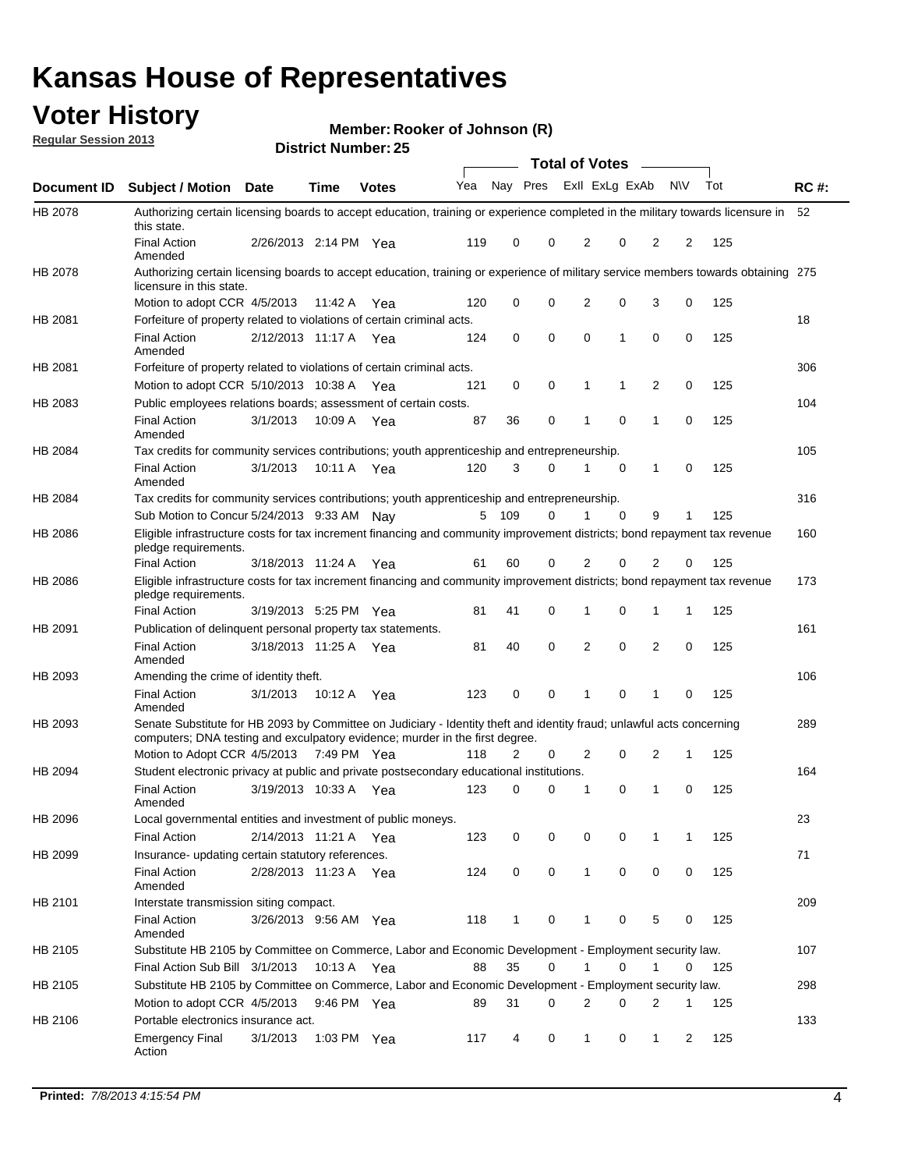## **Voter History**

**Member: Rooker of Johnson (R)** 

**Regular Session 2013**

| Exll ExLg ExAb<br>Nay Pres<br><b>NV</b><br>Tot<br>Yea<br><b>Document ID</b><br><b>Subject / Motion Date</b><br><b>Time</b><br><b>Votes</b><br>HB 2078<br>Authorizing certain licensing boards to accept education, training or experience completed in the military towards licensure in<br>this state.<br><b>Final Action</b><br>2/26/2013 2:14 PM Yea<br>119<br>0<br>0<br>2<br>0<br>$\overline{2}$<br>2<br>125<br>Amended<br>HB 2078<br>Authorizing certain licensing boards to accept education, training or experience of military service members towards obtaining 275<br>licensure in this state.<br>0<br>$\mathbf 0$<br>$\overline{2}$<br>0<br>3<br>0<br>125<br>120<br>Motion to adopt CCR 4/5/2013<br>11:42 A<br>Yea<br>HB 2081<br>Forfeiture of property related to violations of certain criminal acts.<br><b>Final Action</b><br>0<br>0<br>$\Omega$<br>1<br>0<br>0<br>125<br>2/12/2013 11:17 A Yea<br>124<br>Amended<br>HB 2081<br>Forfeiture of property related to violations of certain criminal acts.<br>0<br>0<br>2<br>0<br>125<br>Motion to adopt CCR 5/10/2013 10:38 A<br>121<br>1<br>1<br>Yea<br>Public employees relations boards; assessment of certain costs.<br>HB 2083<br>0<br>0<br><b>Final Action</b><br>0<br>1<br>125<br>3/1/2013<br>10:09 A<br>87<br>36<br>1<br>Yea<br>Amended<br>HB 2084<br>Tax credits for community services contributions; youth apprenticeship and entrepreneurship.<br><b>Final Action</b><br>3/1/2013<br>3<br>$\mathbf 0$<br>$\mathbf{1}$<br>125<br>10:11 A<br>120<br>0<br>0<br>Yea<br>Amended<br>HB 2084<br>Tax credits for community services contributions; youth apprenticeship and entrepreneurship.<br>Sub Motion to Concur 5/24/2013 9:33 AM Nay<br>5<br>- 109<br>0<br>0<br>9<br>125<br>1<br>1<br>Eligible infrastructure costs for tax increment financing and community improvement districts; bond repayment tax revenue<br>HB 2086<br>pledge requirements.<br>2<br>125<br>3/18/2013 11:24 A<br>61<br>60<br>0<br>2<br>0<br>0<br><b>Final Action</b><br>Yea<br>HB 2086<br>Eligible infrastructure costs for tax increment financing and community improvement districts; bond repayment tax revenue<br>pledge requirements.<br>0<br><b>Final Action</b><br>3/19/2013 5:25 PM<br>81<br>41<br>1<br>0<br>1<br>1<br>125<br>Yea<br>HB 2091<br>Publication of delinquent personal property tax statements.<br>0<br>$\overline{2}$<br><b>Final Action</b><br>3/18/2013 11:25 A<br>40<br>0<br>2<br>0<br>125<br>Yea<br>81<br>Amended<br>HB 2093<br>Amending the crime of identity theft.<br><b>Final Action</b><br>3/1/2013<br>123<br>0<br>$\Omega$<br>0<br>125<br>10:12 A<br>Yea<br>1<br>1<br>0<br>Amended<br>Senate Substitute for HB 2093 by Committee on Judiciary - Identity theft and identity fraud; unlawful acts concerning<br>HB 2093<br>computers; DNA testing and exculpatory evidence; murder in the first degree.<br>Motion to Adopt CCR 4/5/2013 7:49 PM Yea<br>2<br>2<br>2<br>125<br>118<br>0<br>0<br>1<br>HB 2094<br>Student electronic privacy at public and private postsecondary educational institutions.<br>0<br><b>Final Action</b><br>3/19/2013 10:33 A<br>123<br>0<br>0<br>125<br>1<br>0<br>Yea<br>1<br>Amended<br>HB 2096<br>Local governmental entities and investment of public moneys.<br>2/14/2013 11:21 A<br><b>Final Action</b><br>123<br>0<br>0<br>0<br>0<br>125<br>Yea<br>1<br>1<br>HB 2099<br>Insurance- updating certain statutory references.<br>0<br>0<br>0<br>0<br>0<br>125<br>124<br><b>Final Action</b><br>2/28/2013 11:23 A<br>1<br>Yea<br>Amended<br>HB 2101<br>Interstate transmission siting compact.<br>5<br>125<br><b>Final Action</b><br>3/26/2013 9:56 AM Yea<br>118<br>$\mathbf{1}$<br>0<br>1<br>0<br>0<br>Amended<br>HB 2105<br>Substitute HB 2105 by Committee on Commerce, Labor and Economic Development - Employment security law.<br>Final Action Sub Bill 3/1/2013<br>10:13 A Yea<br>35<br>0<br>0<br>88<br>1<br>0<br>125<br>Substitute HB 2105 by Committee on Commerce, Labor and Economic Development - Employment security law.<br>HB 2105<br>Motion to adopt CCR 4/5/2013<br>31<br>9:46 PM Yea<br>89<br>0<br>2<br>0<br>2<br>125<br>1<br>Portable electronics insurance act.<br>HB 2106 |  |          | וסוטו וענווווטקו. בט |  | <b>Total of Votes</b> | $\sim$ |     |             |
|---------------------------------------------------------------------------------------------------------------------------------------------------------------------------------------------------------------------------------------------------------------------------------------------------------------------------------------------------------------------------------------------------------------------------------------------------------------------------------------------------------------------------------------------------------------------------------------------------------------------------------------------------------------------------------------------------------------------------------------------------------------------------------------------------------------------------------------------------------------------------------------------------------------------------------------------------------------------------------------------------------------------------------------------------------------------------------------------------------------------------------------------------------------------------------------------------------------------------------------------------------------------------------------------------------------------------------------------------------------------------------------------------------------------------------------------------------------------------------------------------------------------------------------------------------------------------------------------------------------------------------------------------------------------------------------------------------------------------------------------------------------------------------------------------------------------------------------------------------------------------------------------------------------------------------------------------------------------------------------------------------------------------------------------------------------------------------------------------------------------------------------------------------------------------------------------------------------------------------------------------------------------------------------------------------------------------------------------------------------------------------------------------------------------------------------------------------------------------------------------------------------------------------------------------------------------------------------------------------------------------------------------------------------------------------------------------------------------------------------------------------------------------------------------------------------------------------------------------------------------------------------------------------------------------------------------------------------------------------------------------------------------------------------------------------------------------------------------------------------------------------------------------------------------------------------------------------------------------------------------------------------------------------------------------------------------------------------------------------------------------------------------------------------------------------------------------------------------------------------------------------------------------------------------------------------------------------------------------------------------------------------------------------------------------------------------------------------------------------------------------------------------------------------------------------------------------------------------------------------------------------------------------------------------------------------------------------------------------------------------------------------------------------------------------------------------------------------------------------------------------------------------------------------------------------------------------------|--|----------|----------------------|--|-----------------------|--------|-----|-------------|
|                                                                                                                                                                                                                                                                                                                                                                                                                                                                                                                                                                                                                                                                                                                                                                                                                                                                                                                                                                                                                                                                                                                                                                                                                                                                                                                                                                                                                                                                                                                                                                                                                                                                                                                                                                                                                                                                                                                                                                                                                                                                                                                                                                                                                                                                                                                                                                                                                                                                                                                                                                                                                                                                                                                                                                                                                                                                                                                                                                                                                                                                                                                                                                                                                                                                                                                                                                                                                                                                                                                                                                                                                                                                                                                                                                                                                                                                                                                                                                                                                                                                                                                                                                                                         |  |          |                      |  |                       |        |     | <b>RC#:</b> |
|                                                                                                                                                                                                                                                                                                                                                                                                                                                                                                                                                                                                                                                                                                                                                                                                                                                                                                                                                                                                                                                                                                                                                                                                                                                                                                                                                                                                                                                                                                                                                                                                                                                                                                                                                                                                                                                                                                                                                                                                                                                                                                                                                                                                                                                                                                                                                                                                                                                                                                                                                                                                                                                                                                                                                                                                                                                                                                                                                                                                                                                                                                                                                                                                                                                                                                                                                                                                                                                                                                                                                                                                                                                                                                                                                                                                                                                                                                                                                                                                                                                                                                                                                                                                         |  |          |                      |  |                       |        |     | 52          |
|                                                                                                                                                                                                                                                                                                                                                                                                                                                                                                                                                                                                                                                                                                                                                                                                                                                                                                                                                                                                                                                                                                                                                                                                                                                                                                                                                                                                                                                                                                                                                                                                                                                                                                                                                                                                                                                                                                                                                                                                                                                                                                                                                                                                                                                                                                                                                                                                                                                                                                                                                                                                                                                                                                                                                                                                                                                                                                                                                                                                                                                                                                                                                                                                                                                                                                                                                                                                                                                                                                                                                                                                                                                                                                                                                                                                                                                                                                                                                                                                                                                                                                                                                                                                         |  |          |                      |  |                       |        |     |             |
|                                                                                                                                                                                                                                                                                                                                                                                                                                                                                                                                                                                                                                                                                                                                                                                                                                                                                                                                                                                                                                                                                                                                                                                                                                                                                                                                                                                                                                                                                                                                                                                                                                                                                                                                                                                                                                                                                                                                                                                                                                                                                                                                                                                                                                                                                                                                                                                                                                                                                                                                                                                                                                                                                                                                                                                                                                                                                                                                                                                                                                                                                                                                                                                                                                                                                                                                                                                                                                                                                                                                                                                                                                                                                                                                                                                                                                                                                                                                                                                                                                                                                                                                                                                                         |  |          |                      |  |                       |        |     |             |
|                                                                                                                                                                                                                                                                                                                                                                                                                                                                                                                                                                                                                                                                                                                                                                                                                                                                                                                                                                                                                                                                                                                                                                                                                                                                                                                                                                                                                                                                                                                                                                                                                                                                                                                                                                                                                                                                                                                                                                                                                                                                                                                                                                                                                                                                                                                                                                                                                                                                                                                                                                                                                                                                                                                                                                                                                                                                                                                                                                                                                                                                                                                                                                                                                                                                                                                                                                                                                                                                                                                                                                                                                                                                                                                                                                                                                                                                                                                                                                                                                                                                                                                                                                                                         |  |          |                      |  |                       |        |     |             |
|                                                                                                                                                                                                                                                                                                                                                                                                                                                                                                                                                                                                                                                                                                                                                                                                                                                                                                                                                                                                                                                                                                                                                                                                                                                                                                                                                                                                                                                                                                                                                                                                                                                                                                                                                                                                                                                                                                                                                                                                                                                                                                                                                                                                                                                                                                                                                                                                                                                                                                                                                                                                                                                                                                                                                                                                                                                                                                                                                                                                                                                                                                                                                                                                                                                                                                                                                                                                                                                                                                                                                                                                                                                                                                                                                                                                                                                                                                                                                                                                                                                                                                                                                                                                         |  |          |                      |  |                       |        |     | 18          |
|                                                                                                                                                                                                                                                                                                                                                                                                                                                                                                                                                                                                                                                                                                                                                                                                                                                                                                                                                                                                                                                                                                                                                                                                                                                                                                                                                                                                                                                                                                                                                                                                                                                                                                                                                                                                                                                                                                                                                                                                                                                                                                                                                                                                                                                                                                                                                                                                                                                                                                                                                                                                                                                                                                                                                                                                                                                                                                                                                                                                                                                                                                                                                                                                                                                                                                                                                                                                                                                                                                                                                                                                                                                                                                                                                                                                                                                                                                                                                                                                                                                                                                                                                                                                         |  |          |                      |  |                       |        |     |             |
|                                                                                                                                                                                                                                                                                                                                                                                                                                                                                                                                                                                                                                                                                                                                                                                                                                                                                                                                                                                                                                                                                                                                                                                                                                                                                                                                                                                                                                                                                                                                                                                                                                                                                                                                                                                                                                                                                                                                                                                                                                                                                                                                                                                                                                                                                                                                                                                                                                                                                                                                                                                                                                                                                                                                                                                                                                                                                                                                                                                                                                                                                                                                                                                                                                                                                                                                                                                                                                                                                                                                                                                                                                                                                                                                                                                                                                                                                                                                                                                                                                                                                                                                                                                                         |  |          |                      |  |                       |        |     | 306         |
|                                                                                                                                                                                                                                                                                                                                                                                                                                                                                                                                                                                                                                                                                                                                                                                                                                                                                                                                                                                                                                                                                                                                                                                                                                                                                                                                                                                                                                                                                                                                                                                                                                                                                                                                                                                                                                                                                                                                                                                                                                                                                                                                                                                                                                                                                                                                                                                                                                                                                                                                                                                                                                                                                                                                                                                                                                                                                                                                                                                                                                                                                                                                                                                                                                                                                                                                                                                                                                                                                                                                                                                                                                                                                                                                                                                                                                                                                                                                                                                                                                                                                                                                                                                                         |  |          |                      |  |                       |        |     |             |
|                                                                                                                                                                                                                                                                                                                                                                                                                                                                                                                                                                                                                                                                                                                                                                                                                                                                                                                                                                                                                                                                                                                                                                                                                                                                                                                                                                                                                                                                                                                                                                                                                                                                                                                                                                                                                                                                                                                                                                                                                                                                                                                                                                                                                                                                                                                                                                                                                                                                                                                                                                                                                                                                                                                                                                                                                                                                                                                                                                                                                                                                                                                                                                                                                                                                                                                                                                                                                                                                                                                                                                                                                                                                                                                                                                                                                                                                                                                                                                                                                                                                                                                                                                                                         |  |          |                      |  |                       |        |     | 104         |
|                                                                                                                                                                                                                                                                                                                                                                                                                                                                                                                                                                                                                                                                                                                                                                                                                                                                                                                                                                                                                                                                                                                                                                                                                                                                                                                                                                                                                                                                                                                                                                                                                                                                                                                                                                                                                                                                                                                                                                                                                                                                                                                                                                                                                                                                                                                                                                                                                                                                                                                                                                                                                                                                                                                                                                                                                                                                                                                                                                                                                                                                                                                                                                                                                                                                                                                                                                                                                                                                                                                                                                                                                                                                                                                                                                                                                                                                                                                                                                                                                                                                                                                                                                                                         |  |          |                      |  |                       |        |     |             |
|                                                                                                                                                                                                                                                                                                                                                                                                                                                                                                                                                                                                                                                                                                                                                                                                                                                                                                                                                                                                                                                                                                                                                                                                                                                                                                                                                                                                                                                                                                                                                                                                                                                                                                                                                                                                                                                                                                                                                                                                                                                                                                                                                                                                                                                                                                                                                                                                                                                                                                                                                                                                                                                                                                                                                                                                                                                                                                                                                                                                                                                                                                                                                                                                                                                                                                                                                                                                                                                                                                                                                                                                                                                                                                                                                                                                                                                                                                                                                                                                                                                                                                                                                                                                         |  |          |                      |  |                       |        |     | 105         |
|                                                                                                                                                                                                                                                                                                                                                                                                                                                                                                                                                                                                                                                                                                                                                                                                                                                                                                                                                                                                                                                                                                                                                                                                                                                                                                                                                                                                                                                                                                                                                                                                                                                                                                                                                                                                                                                                                                                                                                                                                                                                                                                                                                                                                                                                                                                                                                                                                                                                                                                                                                                                                                                                                                                                                                                                                                                                                                                                                                                                                                                                                                                                                                                                                                                                                                                                                                                                                                                                                                                                                                                                                                                                                                                                                                                                                                                                                                                                                                                                                                                                                                                                                                                                         |  |          |                      |  |                       |        |     |             |
|                                                                                                                                                                                                                                                                                                                                                                                                                                                                                                                                                                                                                                                                                                                                                                                                                                                                                                                                                                                                                                                                                                                                                                                                                                                                                                                                                                                                                                                                                                                                                                                                                                                                                                                                                                                                                                                                                                                                                                                                                                                                                                                                                                                                                                                                                                                                                                                                                                                                                                                                                                                                                                                                                                                                                                                                                                                                                                                                                                                                                                                                                                                                                                                                                                                                                                                                                                                                                                                                                                                                                                                                                                                                                                                                                                                                                                                                                                                                                                                                                                                                                                                                                                                                         |  |          |                      |  |                       |        |     | 316         |
|                                                                                                                                                                                                                                                                                                                                                                                                                                                                                                                                                                                                                                                                                                                                                                                                                                                                                                                                                                                                                                                                                                                                                                                                                                                                                                                                                                                                                                                                                                                                                                                                                                                                                                                                                                                                                                                                                                                                                                                                                                                                                                                                                                                                                                                                                                                                                                                                                                                                                                                                                                                                                                                                                                                                                                                                                                                                                                                                                                                                                                                                                                                                                                                                                                                                                                                                                                                                                                                                                                                                                                                                                                                                                                                                                                                                                                                                                                                                                                                                                                                                                                                                                                                                         |  |          |                      |  |                       |        |     |             |
|                                                                                                                                                                                                                                                                                                                                                                                                                                                                                                                                                                                                                                                                                                                                                                                                                                                                                                                                                                                                                                                                                                                                                                                                                                                                                                                                                                                                                                                                                                                                                                                                                                                                                                                                                                                                                                                                                                                                                                                                                                                                                                                                                                                                                                                                                                                                                                                                                                                                                                                                                                                                                                                                                                                                                                                                                                                                                                                                                                                                                                                                                                                                                                                                                                                                                                                                                                                                                                                                                                                                                                                                                                                                                                                                                                                                                                                                                                                                                                                                                                                                                                                                                                                                         |  |          |                      |  |                       |        |     | 160         |
|                                                                                                                                                                                                                                                                                                                                                                                                                                                                                                                                                                                                                                                                                                                                                                                                                                                                                                                                                                                                                                                                                                                                                                                                                                                                                                                                                                                                                                                                                                                                                                                                                                                                                                                                                                                                                                                                                                                                                                                                                                                                                                                                                                                                                                                                                                                                                                                                                                                                                                                                                                                                                                                                                                                                                                                                                                                                                                                                                                                                                                                                                                                                                                                                                                                                                                                                                                                                                                                                                                                                                                                                                                                                                                                                                                                                                                                                                                                                                                                                                                                                                                                                                                                                         |  |          |                      |  |                       |        |     |             |
|                                                                                                                                                                                                                                                                                                                                                                                                                                                                                                                                                                                                                                                                                                                                                                                                                                                                                                                                                                                                                                                                                                                                                                                                                                                                                                                                                                                                                                                                                                                                                                                                                                                                                                                                                                                                                                                                                                                                                                                                                                                                                                                                                                                                                                                                                                                                                                                                                                                                                                                                                                                                                                                                                                                                                                                                                                                                                                                                                                                                                                                                                                                                                                                                                                                                                                                                                                                                                                                                                                                                                                                                                                                                                                                                                                                                                                                                                                                                                                                                                                                                                                                                                                                                         |  |          |                      |  |                       |        |     | 173         |
|                                                                                                                                                                                                                                                                                                                                                                                                                                                                                                                                                                                                                                                                                                                                                                                                                                                                                                                                                                                                                                                                                                                                                                                                                                                                                                                                                                                                                                                                                                                                                                                                                                                                                                                                                                                                                                                                                                                                                                                                                                                                                                                                                                                                                                                                                                                                                                                                                                                                                                                                                                                                                                                                                                                                                                                                                                                                                                                                                                                                                                                                                                                                                                                                                                                                                                                                                                                                                                                                                                                                                                                                                                                                                                                                                                                                                                                                                                                                                                                                                                                                                                                                                                                                         |  |          |                      |  |                       |        |     |             |
|                                                                                                                                                                                                                                                                                                                                                                                                                                                                                                                                                                                                                                                                                                                                                                                                                                                                                                                                                                                                                                                                                                                                                                                                                                                                                                                                                                                                                                                                                                                                                                                                                                                                                                                                                                                                                                                                                                                                                                                                                                                                                                                                                                                                                                                                                                                                                                                                                                                                                                                                                                                                                                                                                                                                                                                                                                                                                                                                                                                                                                                                                                                                                                                                                                                                                                                                                                                                                                                                                                                                                                                                                                                                                                                                                                                                                                                                                                                                                                                                                                                                                                                                                                                                         |  |          |                      |  |                       |        |     | 161         |
|                                                                                                                                                                                                                                                                                                                                                                                                                                                                                                                                                                                                                                                                                                                                                                                                                                                                                                                                                                                                                                                                                                                                                                                                                                                                                                                                                                                                                                                                                                                                                                                                                                                                                                                                                                                                                                                                                                                                                                                                                                                                                                                                                                                                                                                                                                                                                                                                                                                                                                                                                                                                                                                                                                                                                                                                                                                                                                                                                                                                                                                                                                                                                                                                                                                                                                                                                                                                                                                                                                                                                                                                                                                                                                                                                                                                                                                                                                                                                                                                                                                                                                                                                                                                         |  |          |                      |  |                       |        |     |             |
|                                                                                                                                                                                                                                                                                                                                                                                                                                                                                                                                                                                                                                                                                                                                                                                                                                                                                                                                                                                                                                                                                                                                                                                                                                                                                                                                                                                                                                                                                                                                                                                                                                                                                                                                                                                                                                                                                                                                                                                                                                                                                                                                                                                                                                                                                                                                                                                                                                                                                                                                                                                                                                                                                                                                                                                                                                                                                                                                                                                                                                                                                                                                                                                                                                                                                                                                                                                                                                                                                                                                                                                                                                                                                                                                                                                                                                                                                                                                                                                                                                                                                                                                                                                                         |  |          |                      |  |                       |        |     | 106         |
|                                                                                                                                                                                                                                                                                                                                                                                                                                                                                                                                                                                                                                                                                                                                                                                                                                                                                                                                                                                                                                                                                                                                                                                                                                                                                                                                                                                                                                                                                                                                                                                                                                                                                                                                                                                                                                                                                                                                                                                                                                                                                                                                                                                                                                                                                                                                                                                                                                                                                                                                                                                                                                                                                                                                                                                                                                                                                                                                                                                                                                                                                                                                                                                                                                                                                                                                                                                                                                                                                                                                                                                                                                                                                                                                                                                                                                                                                                                                                                                                                                                                                                                                                                                                         |  |          |                      |  |                       |        |     |             |
|                                                                                                                                                                                                                                                                                                                                                                                                                                                                                                                                                                                                                                                                                                                                                                                                                                                                                                                                                                                                                                                                                                                                                                                                                                                                                                                                                                                                                                                                                                                                                                                                                                                                                                                                                                                                                                                                                                                                                                                                                                                                                                                                                                                                                                                                                                                                                                                                                                                                                                                                                                                                                                                                                                                                                                                                                                                                                                                                                                                                                                                                                                                                                                                                                                                                                                                                                                                                                                                                                                                                                                                                                                                                                                                                                                                                                                                                                                                                                                                                                                                                                                                                                                                                         |  |          |                      |  |                       |        |     | 289         |
|                                                                                                                                                                                                                                                                                                                                                                                                                                                                                                                                                                                                                                                                                                                                                                                                                                                                                                                                                                                                                                                                                                                                                                                                                                                                                                                                                                                                                                                                                                                                                                                                                                                                                                                                                                                                                                                                                                                                                                                                                                                                                                                                                                                                                                                                                                                                                                                                                                                                                                                                                                                                                                                                                                                                                                                                                                                                                                                                                                                                                                                                                                                                                                                                                                                                                                                                                                                                                                                                                                                                                                                                                                                                                                                                                                                                                                                                                                                                                                                                                                                                                                                                                                                                         |  |          |                      |  |                       |        |     |             |
|                                                                                                                                                                                                                                                                                                                                                                                                                                                                                                                                                                                                                                                                                                                                                                                                                                                                                                                                                                                                                                                                                                                                                                                                                                                                                                                                                                                                                                                                                                                                                                                                                                                                                                                                                                                                                                                                                                                                                                                                                                                                                                                                                                                                                                                                                                                                                                                                                                                                                                                                                                                                                                                                                                                                                                                                                                                                                                                                                                                                                                                                                                                                                                                                                                                                                                                                                                                                                                                                                                                                                                                                                                                                                                                                                                                                                                                                                                                                                                                                                                                                                                                                                                                                         |  |          |                      |  |                       |        |     | 164         |
|                                                                                                                                                                                                                                                                                                                                                                                                                                                                                                                                                                                                                                                                                                                                                                                                                                                                                                                                                                                                                                                                                                                                                                                                                                                                                                                                                                                                                                                                                                                                                                                                                                                                                                                                                                                                                                                                                                                                                                                                                                                                                                                                                                                                                                                                                                                                                                                                                                                                                                                                                                                                                                                                                                                                                                                                                                                                                                                                                                                                                                                                                                                                                                                                                                                                                                                                                                                                                                                                                                                                                                                                                                                                                                                                                                                                                                                                                                                                                                                                                                                                                                                                                                                                         |  |          |                      |  |                       |        |     |             |
|                                                                                                                                                                                                                                                                                                                                                                                                                                                                                                                                                                                                                                                                                                                                                                                                                                                                                                                                                                                                                                                                                                                                                                                                                                                                                                                                                                                                                                                                                                                                                                                                                                                                                                                                                                                                                                                                                                                                                                                                                                                                                                                                                                                                                                                                                                                                                                                                                                                                                                                                                                                                                                                                                                                                                                                                                                                                                                                                                                                                                                                                                                                                                                                                                                                                                                                                                                                                                                                                                                                                                                                                                                                                                                                                                                                                                                                                                                                                                                                                                                                                                                                                                                                                         |  |          |                      |  |                       |        |     | 23          |
|                                                                                                                                                                                                                                                                                                                                                                                                                                                                                                                                                                                                                                                                                                                                                                                                                                                                                                                                                                                                                                                                                                                                                                                                                                                                                                                                                                                                                                                                                                                                                                                                                                                                                                                                                                                                                                                                                                                                                                                                                                                                                                                                                                                                                                                                                                                                                                                                                                                                                                                                                                                                                                                                                                                                                                                                                                                                                                                                                                                                                                                                                                                                                                                                                                                                                                                                                                                                                                                                                                                                                                                                                                                                                                                                                                                                                                                                                                                                                                                                                                                                                                                                                                                                         |  |          |                      |  |                       |        |     |             |
|                                                                                                                                                                                                                                                                                                                                                                                                                                                                                                                                                                                                                                                                                                                                                                                                                                                                                                                                                                                                                                                                                                                                                                                                                                                                                                                                                                                                                                                                                                                                                                                                                                                                                                                                                                                                                                                                                                                                                                                                                                                                                                                                                                                                                                                                                                                                                                                                                                                                                                                                                                                                                                                                                                                                                                                                                                                                                                                                                                                                                                                                                                                                                                                                                                                                                                                                                                                                                                                                                                                                                                                                                                                                                                                                                                                                                                                                                                                                                                                                                                                                                                                                                                                                         |  |          |                      |  |                       |        |     | 71          |
|                                                                                                                                                                                                                                                                                                                                                                                                                                                                                                                                                                                                                                                                                                                                                                                                                                                                                                                                                                                                                                                                                                                                                                                                                                                                                                                                                                                                                                                                                                                                                                                                                                                                                                                                                                                                                                                                                                                                                                                                                                                                                                                                                                                                                                                                                                                                                                                                                                                                                                                                                                                                                                                                                                                                                                                                                                                                                                                                                                                                                                                                                                                                                                                                                                                                                                                                                                                                                                                                                                                                                                                                                                                                                                                                                                                                                                                                                                                                                                                                                                                                                                                                                                                                         |  |          |                      |  |                       |        |     |             |
|                                                                                                                                                                                                                                                                                                                                                                                                                                                                                                                                                                                                                                                                                                                                                                                                                                                                                                                                                                                                                                                                                                                                                                                                                                                                                                                                                                                                                                                                                                                                                                                                                                                                                                                                                                                                                                                                                                                                                                                                                                                                                                                                                                                                                                                                                                                                                                                                                                                                                                                                                                                                                                                                                                                                                                                                                                                                                                                                                                                                                                                                                                                                                                                                                                                                                                                                                                                                                                                                                                                                                                                                                                                                                                                                                                                                                                                                                                                                                                                                                                                                                                                                                                                                         |  |          |                      |  |                       |        |     | 209         |
|                                                                                                                                                                                                                                                                                                                                                                                                                                                                                                                                                                                                                                                                                                                                                                                                                                                                                                                                                                                                                                                                                                                                                                                                                                                                                                                                                                                                                                                                                                                                                                                                                                                                                                                                                                                                                                                                                                                                                                                                                                                                                                                                                                                                                                                                                                                                                                                                                                                                                                                                                                                                                                                                                                                                                                                                                                                                                                                                                                                                                                                                                                                                                                                                                                                                                                                                                                                                                                                                                                                                                                                                                                                                                                                                                                                                                                                                                                                                                                                                                                                                                                                                                                                                         |  |          |                      |  |                       |        |     |             |
|                                                                                                                                                                                                                                                                                                                                                                                                                                                                                                                                                                                                                                                                                                                                                                                                                                                                                                                                                                                                                                                                                                                                                                                                                                                                                                                                                                                                                                                                                                                                                                                                                                                                                                                                                                                                                                                                                                                                                                                                                                                                                                                                                                                                                                                                                                                                                                                                                                                                                                                                                                                                                                                                                                                                                                                                                                                                                                                                                                                                                                                                                                                                                                                                                                                                                                                                                                                                                                                                                                                                                                                                                                                                                                                                                                                                                                                                                                                                                                                                                                                                                                                                                                                                         |  |          |                      |  |                       |        |     | 107         |
|                                                                                                                                                                                                                                                                                                                                                                                                                                                                                                                                                                                                                                                                                                                                                                                                                                                                                                                                                                                                                                                                                                                                                                                                                                                                                                                                                                                                                                                                                                                                                                                                                                                                                                                                                                                                                                                                                                                                                                                                                                                                                                                                                                                                                                                                                                                                                                                                                                                                                                                                                                                                                                                                                                                                                                                                                                                                                                                                                                                                                                                                                                                                                                                                                                                                                                                                                                                                                                                                                                                                                                                                                                                                                                                                                                                                                                                                                                                                                                                                                                                                                                                                                                                                         |  |          |                      |  |                       |        |     |             |
|                                                                                                                                                                                                                                                                                                                                                                                                                                                                                                                                                                                                                                                                                                                                                                                                                                                                                                                                                                                                                                                                                                                                                                                                                                                                                                                                                                                                                                                                                                                                                                                                                                                                                                                                                                                                                                                                                                                                                                                                                                                                                                                                                                                                                                                                                                                                                                                                                                                                                                                                                                                                                                                                                                                                                                                                                                                                                                                                                                                                                                                                                                                                                                                                                                                                                                                                                                                                                                                                                                                                                                                                                                                                                                                                                                                                                                                                                                                                                                                                                                                                                                                                                                                                         |  |          |                      |  |                       |        |     | 298         |
|                                                                                                                                                                                                                                                                                                                                                                                                                                                                                                                                                                                                                                                                                                                                                                                                                                                                                                                                                                                                                                                                                                                                                                                                                                                                                                                                                                                                                                                                                                                                                                                                                                                                                                                                                                                                                                                                                                                                                                                                                                                                                                                                                                                                                                                                                                                                                                                                                                                                                                                                                                                                                                                                                                                                                                                                                                                                                                                                                                                                                                                                                                                                                                                                                                                                                                                                                                                                                                                                                                                                                                                                                                                                                                                                                                                                                                                                                                                                                                                                                                                                                                                                                                                                         |  |          |                      |  |                       |        |     |             |
|                                                                                                                                                                                                                                                                                                                                                                                                                                                                                                                                                                                                                                                                                                                                                                                                                                                                                                                                                                                                                                                                                                                                                                                                                                                                                                                                                                                                                                                                                                                                                                                                                                                                                                                                                                                                                                                                                                                                                                                                                                                                                                                                                                                                                                                                                                                                                                                                                                                                                                                                                                                                                                                                                                                                                                                                                                                                                                                                                                                                                                                                                                                                                                                                                                                                                                                                                                                                                                                                                                                                                                                                                                                                                                                                                                                                                                                                                                                                                                                                                                                                                                                                                                                                         |  |          |                      |  |                       |        |     | 133         |
| 1:03 PM Yea<br><b>Emergency Final</b><br>117<br>4<br>0<br>$\mathbf{1}$<br>0<br>$\mathbf{1}$<br>2<br>Action                                                                                                                                                                                                                                                                                                                                                                                                                                                                                                                                                                                                                                                                                                                                                                                                                                                                                                                                                                                                                                                                                                                                                                                                                                                                                                                                                                                                                                                                                                                                                                                                                                                                                                                                                                                                                                                                                                                                                                                                                                                                                                                                                                                                                                                                                                                                                                                                                                                                                                                                                                                                                                                                                                                                                                                                                                                                                                                                                                                                                                                                                                                                                                                                                                                                                                                                                                                                                                                                                                                                                                                                                                                                                                                                                                                                                                                                                                                                                                                                                                                                                              |  | 3/1/2013 |                      |  |                       |        | 125 |             |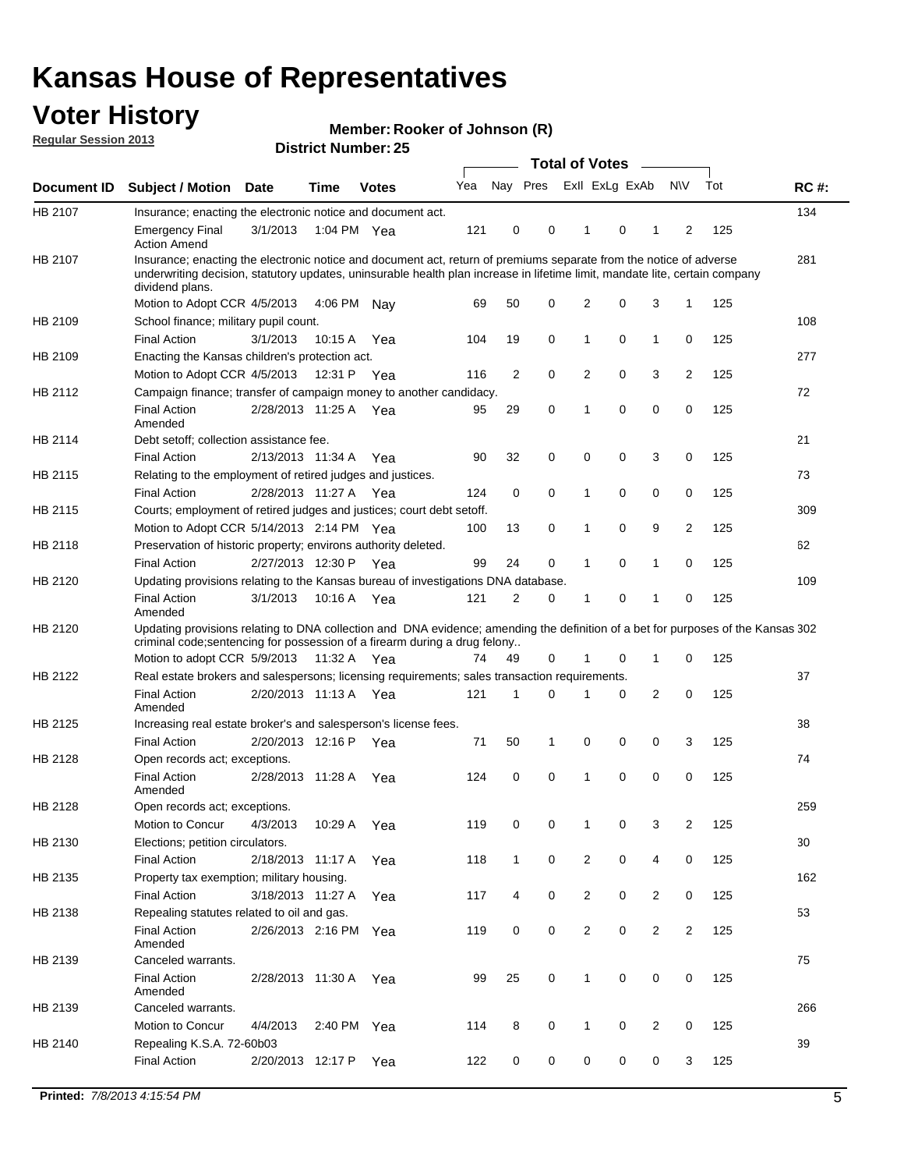## **Voter History**

**Member: Rooker of Johnson (R)** 

**Regular Session 2013**

|             |                                                                                                                                                                                                                                                                      |                       | וסוש ויינווווערו ועוווט <i>ט</i> |              |     |              | <b>Total of Votes</b> |                |   | $\sim$         |                |     |             |
|-------------|----------------------------------------------------------------------------------------------------------------------------------------------------------------------------------------------------------------------------------------------------------------------|-----------------------|----------------------------------|--------------|-----|--------------|-----------------------|----------------|---|----------------|----------------|-----|-------------|
| Document ID | <b>Subject / Motion Date</b>                                                                                                                                                                                                                                         |                       | <b>Time</b>                      | <b>Votes</b> | Yea | Nay Pres     |                       | Exll ExLg ExAb |   |                | <b>NV</b>      | Tot | <b>RC#:</b> |
| HB 2107     | Insurance; enacting the electronic notice and document act.                                                                                                                                                                                                          |                       |                                  |              |     |              |                       |                |   |                |                |     | 134         |
|             | <b>Emergency Final</b><br><b>Action Amend</b>                                                                                                                                                                                                                        | 3/1/2013              | 1:04 PM Yea                      |              | 121 | 0            | 0                     | 1              | 0 | 1              | 2              | 125 |             |
| HB 2107     | Insurance; enacting the electronic notice and document act, return of premiums separate from the notice of adverse<br>underwriting decision, statutory updates, uninsurable health plan increase in lifetime limit, mandate lite, certain company<br>dividend plans. |                       |                                  |              |     |              |                       |                |   |                |                |     | 281         |
|             | Motion to Adopt CCR 4/5/2013                                                                                                                                                                                                                                         |                       | 4:06 PM                          | Nav          | 69  | 50           | 0                     | 2              | 0 | 3              | $\mathbf{1}$   | 125 |             |
| HB 2109     | School finance; military pupil count.                                                                                                                                                                                                                                |                       |                                  |              |     |              |                       |                |   |                |                |     | 108         |
|             | <b>Final Action</b>                                                                                                                                                                                                                                                  | 3/1/2013              | 10:15 A                          | Yea          | 104 | 19           | 0                     | 1              | 0 | $\mathbf{1}$   | 0              | 125 |             |
| HB 2109     | Enacting the Kansas children's protection act.                                                                                                                                                                                                                       |                       |                                  |              |     |              |                       |                |   |                |                |     | 277         |
|             | Motion to Adopt CCR 4/5/2013                                                                                                                                                                                                                                         |                       | 12:31 P Yea                      |              | 116 | 2            | 0                     | $\overline{2}$ | 0 | 3              | 2              | 125 |             |
| HB 2112     | Campaign finance; transfer of campaign money to another candidacy.                                                                                                                                                                                                   |                       |                                  |              |     |              |                       |                |   |                |                |     | 72          |
|             | <b>Final Action</b><br>Amended                                                                                                                                                                                                                                       | 2/28/2013 11:25 A Yea |                                  |              | 95  | 29           | 0                     | 1              | 0 | 0              | 0              | 125 |             |
| HB 2114     | Debt setoff: collection assistance fee.                                                                                                                                                                                                                              |                       |                                  |              |     |              |                       |                |   |                |                |     | 21          |
|             | <b>Final Action</b>                                                                                                                                                                                                                                                  | 2/13/2013 11:34 A     |                                  | Yea          | 90  | 32           | 0                     | 0              | 0 | 3              | 0              | 125 |             |
| HB 2115     | Relating to the employment of retired judges and justices.                                                                                                                                                                                                           |                       |                                  |              |     |              |                       |                |   |                |                |     | 73          |
|             | <b>Final Action</b>                                                                                                                                                                                                                                                  | 2/28/2013 11:27 A     |                                  | Yea          | 124 | 0            | 0                     | 1              | 0 | 0              | 0              | 125 |             |
| HB 2115     | Courts; employment of retired judges and justices; court debt setoff.                                                                                                                                                                                                |                       |                                  |              |     |              |                       |                |   |                |                |     | 309         |
|             | Motion to Adopt CCR 5/14/2013 2:14 PM Yea                                                                                                                                                                                                                            |                       |                                  |              | 100 | 13           | 0                     | 1              | 0 | 9              | 2              | 125 |             |
| HB 2118     | Preservation of historic property; environs authority deleted.                                                                                                                                                                                                       |                       |                                  |              |     |              |                       |                |   |                |                |     | 62          |
|             | <b>Final Action</b>                                                                                                                                                                                                                                                  | 2/27/2013 12:30 P     |                                  | Yea          | 99  | 24           | 0                     | 1              | 0 | $\mathbf{1}$   | 0              | 125 |             |
| HB 2120     | Updating provisions relating to the Kansas bureau of investigations DNA database.                                                                                                                                                                                    |                       |                                  |              |     |              |                       |                |   |                |                |     | 109         |
|             | <b>Final Action</b><br>Amended                                                                                                                                                                                                                                       | 3/1/2013              | 10:16 A                          | Yea          | 121 | 2            | 0                     | 1              | 0 | 1              | 0              | 125 |             |
| HB 2120     | Updating provisions relating to DNA collection and DNA evidence; amending the definition of a bet for purposes of the Kansas 302<br>criminal code; sentencing for possession of a firearm during a drug felony                                                       |                       |                                  |              |     |              |                       |                |   |                |                |     |             |
|             | Motion to adopt CCR 5/9/2013                                                                                                                                                                                                                                         |                       | 11:32 A Yea                      |              | 74  | 49           | 0                     | 1              | 0 | $\mathbf 1$    | 0              | 125 |             |
| HB 2122     | Real estate brokers and salespersons; licensing requirements; sales transaction requirements.                                                                                                                                                                        |                       |                                  |              |     |              |                       |                |   |                |                |     | 37          |
|             | <b>Final Action</b><br>Amended                                                                                                                                                                                                                                       | 2/20/2013 11:13 A Yea |                                  |              | 121 | 1            | 0                     |                | 0 | $\overline{2}$ | 0              | 125 |             |
| HB 2125     | Increasing real estate broker's and salesperson's license fees.                                                                                                                                                                                                      |                       |                                  |              |     |              |                       |                |   |                |                |     | 38          |
|             | <b>Final Action</b>                                                                                                                                                                                                                                                  | 2/20/2013 12:16 P     |                                  | Yea          | 71  | 50           | 1                     | 0              | 0 | 0              | 3              | 125 |             |
| HB 2128     | Open records act; exceptions.                                                                                                                                                                                                                                        |                       |                                  |              |     |              |                       |                |   |                |                |     | 74          |
|             | <b>Final Action</b><br>Amended                                                                                                                                                                                                                                       | 2/28/2013 11:28 A     |                                  | Yea          | 124 | 0            | 0                     | 1              | 0 | 0              | 0              | 125 |             |
| HB 2128     | Open records act; exceptions.                                                                                                                                                                                                                                        |                       |                                  |              |     |              |                       |                |   |                |                |     | 259         |
|             | Motion to Concur                                                                                                                                                                                                                                                     | 4/3/2013              | 10:29 A                          | Yea          | 119 | 0            | 0                     | 1              | 0 | 3              | 2              | 125 |             |
| HB 2130     | Elections; petition circulators.                                                                                                                                                                                                                                     |                       |                                  |              |     |              |                       |                |   |                |                |     | 30          |
|             | <b>Final Action</b>                                                                                                                                                                                                                                                  | 2/18/2013 11:17 A     |                                  | Yea          | 118 | $\mathbf{1}$ | 0                     | $\overline{c}$ | 0 | 4              | 0              | 125 |             |
| HB 2135     | Property tax exemption; military housing.                                                                                                                                                                                                                            |                       |                                  |              |     |              |                       |                |   |                |                |     | 162         |
|             | <b>Final Action</b>                                                                                                                                                                                                                                                  | 3/18/2013 11:27 A     |                                  | Yea          | 117 | 4            | 0                     | $\overline{2}$ | 0 | $\overline{2}$ | 0              | 125 |             |
| HB 2138     | Repealing statutes related to oil and gas.                                                                                                                                                                                                                           |                       |                                  |              |     |              |                       |                |   |                |                |     | 53          |
|             | <b>Final Action</b><br>Amended                                                                                                                                                                                                                                       | 2/26/2013 2:16 PM Yea |                                  |              | 119 | 0            | 0                     | 2              | 0 | $\overline{2}$ | $\overline{2}$ | 125 |             |
| HB 2139     | Canceled warrants.                                                                                                                                                                                                                                                   |                       |                                  |              |     |              |                       |                |   |                |                |     | 75          |
|             | <b>Final Action</b><br>Amended                                                                                                                                                                                                                                       | 2/28/2013 11:30 A     |                                  | Yea          | 99  | 25           | 0                     | 1              | 0 | 0              | 0              | 125 |             |
| HB 2139     | Canceled warrants.                                                                                                                                                                                                                                                   |                       |                                  |              |     |              |                       |                |   |                |                |     | 266         |
|             | Motion to Concur                                                                                                                                                                                                                                                     | 4/4/2013              | 2:40 PM Yea                      |              | 114 | 8            | 0                     | 1              | 0 | 2              | 0              | 125 |             |
| HB 2140     | Repealing K.S.A. 72-60b03                                                                                                                                                                                                                                            |                       |                                  |              |     |              |                       |                |   |                |                |     | 39          |
|             | <b>Final Action</b>                                                                                                                                                                                                                                                  | 2/20/2013 12:17 P     |                                  | Yea          | 122 | 0            | 0                     | 0              | 0 | 0              | 3              | 125 |             |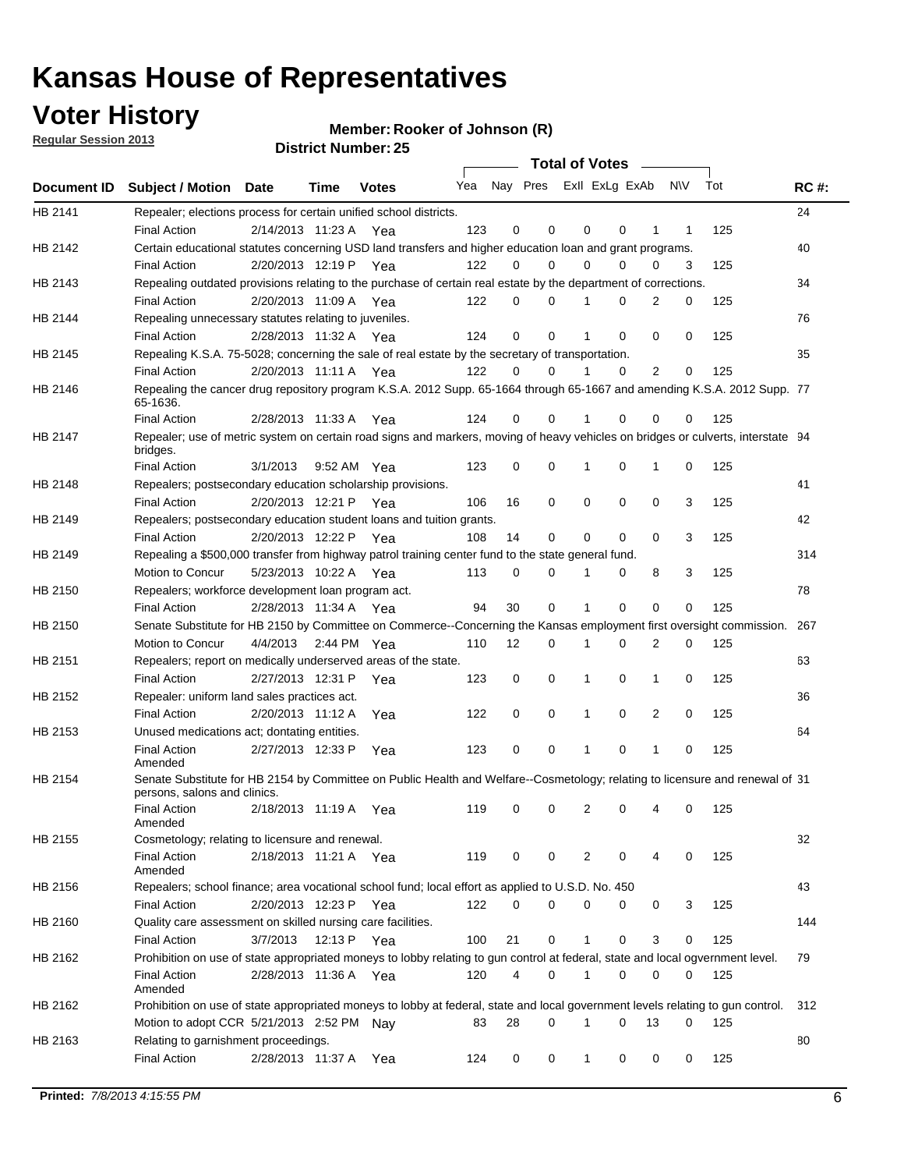**Voter History** 

**Member: Rooker of Johnson (R)** 

**Regular Session 2013**

|             |                                                                                                                                              |          |                       |              |     |             | <b>Total of Votes</b>   |              |   | $\sim 100$ m $^{-1}$ |           |     |             |
|-------------|----------------------------------------------------------------------------------------------------------------------------------------------|----------|-----------------------|--------------|-----|-------------|-------------------------|--------------|---|----------------------|-----------|-----|-------------|
| Document ID | <b>Subject / Motion Date</b>                                                                                                                 |          | Time                  | <b>Votes</b> | Yea |             | Nay Pres ExII ExLg ExAb |              |   |                      | <b>NV</b> | Tot | <b>RC#:</b> |
| HB 2141     | Repealer; elections process for certain unified school districts.                                                                            |          |                       |              |     |             |                         |              |   |                      |           |     | 24          |
|             | <b>Final Action</b>                                                                                                                          |          | 2/14/2013 11:23 A Yea |              | 123 | 0           | 0                       | 0            | 0 | 1                    | 1         | 125 |             |
| HB 2142     | Certain educational statutes concerning USD land transfers and higher education loan and grant programs.                                     |          |                       |              |     |             |                         |              |   |                      |           |     | 40          |
|             | <b>Final Action</b>                                                                                                                          |          | 2/20/2013 12:19 P Yea |              | 122 | 0           | 0                       | 0            | 0 | $\Omega$             | 3         | 125 |             |
| HB 2143     | Repealing outdated provisions relating to the purchase of certain real estate by the department of corrections.                              |          |                       |              |     |             |                         |              |   |                      |           |     | 34          |
|             | <b>Final Action</b>                                                                                                                          |          | 2/20/2013 11:09 A Yea |              | 122 | 0           | 0                       | 1            | 0 | $\overline{2}$       | 0         | 125 |             |
| HB 2144     | Repealing unnecessary statutes relating to juveniles.                                                                                        |          |                       |              |     |             |                         |              |   |                      |           |     | 76          |
|             | <b>Final Action</b>                                                                                                                          |          | 2/28/2013 11:32 A Yea |              | 124 | $\mathbf 0$ | 0                       | 1            | 0 | 0                    | 0         | 125 |             |
| HB 2145     | Repealing K.S.A. 75-5028; concerning the sale of real estate by the secretary of transportation.                                             |          |                       |              |     |             |                         |              |   |                      |           |     | 35          |
|             | <b>Final Action</b>                                                                                                                          |          | 2/20/2013 11:11 A Yea |              | 122 | 0           | 0                       | 1            | 0 | 2                    | 0         | 125 |             |
| HB 2146     | Repealing the cancer drug repository program K.S.A. 2012 Supp. 65-1664 through 65-1667 and amending K.S.A. 2012 Supp. 77<br>65-1636.         |          |                       |              |     |             |                         |              |   |                      |           |     |             |
|             | <b>Final Action</b>                                                                                                                          |          | 2/28/2013 11:33 A     | Yea          | 124 | 0           | 0                       | 1            | 0 | 0                    | 0         | 125 |             |
| HB 2147     | Repealer; use of metric system on certain road signs and markers, moving of heavy vehicles on bridges or culverts, interstate 94<br>bridges. |          |                       |              |     |             |                         |              |   |                      |           |     |             |
|             | <b>Final Action</b>                                                                                                                          | 3/1/2013 |                       | 9:52 AM Yea  | 123 | $\mathbf 0$ | 0                       |              | 0 | 1                    | 0         | 125 |             |
| HB 2148     | Repealers; postsecondary education scholarship provisions.                                                                                   |          |                       |              |     |             |                         |              |   |                      |           |     | 41          |
|             | <b>Final Action</b>                                                                                                                          |          | 2/20/2013 12:21 P     | Yea          | 106 | 16          | 0                       | $\mathbf 0$  | 0 | $\mathbf 0$          | 3         | 125 |             |
| HB 2149     | Repealers; postsecondary education student loans and tuition grants.                                                                         |          |                       |              |     |             |                         |              |   |                      |           |     | 42          |
|             | <b>Final Action</b>                                                                                                                          |          | 2/20/2013 12:22 P     | Yea          | 108 | 14          | 0                       | 0            | 0 | $\Omega$             | 3         | 125 |             |
| HB 2149     | Repealing a \$500,000 transfer from highway patrol training center fund to the state general fund.                                           |          |                       |              |     |             |                         |              |   |                      |           |     | 314         |
|             | Motion to Concur                                                                                                                             |          | 5/23/2013 10:22 A Yea |              | 113 | 0           | 0                       |              | 0 | 8                    | 3         | 125 |             |
| HB 2150     | Repealers; workforce development loan program act.                                                                                           |          |                       |              |     |             |                         |              |   |                      |           |     | 78          |
|             | <b>Final Action</b>                                                                                                                          |          | 2/28/2013 11:34 A Yea |              | 94  | 30          | 0                       | 1            | 0 | 0                    | 0         | 125 |             |
| HB 2150     | Senate Substitute for HB 2150 by Committee on Commerce--Concerning the Kansas employment first oversight commission.                         |          |                       |              |     |             |                         |              |   |                      |           |     | 267         |
|             | Motion to Concur                                                                                                                             |          | 4/4/2013 2:44 PM Yea  |              | 110 | 12          | 0                       | 1            | 0 | 2                    | 0         | 125 |             |
| HB 2151     | Repealers; report on medically underserved areas of the state.                                                                               |          |                       |              |     |             |                         |              |   |                      |           |     | 63          |
|             | <b>Final Action</b>                                                                                                                          |          | 2/27/2013 12:31 P     | Yea          | 123 | 0           | 0                       | 1            | 0 | 1                    | 0         | 125 |             |
| HB 2152     | Repealer: uniform land sales practices act.                                                                                                  |          |                       |              |     |             |                         |              |   |                      |           |     | 36          |
|             | <b>Final Action</b>                                                                                                                          |          | 2/20/2013 11:12 A     | Yea          | 122 | 0           | 0                       | 1            | 0 | 2                    | 0         | 125 |             |
| HB 2153     | Unused medications act; dontating entities.                                                                                                  |          |                       |              |     |             |                         |              |   |                      |           |     | 64          |
|             | <b>Final Action</b><br>Amended                                                                                                               |          | 2/27/2013 12:33 P     | Yea          | 123 | 0           | 0                       | 1            | 0 | $\mathbf{1}$         | 0         | 125 |             |
| HB 2154     | Senate Substitute for HB 2154 by Committee on Public Health and Welfare--Cosmetology; relating to licensure and renewal of 31                |          |                       |              |     |             |                         |              |   |                      |           |     |             |
|             | persons, salons and clinics.<br><b>Final Action</b><br>Amended                                                                               |          | 2/18/2013 11:19 A     | Yea          | 119 | 0           | 0                       | 2            | 0 | 4                    | 0         | 125 |             |
| HB 2155     | Cosmetology; relating to licensure and renewal.                                                                                              |          |                       |              |     |             |                         |              |   |                      |           |     | 32          |
|             | <b>Final Action</b>                                                                                                                          |          | 2/18/2013 11:21 A Yea |              | 119 | 0           | 0                       | 2            | 0 |                      | 0         | 125 |             |
|             | Amended                                                                                                                                      |          |                       |              |     |             |                         |              |   |                      |           |     |             |
| HB 2156     | Repealers; school finance; area vocational school fund; local effort as applied to U.S.D. No. 450                                            |          |                       |              |     |             |                         |              |   |                      |           |     | 43          |
|             | <b>Final Action</b>                                                                                                                          |          | 2/20/2013 12:23 P     | Yea          | 122 | 0           | 0                       | 0            | 0 | 0                    | 3         | 125 |             |
| HB 2160     | Quality care assessment on skilled nursing care facilities.                                                                                  |          |                       |              |     |             |                         |              |   |                      |           |     | 144         |
|             | <b>Final Action</b>                                                                                                                          | 3/7/2013 |                       | 12:13 P Yea  | 100 | 21          | 0                       | 1            | 0 | 3                    | 0         | 125 |             |
| HB 2162     | Prohibition on use of state appropriated moneys to lobby relating to gun control at federal, state and local ogvernment level.               |          |                       |              |     |             |                         |              |   |                      |           |     | 79          |
|             | <b>Final Action</b><br>Amended                                                                                                               |          | 2/28/2013 11:36 A Yea |              | 120 | 4           | 0                       | 1            | 0 | 0                    | 0         | 125 |             |
| HB 2162     | Prohibition on use of state appropriated moneys to lobby at federal, state and local government levels relating to gun control.              |          |                       |              |     |             |                         |              |   |                      |           |     | 312         |
|             | Motion to adopt CCR 5/21/2013 2:52 PM Nay                                                                                                    |          |                       |              | 83  | 28          | 0                       |              | 0 | 13                   | 0         | 125 |             |
| HB 2163     | Relating to garnishment proceedings.                                                                                                         |          |                       |              |     |             |                         |              |   |                      |           |     | 80          |
|             | <b>Final Action</b>                                                                                                                          |          | 2/28/2013 11:37 A Yea |              | 124 | 0           | 0                       | $\mathbf{1}$ | 0 | 0                    | 0         | 125 |             |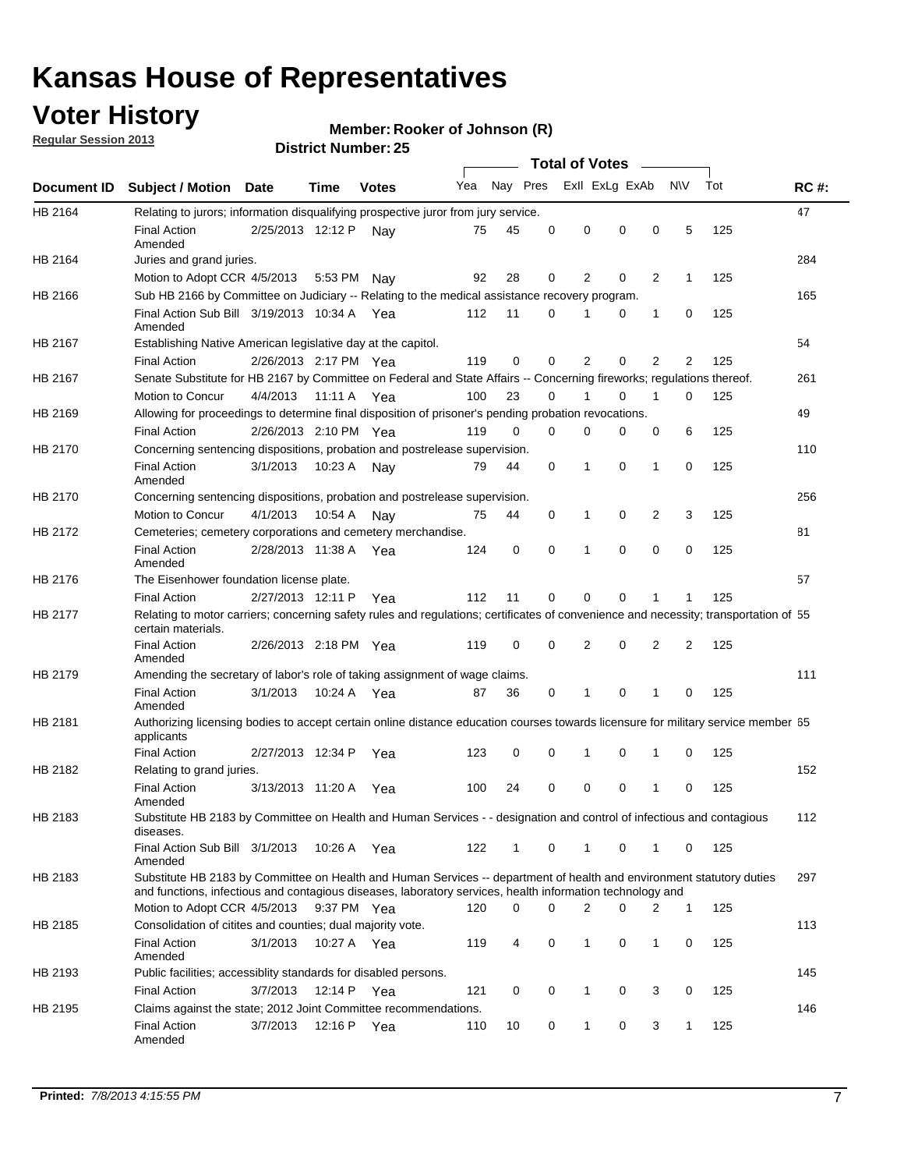## **Voter History**

**Member: Rooker of Johnson (R)** 

**Regular Session 2013**

|             |                                                                                                                                                                                                                                    |                       |             | וסוטו וענווווטקו. בט |     |              |          | <b>Total of Votes</b> |          | $\overline{\phantom{a}}$ |              |     |     |
|-------------|------------------------------------------------------------------------------------------------------------------------------------------------------------------------------------------------------------------------------------|-----------------------|-------------|----------------------|-----|--------------|----------|-----------------------|----------|--------------------------|--------------|-----|-----|
| Document ID | <b>Subject / Motion Date</b>                                                                                                                                                                                                       |                       | <b>Time</b> | <b>Votes</b>         | Yea | Nay Pres     |          | Exll ExLg ExAb        |          |                          | <b>NV</b>    | Tot | RC# |
| HB 2164     | Relating to jurors; information disqualifying prospective juror from jury service.                                                                                                                                                 |                       |             |                      |     |              |          |                       |          |                          |              |     | 47  |
|             | <b>Final Action</b><br>Amended                                                                                                                                                                                                     | 2/25/2013 12:12 P     |             | Nay                  | 75  | 45           | 0        | 0                     | 0        | 0                        | 5            | 125 |     |
| HB 2164     | Juries and grand juries.                                                                                                                                                                                                           |                       |             |                      |     |              |          |                       |          |                          |              |     | 284 |
|             | Motion to Adopt CCR 4/5/2013                                                                                                                                                                                                       |                       | 5:53 PM     | Nav                  | 92  | 28           | 0        | 2                     | 0        | $\overline{2}$           | 1            | 125 |     |
| HB 2166     | Sub HB 2166 by Committee on Judiciary -- Relating to the medical assistance recovery program.                                                                                                                                      |                       |             |                      |     |              |          |                       |          |                          |              |     | 165 |
|             | Final Action Sub Bill 3/19/2013 10:34 A Yea<br>Amended                                                                                                                                                                             |                       |             |                      | 112 | 11           | $\Omega$ | 1                     | 0        | 1                        | 0            | 125 |     |
| HB 2167     | Establishing Native American legislative day at the capitol.                                                                                                                                                                       |                       |             |                      |     |              |          |                       |          |                          |              |     | 54  |
|             | <b>Final Action</b>                                                                                                                                                                                                                | 2/26/2013 2:17 PM Yea |             |                      | 119 | 0            | 0        | 2                     | 0        | $\overline{2}$           | 2            | 125 |     |
| HB 2167     | Senate Substitute for HB 2167 by Committee on Federal and State Affairs -- Concerning fireworks; regulations thereof.                                                                                                              |                       |             |                      |     |              |          |                       |          |                          |              |     | 261 |
|             | <b>Motion to Concur</b>                                                                                                                                                                                                            | 4/4/2013              | 11:11 A Yea |                      | 100 | 23           | 0        | 1                     | 0        | 1                        | 0            | 125 |     |
| HB 2169     | Allowing for proceedings to determine final disposition of prisoner's pending probation revocations.                                                                                                                               |                       |             |                      |     |              |          |                       |          |                          |              |     | 49  |
|             | <b>Final Action</b>                                                                                                                                                                                                                | 2/26/2013 2:10 PM Yea |             |                      | 119 | 0            | 0        | 0                     | 0        | 0                        | 6            | 125 |     |
| HB 2170     | Concerning sentencing dispositions, probation and postrelease supervision.                                                                                                                                                         |                       |             |                      |     |              |          |                       |          |                          |              |     | 110 |
|             | <b>Final Action</b><br>Amended                                                                                                                                                                                                     | 3/1/2013              | 10:23 A     | Nay                  | 79  | 44           | 0        | 1                     | 0        | 1                        | 0            | 125 |     |
| HB 2170     | Concerning sentencing dispositions, probation and postrelease supervision.                                                                                                                                                         |                       |             |                      |     |              |          |                       |          |                          |              |     | 256 |
|             | Motion to Concur                                                                                                                                                                                                                   | 4/1/2013              | 10:54 A     | Nay                  | 75  | 44           | 0        | 1                     | 0        | $\overline{2}$           | 3            | 125 |     |
| HB 2172     | Cemeteries; cemetery corporations and cemetery merchandise.                                                                                                                                                                        |                       |             |                      |     |              |          |                       |          |                          |              |     | 81  |
|             | <b>Final Action</b><br>Amended                                                                                                                                                                                                     | 2/28/2013 11:38 A     |             | Yea                  | 124 | 0            | 0        | 1                     | $\Omega$ | $\Omega$                 | 0            | 125 |     |
| HB 2176     | The Eisenhower foundation license plate.                                                                                                                                                                                           |                       |             |                      |     |              |          |                       |          |                          |              |     | 57  |
|             | <b>Final Action</b>                                                                                                                                                                                                                | 2/27/2013 12:11 P     |             | Yea                  | 112 | 11           | 0        | 0                     | 0        | 1                        | 1            | 125 |     |
| HB 2177     | Relating to motor carriers; concerning safety rules and regulations; certificates of convenience and necessity; transportation of 55<br>certain materials.                                                                         |                       |             |                      |     |              |          |                       |          |                          |              |     |     |
|             | <b>Final Action</b><br>Amended                                                                                                                                                                                                     | 2/26/2013 2:18 PM Yea |             |                      | 119 | 0            | 0        | 2                     | 0        | $\overline{2}$           | 2            | 125 |     |
| HB 2179     | Amending the secretary of labor's role of taking assignment of wage claims.                                                                                                                                                        |                       |             |                      |     |              |          |                       |          |                          |              |     | 111 |
|             | <b>Final Action</b><br>Amended                                                                                                                                                                                                     | 3/1/2013              | 10:24 A Yea |                      | 87  | 36           | 0        | 1                     | 0        | 1                        | 0            | 125 |     |
| HB 2181     | Authorizing licensing bodies to accept certain online distance education courses towards licensure for military service member 55<br>applicants                                                                                    |                       |             |                      |     |              |          |                       |          |                          |              |     |     |
|             | <b>Final Action</b>                                                                                                                                                                                                                | 2/27/2013 12:34 P     |             | Yea                  | 123 | 0            | 0        | 1                     | 0        | 1                        | 0            | 125 |     |
| HB 2182     | Relating to grand juries.                                                                                                                                                                                                          |                       |             |                      |     |              |          |                       |          |                          |              |     | 152 |
|             | <b>Final Action</b><br>Amended                                                                                                                                                                                                     | 3/13/2013 11:20 A     |             | Yea                  | 100 | 24           | 0        | 0                     | 0        | 1                        | 0            | 125 |     |
| HB 2183     | Substitute HB 2183 by Committee on Health and Human Services - - designation and control of infectious and contagious<br>diseases.                                                                                                 |                       |             |                      |     |              |          |                       |          |                          |              |     | 112 |
|             | Final Action Sub Bill 3/1/2013<br>Amended                                                                                                                                                                                          |                       | 10:26 A Yea |                      | 122 | $\mathbf{1}$ | 0        | 1                     | 0        | 1                        | 0            | 125 |     |
| HB 2183     | Substitute HB 2183 by Committee on Health and Human Services -- department of health and environment statutory duties<br>and functions, infectious and contagious diseases, laboratory services, health information technology and |                       |             |                      |     |              |          |                       |          |                          |              |     | 297 |
|             | Motion to Adopt CCR 4/5/2013                                                                                                                                                                                                       |                       | 9:37 PM Yea |                      | 120 | 0            | 0        | 2                     | 0        | 2                        | 1            | 125 |     |
| HB 2185     | Consolidation of citites and counties; dual majority vote.                                                                                                                                                                         |                       |             |                      |     |              |          |                       |          |                          |              |     | 113 |
|             | <b>Final Action</b><br>Amended                                                                                                                                                                                                     | 3/1/2013              | 10:27 A Yea |                      | 119 | 4            | 0        | 1                     | 0        | $\mathbf{1}$             | 0            | 125 |     |
| HB 2193     | Public facilities; accessiblity standards for disabled persons.                                                                                                                                                                    |                       |             |                      |     |              |          |                       |          |                          |              |     | 145 |
|             | <b>Final Action</b>                                                                                                                                                                                                                | 3/7/2013              | 12:14 P     | Yea                  | 121 | 0            | 0        | 1                     | 0        | 3                        | 0            | 125 |     |
| HB 2195     | Claims against the state; 2012 Joint Committee recommendations.                                                                                                                                                                    |                       |             |                      |     |              |          |                       |          |                          |              |     | 146 |
|             | <b>Final Action</b><br>Amended                                                                                                                                                                                                     | 3/7/2013              | 12:16 P Yea |                      | 110 | 10           | 0        | 1                     | 0        | 3                        | $\mathbf{1}$ | 125 |     |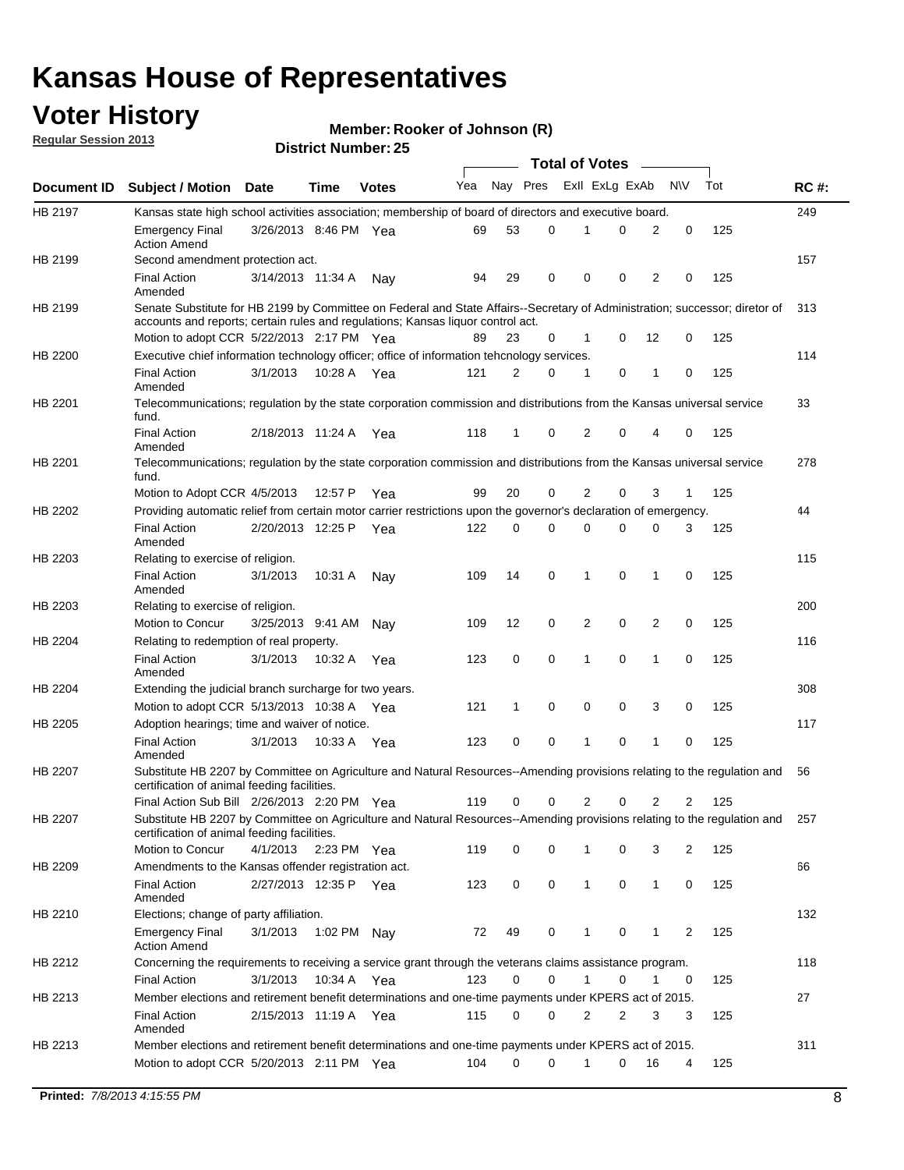## **Voter History**

**Member: Rooker of Johnson (R)** 

**Regular Session 2013**

|                |                                                                                                                                                                                                                |                       |             |              |     |             |                         | <b>Total of Votes</b> |   |                |             |     |             |
|----------------|----------------------------------------------------------------------------------------------------------------------------------------------------------------------------------------------------------------|-----------------------|-------------|--------------|-----|-------------|-------------------------|-----------------------|---|----------------|-------------|-----|-------------|
| Document ID    | <b>Subject / Motion Date</b>                                                                                                                                                                                   |                       | Time        | <b>Votes</b> | Yea |             | Nay Pres Exll ExLg ExAb |                       |   |                | N\V         | Tot | <b>RC#:</b> |
| HB 2197        | Kansas state high school activities association; membership of board of directors and executive board.                                                                                                         |                       |             |              |     |             |                         |                       |   |                |             |     | 249         |
|                | <b>Emergency Final</b><br><b>Action Amend</b>                                                                                                                                                                  | 3/26/2013 8:46 PM Yea |             |              | 69  | 53          | 0                       | 1                     | 0 | 2              | 0           | 125 |             |
| HB 2199        | Second amendment protection act.                                                                                                                                                                               |                       |             |              |     |             |                         |                       |   |                |             |     | 157         |
|                | <b>Final Action</b><br>Amended                                                                                                                                                                                 | 3/14/2013 11:34 A     |             | Nav          | 94  | 29          | 0                       | 0                     | 0 | $\overline{2}$ | $\mathbf 0$ | 125 |             |
| HB 2199        | Senate Substitute for HB 2199 by Committee on Federal and State Affairs--Secretary of Administration; successor; diretor of<br>accounts and reports; certain rules and regulations; Kansas liquor control act. |                       |             |              |     |             |                         |                       |   |                |             |     | 313         |
|                | Motion to adopt CCR 5/22/2013 2:17 PM Yea                                                                                                                                                                      |                       |             |              | 89  | 23          | 0                       | 1                     | 0 | 12             | 0           | 125 |             |
| HB 2200        | Executive chief information technology officer; office of information tehcnology services.                                                                                                                     |                       |             |              |     |             |                         |                       |   |                |             |     | 114         |
|                | <b>Final Action</b><br>Amended                                                                                                                                                                                 | 3/1/2013              |             | 10:28 A Yea  | 121 | 2           | 0                       | 1                     | 0 | 1              | 0           | 125 |             |
| HB 2201        | Telecommunications; regulation by the state corporation commission and distributions from the Kansas universal service<br>fund.                                                                                |                       |             |              |     |             |                         |                       |   |                |             |     | 33          |
|                | <b>Final Action</b><br>Amended                                                                                                                                                                                 | 2/18/2013 11:24 A Yea |             |              | 118 | 1           | 0                       | 2                     | 0 | 4              | 0           | 125 |             |
| <b>HB 2201</b> | Telecommunications; regulation by the state corporation commission and distributions from the Kansas universal service<br>fund.                                                                                |                       |             |              |     |             |                         |                       |   |                |             |     | 278         |
|                | Motion to Adopt CCR 4/5/2013                                                                                                                                                                                   |                       | 12:57 P     | Yea          | 99  | 20          | 0                       | $\overline{2}$        | 0 | 3              | 1           | 125 |             |
| HB 2202        | Providing automatic relief from certain motor carrier restrictions upon the governor's declaration of emergency.                                                                                               |                       |             |              |     |             |                         |                       |   |                |             |     | 44          |
|                | <b>Final Action</b><br>Amended                                                                                                                                                                                 | 2/20/2013 12:25 P     |             | Yea          | 122 | 0           | 0                       | 0                     | 0 | 0              | 3           | 125 |             |
| HB 2203        | Relating to exercise of religion.                                                                                                                                                                              |                       |             |              |     |             |                         |                       |   |                |             |     | 115         |
|                | <b>Final Action</b><br>Amended                                                                                                                                                                                 | 3/1/2013              | 10:31 A     | Nay          | 109 | 14          | 0                       | 1                     | 0 | 1              | $\mathbf 0$ | 125 |             |
| HB 2203        | Relating to exercise of religion.                                                                                                                                                                              |                       |             |              |     |             |                         |                       |   |                |             |     | 200         |
|                | Motion to Concur                                                                                                                                                                                               | 3/25/2013 9:41 AM     |             | Nav          | 109 | 12          | 0                       | $\overline{2}$        | 0 | $\overline{2}$ | 0           | 125 |             |
| HB 2204        | Relating to redemption of real property.                                                                                                                                                                       |                       |             |              |     |             |                         |                       |   |                |             |     | 116         |
|                | <b>Final Action</b><br>Amended                                                                                                                                                                                 | 3/1/2013              | 10:32 A     | Yea          | 123 | $\mathbf 0$ | 0                       | $\mathbf{1}$          | 0 | 1              | $\mathbf 0$ | 125 |             |
| HB 2204        | Extending the judicial branch surcharge for two years.                                                                                                                                                         |                       |             |              |     |             |                         |                       |   |                |             |     | 308         |
|                | Motion to adopt CCR 5/13/2013 10:38 A Yea                                                                                                                                                                      |                       |             |              | 121 | 1           | 0                       | 0                     | 0 | 3              | $\mathbf 0$ | 125 |             |
| HB 2205        | Adoption hearings; time and waiver of notice.                                                                                                                                                                  |                       |             |              |     |             |                         |                       |   |                |             |     | 117         |
|                | <b>Final Action</b><br>Amended                                                                                                                                                                                 | 3/1/2013              | 10:33 A Yea |              | 123 | 0           | 0                       | 1                     | 0 | 1              | $\mathbf 0$ | 125 |             |
| HB 2207        | Substitute HB 2207 by Committee on Agriculture and Natural Resources--Amending provisions relating to the regulation and<br>certification of animal feeding facilities.                                        |                       |             |              |     |             |                         |                       |   |                |             |     | 56          |
|                | Final Action Sub Bill 2/26/2013 2:20 PM Yea                                                                                                                                                                    |                       |             |              | 119 | 0           | 0                       | 2                     | 0 | 2              | 2           | 125 |             |
| <b>HB 2207</b> | Substitute HB 2207 by Committee on Agriculture and Natural Resources--Amending provisions relating to the regulation and<br>certification of animal feeding facilities.                                        |                       |             |              |     |             |                         |                       |   |                |             |     | 257         |
|                | Motion to Concur                                                                                                                                                                                               | 4/1/2013              | 2:23 PM Yea |              | 119 | 0           | 0                       | 1                     | 0 | 3              | 2           | 125 |             |
| HB 2209        | Amendments to the Kansas offender registration act.                                                                                                                                                            |                       |             |              |     |             |                         |                       |   |                |             |     | 66          |
|                | <b>Final Action</b><br>Amended                                                                                                                                                                                 | 2/27/2013 12:35 P Yea |             |              | 123 | 0           | 0                       | $\mathbf{1}$          | 0 | $\mathbf{1}$   | 0           | 125 |             |
| HB 2210        | Elections; change of party affiliation.                                                                                                                                                                        |                       |             |              |     |             |                         |                       |   |                |             |     | 132         |
|                | <b>Emergency Final</b><br><b>Action Amend</b>                                                                                                                                                                  | 3/1/2013              | 1:02 PM Nay |              | 72  | 49          | 0                       | 1                     | 0 | 1              | 2           | 125 |             |
| HB 2212        | Concerning the requirements to receiving a service grant through the veterans claims assistance program.                                                                                                       |                       |             |              |     |             |                         |                       |   |                |             |     | 118         |
|                | <b>Final Action</b>                                                                                                                                                                                            | 3/1/2013              | 10:34 A Yea |              | 123 | 0           | 0                       | $\mathbf{1}$          | 0 | $\mathbf 1$    | 0           | 125 |             |
| HB 2213        | Member elections and retirement benefit determinations and one-time payments under KPERS act of 2015.                                                                                                          |                       |             |              |     |             |                         |                       |   |                |             |     | 27          |
|                | <b>Final Action</b><br>Amended                                                                                                                                                                                 | 2/15/2013 11:19 A Yea |             |              | 115 | 0           | 0                       | 2                     | 2 | 3              | 3           | 125 |             |
| HB 2213        | Member elections and retirement benefit determinations and one-time payments under KPERS act of 2015.                                                                                                          |                       |             |              |     |             |                         |                       |   |                |             |     | 311         |
|                | Motion to adopt CCR 5/20/2013 2:11 PM Yea                                                                                                                                                                      |                       |             |              | 104 | 0           | 0                       | 1                     | 0 | 16             | 4           | 125 |             |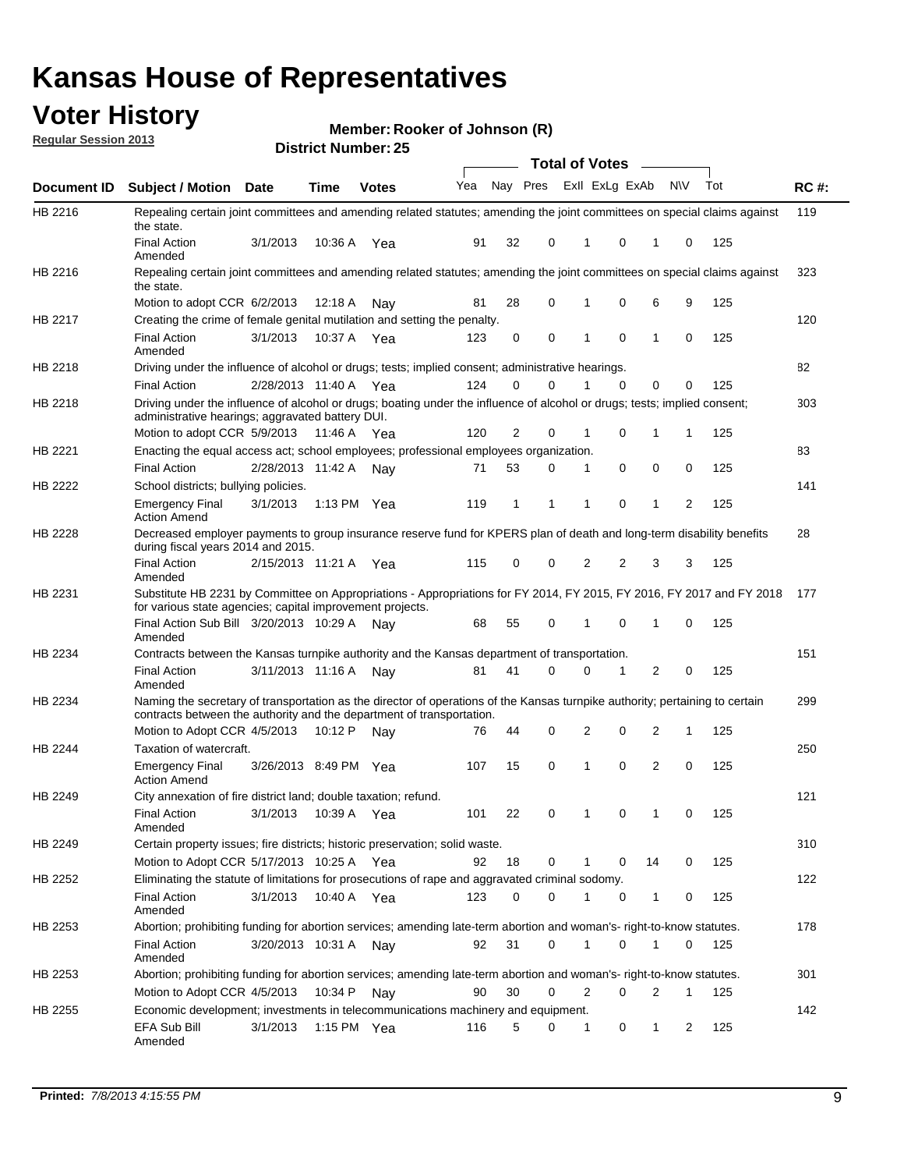## **Voter History**

**Member: Rooker of Johnson (R)** 

**Regular Session 2013**

|                    |                                                                                                                                                                                                               |                       |         | וסוש ויינווווערו ועוווט <i>ט</i> |              |    |   | <b>Total of Votes</b> |          | $\sim$         |           |     |     |
|--------------------|---------------------------------------------------------------------------------------------------------------------------------------------------------------------------------------------------------------|-----------------------|---------|----------------------------------|--------------|----|---|-----------------------|----------|----------------|-----------|-----|-----|
| <b>Document ID</b> | <b>Subject / Motion Date</b>                                                                                                                                                                                  |                       | Time    | <b>Votes</b>                     | Yea Nay Pres |    |   | Exll ExLg ExAb        |          |                | <b>NV</b> | Tot | RC# |
| HB 2216            | Repealing certain joint committees and amending related statutes; amending the joint committees on special claims against<br>the state.                                                                       |                       |         |                                  |              |    |   |                       |          |                |           |     | 119 |
|                    | <b>Final Action</b><br>Amended                                                                                                                                                                                | 3/1/2013              | 10:36 A | Yea                              | 91           | 32 | 0 | 1                     | 0        | 1              | 0         | 125 |     |
| HB 2216            | Repealing certain joint committees and amending related statutes; amending the joint committees on special claims against<br>the state.                                                                       |                       |         |                                  |              |    |   |                       |          |                |           |     | 323 |
|                    | Motion to adopt CCR 6/2/2013                                                                                                                                                                                  |                       | 12:18 A | Nav                              | 81           | 28 | 0 | 1                     | 0        | 6              | 9         | 125 |     |
| HB 2217            | Creating the crime of female genital mutilation and setting the penalty.                                                                                                                                      |                       |         |                                  |              |    |   |                       |          |                |           |     | 120 |
|                    | <b>Final Action</b><br>Amended                                                                                                                                                                                | 3/1/2013              |         | 10:37 A Yea                      | 123          | 0  | 0 | 1                     | 0        | $\mathbf{1}$   | 0         | 125 |     |
| HB 2218            | Driving under the influence of alcohol or drugs; tests; implied consent; administrative hearings.                                                                                                             |                       |         |                                  |              |    |   |                       |          |                |           |     | 82  |
|                    | <b>Final Action</b>                                                                                                                                                                                           | 2/28/2013 11:40 A     |         | Yea                              | 124          | 0  | 0 |                       | $\Omega$ | 0              | 0         | 125 |     |
| HB 2218            | Driving under the influence of alcohol or drugs; boating under the influence of alcohol or drugs; tests; implied consent;<br>administrative hearings; aggravated battery DUI.<br>Motion to adopt CCR 5/9/2013 |                       | 11:46 A | Yea                              | 120          | 2  | 0 | 1                     | 0        | 1              | 1         | 125 | 303 |
|                    |                                                                                                                                                                                                               |                       |         |                                  |              |    |   |                       |          |                |           |     |     |
| HB 2221            | Enacting the equal access act; school employees; professional employees organization.                                                                                                                         |                       |         |                                  |              |    |   |                       |          |                |           |     | 83  |
|                    | <b>Final Action</b>                                                                                                                                                                                           | 2/28/2013 11:42 A     |         | Nav                              | 71           | 53 | 0 | 1                     | 0        | 0              | 0         | 125 |     |
| HB 2222            | School districts; bullying policies.<br><b>Emergency Final</b><br><b>Action Amend</b>                                                                                                                         | 3/1/2013              |         | 1:13 PM $Yea$                    | 119          | 1  | 1 | 1                     | 0        | 1              | 2         | 125 | 141 |
| <b>HB 2228</b>     | Decreased employer payments to group insurance reserve fund for KPERS plan of death and long-term disability benefits<br>during fiscal years 2014 and 2015.                                                   |                       |         |                                  |              |    |   |                       |          |                |           |     | 28  |
|                    | <b>Final Action</b><br>Amended                                                                                                                                                                                | 2/15/2013 11:21 A     |         | Yea                              | 115          | 0  | 0 | 2                     | 2        | 3              | 3         | 125 |     |
| HB 2231            | Substitute HB 2231 by Committee on Appropriations - Appropriations for FY 2014, FY 2015, FY 2016, FY 2017 and FY 2018<br>for various state agencies; capital improvement projects.                            |                       |         |                                  |              |    |   |                       |          |                |           |     | 177 |
|                    | Final Action Sub Bill 3/20/2013 10:29 A<br>Amended                                                                                                                                                            |                       |         | Nav                              | 68           | 55 | 0 |                       | 0        | 1              | 0         | 125 |     |
| HB 2234            | Contracts between the Kansas turnpike authority and the Kansas department of transportation.                                                                                                                  |                       |         |                                  |              |    |   |                       |          |                |           |     | 151 |
|                    | <b>Final Action</b><br>Amended                                                                                                                                                                                | 3/11/2013 11:16 A     |         | Nav                              | 81           | 41 | 0 | 0                     | 1        | $\overline{2}$ | 0         | 125 |     |
| HB 2234            | Naming the secretary of transportation as the director of operations of the Kansas turnpike authority; pertaining to certain<br>contracts between the authority and the department of transportation.         |                       |         |                                  |              |    |   |                       |          |                |           |     | 299 |
|                    | Motion to Adopt CCR 4/5/2013                                                                                                                                                                                  |                       | 10:12 P | Nav                              | 76           | 44 | 0 | 2                     | 0        | 2              | 1         | 125 |     |
| <b>HB 2244</b>     | Taxation of watercraft.<br><b>Emergency Final</b>                                                                                                                                                             | 3/26/2013 8:49 PM Yea |         |                                  | 107          | 15 | 0 | 1                     | 0        | 2              | 0         | 125 | 250 |
| HB 2249            | <b>Action Amend</b>                                                                                                                                                                                           |                       |         |                                  |              |    |   |                       |          |                |           |     | 121 |
|                    | City annexation of fire district land; double taxation; refund.<br>Final Action 3/1/2013 10:39 A Yea<br>Amended                                                                                               |                       |         |                                  | 101          | 22 | 0 | $\mathbf{1}$          | 0        | $\mathbf{1}$   | 0         | 125 |     |
| HB 2249            | Certain property issues; fire districts; historic preservation; solid waste.                                                                                                                                  |                       |         |                                  |              |    |   |                       |          |                |           |     | 310 |
|                    | Motion to Adopt CCR 5/17/2013 10:25 A Yea                                                                                                                                                                     |                       |         |                                  | 92           | 18 | 0 | 1                     | 0        | 14             | 0         | 125 |     |
| HB 2252            | Eliminating the statute of limitations for prosecutions of rape and aggravated criminal sodomy.                                                                                                               |                       |         |                                  |              |    |   |                       |          |                |           |     | 122 |
|                    | <b>Final Action</b><br>Amended                                                                                                                                                                                | 3/1/2013              |         | 10:40 A Yea                      | 123          | 0  | 0 |                       | 0        | 1              | 0         | 125 |     |
| HB 2253            | Abortion; prohibiting funding for abortion services; amending late-term abortion and woman's- right-to-know statutes.                                                                                         |                       |         |                                  |              |    |   |                       |          |                |           |     | 178 |
|                    | <b>Final Action</b><br>Amended                                                                                                                                                                                | 3/20/2013 10:31 A     |         | Nav                              | 92           | 31 | 0 | 1                     | 0        | 1              | 0         | 125 |     |
| HB 2253            | Abortion; prohibiting funding for abortion services; amending late-term abortion and woman's- right-to-know statutes.                                                                                         |                       |         |                                  |              |    |   |                       |          |                |           |     | 301 |
|                    | Motion to Adopt CCR 4/5/2013                                                                                                                                                                                  |                       | 10:34 P | Nav                              | 90           | 30 | 0 | 2                     | 0        | 2              | 1         | 125 |     |
| HB 2255            | Economic development; investments in telecommunications machinery and equipment.                                                                                                                              |                       |         |                                  |              |    |   |                       |          |                |           |     | 142 |
|                    | EFA Sub Bill<br>Amended                                                                                                                                                                                       | 3/1/2013              |         | 1:15 PM $Yea$                    | 116          | 5  | 0 | -1                    | 0        | 1              | 2         | 125 |     |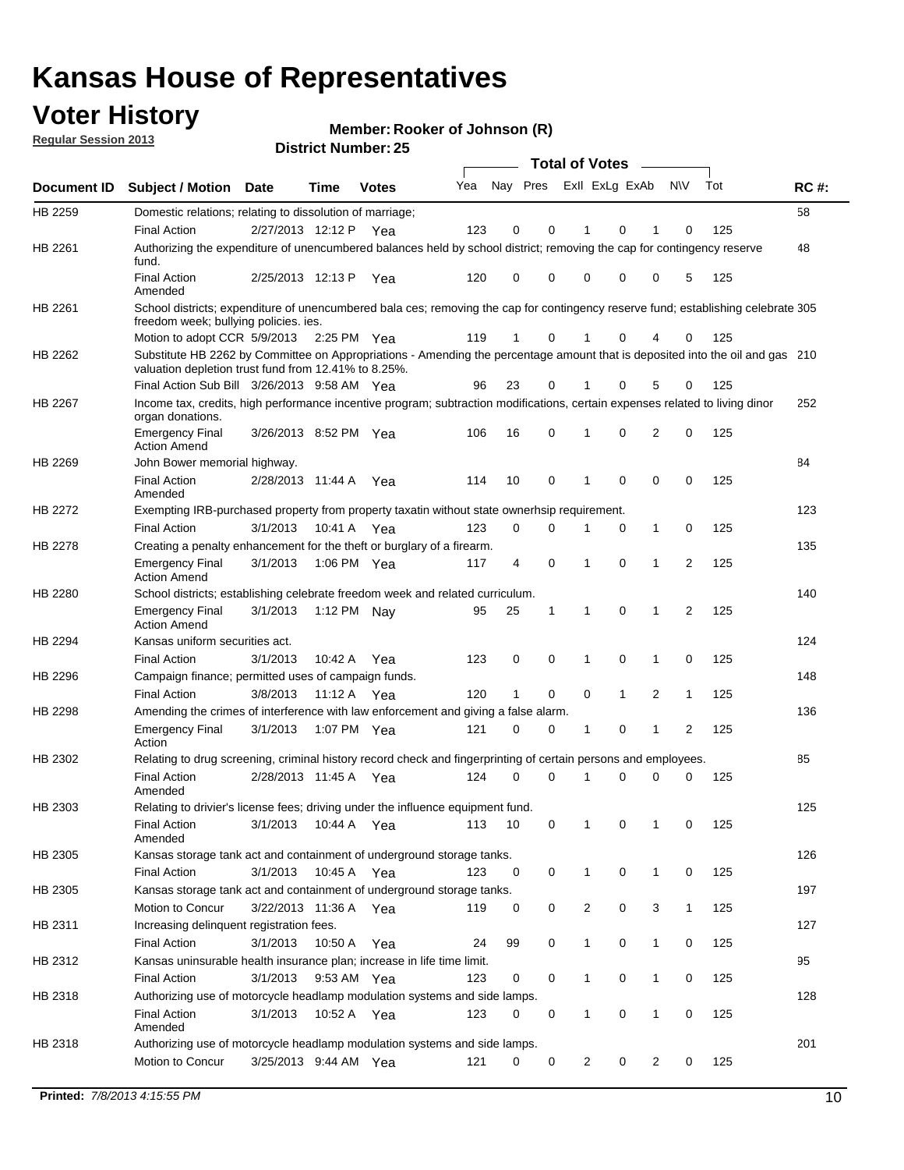## **Voter History**

**Member: Rooker of Johnson (R)** 

**Regular Session 2013**

|             |                                                                                                                                                                                       |                       | וסוש ויינווווערו ועוווט <i>ט</i> |              |     |                         |             | <b>Total of Votes</b> |              | $\overline{\phantom{a}}$ |              |     |             |
|-------------|---------------------------------------------------------------------------------------------------------------------------------------------------------------------------------------|-----------------------|----------------------------------|--------------|-----|-------------------------|-------------|-----------------------|--------------|--------------------------|--------------|-----|-------------|
| Document ID | <b>Subject / Motion Date</b>                                                                                                                                                          |                       | <b>Time</b>                      | <b>Votes</b> | Yea | Nay Pres Exll ExLg ExAb |             |                       |              |                          | <b>NV</b>    | Tot | <b>RC#:</b> |
| HB 2259     | Domestic relations; relating to dissolution of marriage;                                                                                                                              |                       |                                  |              |     |                         |             |                       |              |                          |              |     | 58          |
|             | <b>Final Action</b>                                                                                                                                                                   | 2/27/2013 12:12 P     |                                  | Yea          | 123 | 0                       | 0           | 1                     | 0            | 1                        | $\Omega$     | 125 |             |
| HB 2261     | Authorizing the expenditure of unencumbered balances held by school district; removing the cap for contingency reserve<br>fund.                                                       |                       |                                  |              |     |                         |             |                       |              |                          |              |     | 48          |
|             | <b>Final Action</b><br>Amended                                                                                                                                                        | 2/25/2013 12:13 P     |                                  | Yea          | 120 | 0                       | 0           | 0                     | 0            | 0                        | 5            | 125 |             |
| HB 2261     | School districts; expenditure of unencumbered bala ces; removing the cap for contingency reserve fund; establishing celebrate 305<br>freedom week; bullying policies. ies.            |                       |                                  |              |     |                         |             |                       |              |                          |              |     |             |
|             | Motion to adopt CCR 5/9/2013                                                                                                                                                          |                       | 2:25 PM Yea                      |              | 119 | 1                       | 0           |                       | 0            | 4                        | 0            | 125 |             |
| HB 2262     | Substitute HB 2262 by Committee on Appropriations - Amending the percentage amount that is deposited into the oil and gas 210<br>valuation depletion trust fund from 12.41% to 8.25%. |                       |                                  |              |     |                         |             |                       |              |                          |              |     |             |
|             | Final Action Sub Bill 3/26/2013 9:58 AM Yea                                                                                                                                           |                       |                                  |              | 96  | 23                      | 0           |                       | 0            | 5                        | 0            | 125 |             |
| HB 2267     | Income tax, credits, high performance incentive program; subtraction modifications, certain expenses related to living dinor<br>organ donations.                                      |                       |                                  |              |     |                         |             |                       |              |                          |              |     | 252         |
|             | <b>Emergency Final</b><br><b>Action Amend</b>                                                                                                                                         | 3/26/2013 8:52 PM Yea |                                  |              | 106 | 16                      | 0           | 1                     | 0            | 2                        | 0            | 125 |             |
| HB 2269     | John Bower memorial highway.                                                                                                                                                          |                       |                                  |              |     |                         |             |                       |              |                          |              |     | 84          |
|             | <b>Final Action</b><br>Amended                                                                                                                                                        | 2/28/2013 11:44 A Yea |                                  |              | 114 | 10                      | 0           | 1                     | 0            | 0                        | 0            | 125 |             |
| HB 2272     | Exempting IRB-purchased property from property taxatin without state ownerhsip requirement.                                                                                           |                       |                                  |              |     |                         |             |                       |              |                          |              |     | 123         |
|             | <b>Final Action</b>                                                                                                                                                                   | 3/1/2013              | 10:41 A                          | Yea          | 123 | 0                       | 0           | 1                     | 0            | $\mathbf{1}$             | 0            | 125 |             |
| HB 2278     | Creating a penalty enhancement for the theft or burglary of a firearm.                                                                                                                |                       |                                  |              |     |                         |             |                       |              |                          |              |     | 135         |
|             | <b>Emergency Final</b><br><b>Action Amend</b>                                                                                                                                         | 3/1/2013              | 1:06 PM Yea                      |              | 117 | 4                       | $\mathbf 0$ | 1                     | 0            | 1                        | 2            | 125 |             |
| HB 2280     | School districts; establishing celebrate freedom week and related curriculum.                                                                                                         |                       |                                  |              |     |                         |             |                       |              |                          |              |     | 140         |
|             | <b>Emergency Final</b><br><b>Action Amend</b>                                                                                                                                         | 3/1/2013              | 1:12 PM Nav                      |              | 95  | 25                      | 1           | 1                     | 0            | 1                        | 2            | 125 |             |
| HB 2294     | Kansas uniform securities act.                                                                                                                                                        |                       |                                  |              |     |                         |             |                       |              |                          |              |     | 124         |
|             | <b>Final Action</b>                                                                                                                                                                   | 3/1/2013              | 10:42 A                          | Yea          | 123 | 0                       | 0           | 1                     | 0            | 1                        | 0            | 125 |             |
| HB 2296     | Campaign finance; permitted uses of campaign funds.                                                                                                                                   |                       |                                  |              |     |                         |             |                       |              |                          |              |     | 148         |
|             | <b>Final Action</b>                                                                                                                                                                   | 3/8/2013              | 11:12 A Yea                      |              | 120 | $\mathbf{1}$            | 0           | 0                     | $\mathbf{1}$ | 2                        | $\mathbf{1}$ | 125 |             |
| HB 2298     | Amending the crimes of interference with law enforcement and giving a false alarm.                                                                                                    |                       |                                  |              |     |                         |             |                       |              |                          |              |     | 136         |
|             | <b>Emergency Final</b><br>Action                                                                                                                                                      | 3/1/2013              | 1:07 PM Yea                      |              | 121 | 0                       | 0           | 1                     | 0            | 1                        | 2            | 125 |             |
| HB 2302     | Relating to drug screening, criminal history record check and fingerprinting of certain persons and employees.                                                                        |                       |                                  |              |     |                         |             |                       |              |                          |              |     | 85          |
|             | <b>Final Action</b><br>Amended                                                                                                                                                        | 2/28/2013 11:45 A     |                                  | Yea          | 124 | 0                       | $\Omega$    | 1                     | 0            | 0                        | $\mathbf 0$  | 125 |             |
| HB 2303     | Relating to drivier's license fees; driving under the influence equipment fund.                                                                                                       |                       |                                  |              |     |                         |             |                       |              |                          |              |     | 125         |
|             | <b>Final Action</b><br>Amended                                                                                                                                                        | 3/1/2013              | 10:44 A                          | Yea          | 113 | 10                      | 0           | 1                     | 0            | 1                        | 0            | 125 |             |
| HB 2305     | Kansas storage tank act and containment of underground storage tanks.                                                                                                                 |                       |                                  |              |     |                         |             |                       |              |                          |              |     | 126         |
|             | <b>Final Action</b>                                                                                                                                                                   | 3/1/2013              | 10:45 A                          | Yea          | 123 | 0                       | 0           | 1                     | 0            | 1                        | 0            | 125 |             |
| HB 2305     | Kansas storage tank act and containment of underground storage tanks.                                                                                                                 |                       |                                  |              |     |                         |             |                       |              |                          |              |     | 197         |
|             | Motion to Concur                                                                                                                                                                      | 3/22/2013 11:36 A     |                                  | Yea          | 119 | 0                       | 0           | 2                     | 0            | 3                        | $\mathbf{1}$ | 125 |             |
| HB 2311     | Increasing delinquent registration fees.                                                                                                                                              |                       |                                  |              |     |                         |             |                       |              |                          |              |     | 127         |
|             | <b>Final Action</b>                                                                                                                                                                   | 3/1/2013              | 10:50 A                          | Yea          | 24  | 99                      | 0           | $\mathbf{1}$          | 0            | 1                        | 0            | 125 |             |
| HB 2312     | Kansas uninsurable health insurance plan; increase in life time limit.                                                                                                                |                       |                                  |              |     |                         |             |                       |              |                          |              |     | 95          |
|             | <b>Final Action</b>                                                                                                                                                                   | 3/1/2013              | 9:53 AM Yea                      |              | 123 | 0                       | 0           | 1                     | 0            | 1                        | 0            | 125 |             |
| HB 2318     | Authorizing use of motorcycle headlamp modulation systems and side lamps.                                                                                                             |                       |                                  |              |     |                         |             |                       |              |                          |              |     | 128         |
|             | <b>Final Action</b><br>Amended                                                                                                                                                        | 3/1/2013              | 10:52 A                          | Yea          | 123 | 0                       | 0           | 1                     | 0            | 1                        | 0            | 125 |             |
| HB 2318     | Authorizing use of motorcycle headlamp modulation systems and side lamps.                                                                                                             |                       |                                  |              |     |                         |             |                       |              |                          |              |     | 201         |
|             | Motion to Concur                                                                                                                                                                      | 3/25/2013 9:44 AM Yea |                                  |              | 121 | 0                       | 0           | 2                     | 0            | 2                        | 0            | 125 |             |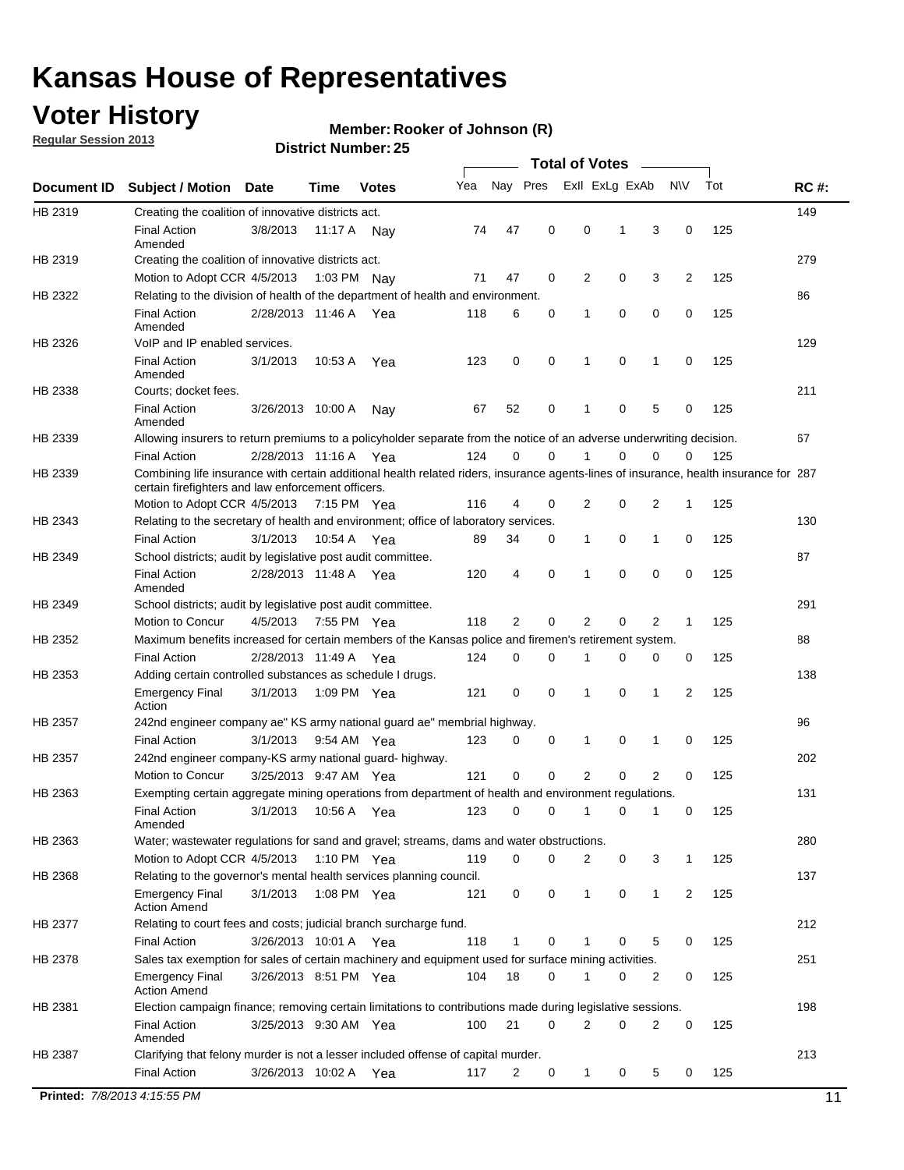## **Voter History**

**Member: Rooker of Johnson (R)** 

**Regular Session 2013**

| Nay Pres<br>Exll ExLg ExAb<br>Tot<br>Yea<br><b>NV</b><br><b>RC#:</b><br><b>Subject / Motion</b><br><b>Date</b><br>Time<br><b>Votes</b><br>149<br>Creating the coalition of innovative districts act.<br>47<br>0<br>0<br>125<br><b>Final Action</b><br>3/8/2013<br>74<br>1<br>3<br>0<br>11:17 A<br>Nav<br>Amended<br>279<br>Creating the coalition of innovative districts act.<br>47<br>0<br>2<br>0<br>3<br>$\overline{2}$<br>125<br>Motion to Adopt CCR 4/5/2013<br>1:03 PM<br>71<br>Nav<br>Relating to the division of health of the department of health and environment.<br>86<br>0<br>0<br>0<br>0<br>125<br><b>Final Action</b><br>2/28/2013 11:46 A Yea<br>118<br>6<br>1<br>Amended<br>129<br>VoIP and IP enabled services.<br>3/1/2013<br>123<br>0<br>0<br>1<br>0<br>1<br>0<br>125<br><b>Final Action</b><br>10:53 A<br>Yea<br>Amended<br>211<br>Courts; docket fees.<br><b>Final Action</b><br>52<br>0<br>5<br>125<br>3/26/2013 10:00 A<br>67<br>1<br>0<br>0<br>Nav<br>Amended<br>67<br>Allowing insurers to return premiums to a policyholder separate from the notice of an adverse underwriting decision.<br>0<br>2/28/2013 11:16 A Yea<br>124<br>0<br>1<br>0<br>0<br>125<br><b>Final Action</b><br>0<br>Combining life insurance with certain additional health related riders, insurance agents-lines of insurance, health insurance for 287<br>certain firefighters and law enforcement officers.<br>2<br>125<br>Motion to Adopt CCR 4/5/2013 7:15 PM Yea<br>116<br>4<br>0<br>0<br>2<br>1<br>Relating to the secretary of health and environment; office of laboratory services.<br>130<br><b>Final Action</b><br>3/1/2013<br>0<br>125<br>10:54 A Yea<br>89<br>34<br>0<br>1<br>1<br>0<br>87<br>School districts; audit by legislative post audit committee.<br>$\mathbf 0$<br>0<br>4<br>0<br>0<br>125<br><b>Final Action</b><br>2/28/2013 11:48 A Yea<br>120<br>1<br>Amended<br>291<br>School districts; audit by legislative post audit committee.<br>Motion to Concur<br>4/5/2013<br>7:55 PM Yea<br>118<br>2<br>0<br>2<br>0<br>2<br>125<br>1<br>Maximum benefits increased for certain members of the Kansas police and firemen's retirement system.<br>88<br><b>Final Action</b><br>2/28/2013 11:49 A<br>0<br>125<br>124<br>0<br>1<br>0<br>0<br>0<br>Yea<br>138<br>Adding certain controlled substances as schedule I drugs.<br>121<br>0<br>$\mathbf 0$<br>0<br>2<br>125<br><b>Emergency Final</b><br>3/1/2013<br>1:09 PM Yea<br>1<br>1<br>Action<br>96<br>242nd engineer company ae" KS army national guard ae" membrial highway.<br>3/1/2013<br>0<br>0<br>0<br>125<br><b>Final Action</b><br>9:54 AM Yea<br>123<br>1<br>1<br>0<br>202<br>242nd engineer company-KS army national guard- highway.<br>$\mathbf 0$<br>$\mathbf 0$<br>$\overline{2}$<br>0<br>2<br>3/25/2013 9:47 AM Yea<br>121<br>0<br>125<br>Motion to Concur<br>131<br>Exempting certain aggregate mining operations from department of health and environment regulations.<br>3/1/2013<br>10:56 A<br>123<br>0<br>0<br>125<br><b>Final Action</b><br>Yea<br>0<br>1<br>0<br>1<br>Amended<br>Water; wastewater regulations for sand and gravel; streams, dams and water obstructions.<br>280<br>Motion to Adopt CCR 4/5/2013<br>119<br>0<br>0<br>3<br>125<br>1:10 PM $Yea$<br>2<br>0<br>1<br>HB 2368<br>Relating to the governor's mental health services planning council.<br>137<br>0<br>0<br><b>Emergency Final</b><br>3/1/2013<br>1:08 PM Yea<br>121<br>0<br>1<br>$\mathbf{1}$<br>2<br>125<br><b>Action Amend</b><br>212<br>Relating to court fees and costs; judicial branch surcharge fund.<br>3/26/2013 10:01 A Yea<br>118<br>0<br>125<br><b>Final Action</b><br>5<br>0<br>1<br>0<br>Sales tax exemption for sales of certain machinery and equipment used for surface mining activities.<br>251<br>HB 2378<br>104<br>18<br>0<br>0<br>125<br><b>Emergency Final</b><br>3/26/2013 8:51 PM Yea<br>1<br>0<br>2<br><b>Action Amend</b><br>198<br>Election campaign finance; removing certain limitations to contributions made during legislative sessions.<br><b>Final Action</b><br>21<br>$\mathbf 0$<br>2<br>0<br>2<br>0<br>3/25/2013 9:30 AM Yea<br>100<br>125<br>Amended<br>213<br>Clarifying that felony murder is not a lesser included offense of capital murder.<br><b>Final Action</b><br>125<br>3/26/2013 10:02 A<br>117<br>2<br>0<br>$\mathbf{1}$<br>0<br>5<br>0<br>Yea<br>Printed: 7/8/2013 4:15:55 PM |             |  |  |  | <b>Total of Votes</b> |  |  |    |
|-------------------------------------------------------------------------------------------------------------------------------------------------------------------------------------------------------------------------------------------------------------------------------------------------------------------------------------------------------------------------------------------------------------------------------------------------------------------------------------------------------------------------------------------------------------------------------------------------------------------------------------------------------------------------------------------------------------------------------------------------------------------------------------------------------------------------------------------------------------------------------------------------------------------------------------------------------------------------------------------------------------------------------------------------------------------------------------------------------------------------------------------------------------------------------------------------------------------------------------------------------------------------------------------------------------------------------------------------------------------------------------------------------------------------------------------------------------------------------------------------------------------------------------------------------------------------------------------------------------------------------------------------------------------------------------------------------------------------------------------------------------------------------------------------------------------------------------------------------------------------------------------------------------------------------------------------------------------------------------------------------------------------------------------------------------------------------------------------------------------------------------------------------------------------------------------------------------------------------------------------------------------------------------------------------------------------------------------------------------------------------------------------------------------------------------------------------------------------------------------------------------------------------------------------------------------------------------------------------------------------------------------------------------------------------------------------------------------------------------------------------------------------------------------------------------------------------------------------------------------------------------------------------------------------------------------------------------------------------------------------------------------------------------------------------------------------------------------------------------------------------------------------------------------------------------------------------------------------------------------------------------------------------------------------------------------------------------------------------------------------------------------------------------------------------------------------------------------------------------------------------------------------------------------------------------------------------------------------------------------------------------------------------------------------------------------------------------------------------------------------------------------------------------------------------------------------------------------------------------------------------------------------------------------------------------------------------------------------------------------------------------------------------------------------------------------------------------------------------------------------------------------------------------------------------------------------------------------------------------------------------------------------------------------------------------------------------------------------------------------------------------------------------|-------------|--|--|--|-----------------------|--|--|----|
|                                                                                                                                                                                                                                                                                                                                                                                                                                                                                                                                                                                                                                                                                                                                                                                                                                                                                                                                                                                                                                                                                                                                                                                                                                                                                                                                                                                                                                                                                                                                                                                                                                                                                                                                                                                                                                                                                                                                                                                                                                                                                                                                                                                                                                                                                                                                                                                                                                                                                                                                                                                                                                                                                                                                                                                                                                                                                                                                                                                                                                                                                                                                                                                                                                                                                                                                                                                                                                                                                                                                                                                                                                                                                                                                                                                                                                                                                                                                                                                                                                                                                                                                                                                                                                                                                                                                                                                                       | Document ID |  |  |  |                       |  |  |    |
|                                                                                                                                                                                                                                                                                                                                                                                                                                                                                                                                                                                                                                                                                                                                                                                                                                                                                                                                                                                                                                                                                                                                                                                                                                                                                                                                                                                                                                                                                                                                                                                                                                                                                                                                                                                                                                                                                                                                                                                                                                                                                                                                                                                                                                                                                                                                                                                                                                                                                                                                                                                                                                                                                                                                                                                                                                                                                                                                                                                                                                                                                                                                                                                                                                                                                                                                                                                                                                                                                                                                                                                                                                                                                                                                                                                                                                                                                                                                                                                                                                                                                                                                                                                                                                                                                                                                                                                                       | HB 2319     |  |  |  |                       |  |  |    |
|                                                                                                                                                                                                                                                                                                                                                                                                                                                                                                                                                                                                                                                                                                                                                                                                                                                                                                                                                                                                                                                                                                                                                                                                                                                                                                                                                                                                                                                                                                                                                                                                                                                                                                                                                                                                                                                                                                                                                                                                                                                                                                                                                                                                                                                                                                                                                                                                                                                                                                                                                                                                                                                                                                                                                                                                                                                                                                                                                                                                                                                                                                                                                                                                                                                                                                                                                                                                                                                                                                                                                                                                                                                                                                                                                                                                                                                                                                                                                                                                                                                                                                                                                                                                                                                                                                                                                                                                       |             |  |  |  |                       |  |  |    |
|                                                                                                                                                                                                                                                                                                                                                                                                                                                                                                                                                                                                                                                                                                                                                                                                                                                                                                                                                                                                                                                                                                                                                                                                                                                                                                                                                                                                                                                                                                                                                                                                                                                                                                                                                                                                                                                                                                                                                                                                                                                                                                                                                                                                                                                                                                                                                                                                                                                                                                                                                                                                                                                                                                                                                                                                                                                                                                                                                                                                                                                                                                                                                                                                                                                                                                                                                                                                                                                                                                                                                                                                                                                                                                                                                                                                                                                                                                                                                                                                                                                                                                                                                                                                                                                                                                                                                                                                       | HB 2319     |  |  |  |                       |  |  |    |
|                                                                                                                                                                                                                                                                                                                                                                                                                                                                                                                                                                                                                                                                                                                                                                                                                                                                                                                                                                                                                                                                                                                                                                                                                                                                                                                                                                                                                                                                                                                                                                                                                                                                                                                                                                                                                                                                                                                                                                                                                                                                                                                                                                                                                                                                                                                                                                                                                                                                                                                                                                                                                                                                                                                                                                                                                                                                                                                                                                                                                                                                                                                                                                                                                                                                                                                                                                                                                                                                                                                                                                                                                                                                                                                                                                                                                                                                                                                                                                                                                                                                                                                                                                                                                                                                                                                                                                                                       |             |  |  |  |                       |  |  |    |
|                                                                                                                                                                                                                                                                                                                                                                                                                                                                                                                                                                                                                                                                                                                                                                                                                                                                                                                                                                                                                                                                                                                                                                                                                                                                                                                                                                                                                                                                                                                                                                                                                                                                                                                                                                                                                                                                                                                                                                                                                                                                                                                                                                                                                                                                                                                                                                                                                                                                                                                                                                                                                                                                                                                                                                                                                                                                                                                                                                                                                                                                                                                                                                                                                                                                                                                                                                                                                                                                                                                                                                                                                                                                                                                                                                                                                                                                                                                                                                                                                                                                                                                                                                                                                                                                                                                                                                                                       | HB 2322     |  |  |  |                       |  |  |    |
|                                                                                                                                                                                                                                                                                                                                                                                                                                                                                                                                                                                                                                                                                                                                                                                                                                                                                                                                                                                                                                                                                                                                                                                                                                                                                                                                                                                                                                                                                                                                                                                                                                                                                                                                                                                                                                                                                                                                                                                                                                                                                                                                                                                                                                                                                                                                                                                                                                                                                                                                                                                                                                                                                                                                                                                                                                                                                                                                                                                                                                                                                                                                                                                                                                                                                                                                                                                                                                                                                                                                                                                                                                                                                                                                                                                                                                                                                                                                                                                                                                                                                                                                                                                                                                                                                                                                                                                                       |             |  |  |  |                       |  |  |    |
|                                                                                                                                                                                                                                                                                                                                                                                                                                                                                                                                                                                                                                                                                                                                                                                                                                                                                                                                                                                                                                                                                                                                                                                                                                                                                                                                                                                                                                                                                                                                                                                                                                                                                                                                                                                                                                                                                                                                                                                                                                                                                                                                                                                                                                                                                                                                                                                                                                                                                                                                                                                                                                                                                                                                                                                                                                                                                                                                                                                                                                                                                                                                                                                                                                                                                                                                                                                                                                                                                                                                                                                                                                                                                                                                                                                                                                                                                                                                                                                                                                                                                                                                                                                                                                                                                                                                                                                                       | HB 2326     |  |  |  |                       |  |  |    |
|                                                                                                                                                                                                                                                                                                                                                                                                                                                                                                                                                                                                                                                                                                                                                                                                                                                                                                                                                                                                                                                                                                                                                                                                                                                                                                                                                                                                                                                                                                                                                                                                                                                                                                                                                                                                                                                                                                                                                                                                                                                                                                                                                                                                                                                                                                                                                                                                                                                                                                                                                                                                                                                                                                                                                                                                                                                                                                                                                                                                                                                                                                                                                                                                                                                                                                                                                                                                                                                                                                                                                                                                                                                                                                                                                                                                                                                                                                                                                                                                                                                                                                                                                                                                                                                                                                                                                                                                       |             |  |  |  |                       |  |  |    |
|                                                                                                                                                                                                                                                                                                                                                                                                                                                                                                                                                                                                                                                                                                                                                                                                                                                                                                                                                                                                                                                                                                                                                                                                                                                                                                                                                                                                                                                                                                                                                                                                                                                                                                                                                                                                                                                                                                                                                                                                                                                                                                                                                                                                                                                                                                                                                                                                                                                                                                                                                                                                                                                                                                                                                                                                                                                                                                                                                                                                                                                                                                                                                                                                                                                                                                                                                                                                                                                                                                                                                                                                                                                                                                                                                                                                                                                                                                                                                                                                                                                                                                                                                                                                                                                                                                                                                                                                       | HB 2338     |  |  |  |                       |  |  |    |
|                                                                                                                                                                                                                                                                                                                                                                                                                                                                                                                                                                                                                                                                                                                                                                                                                                                                                                                                                                                                                                                                                                                                                                                                                                                                                                                                                                                                                                                                                                                                                                                                                                                                                                                                                                                                                                                                                                                                                                                                                                                                                                                                                                                                                                                                                                                                                                                                                                                                                                                                                                                                                                                                                                                                                                                                                                                                                                                                                                                                                                                                                                                                                                                                                                                                                                                                                                                                                                                                                                                                                                                                                                                                                                                                                                                                                                                                                                                                                                                                                                                                                                                                                                                                                                                                                                                                                                                                       |             |  |  |  |                       |  |  |    |
|                                                                                                                                                                                                                                                                                                                                                                                                                                                                                                                                                                                                                                                                                                                                                                                                                                                                                                                                                                                                                                                                                                                                                                                                                                                                                                                                                                                                                                                                                                                                                                                                                                                                                                                                                                                                                                                                                                                                                                                                                                                                                                                                                                                                                                                                                                                                                                                                                                                                                                                                                                                                                                                                                                                                                                                                                                                                                                                                                                                                                                                                                                                                                                                                                                                                                                                                                                                                                                                                                                                                                                                                                                                                                                                                                                                                                                                                                                                                                                                                                                                                                                                                                                                                                                                                                                                                                                                                       | HB 2339     |  |  |  |                       |  |  |    |
|                                                                                                                                                                                                                                                                                                                                                                                                                                                                                                                                                                                                                                                                                                                                                                                                                                                                                                                                                                                                                                                                                                                                                                                                                                                                                                                                                                                                                                                                                                                                                                                                                                                                                                                                                                                                                                                                                                                                                                                                                                                                                                                                                                                                                                                                                                                                                                                                                                                                                                                                                                                                                                                                                                                                                                                                                                                                                                                                                                                                                                                                                                                                                                                                                                                                                                                                                                                                                                                                                                                                                                                                                                                                                                                                                                                                                                                                                                                                                                                                                                                                                                                                                                                                                                                                                                                                                                                                       |             |  |  |  |                       |  |  |    |
|                                                                                                                                                                                                                                                                                                                                                                                                                                                                                                                                                                                                                                                                                                                                                                                                                                                                                                                                                                                                                                                                                                                                                                                                                                                                                                                                                                                                                                                                                                                                                                                                                                                                                                                                                                                                                                                                                                                                                                                                                                                                                                                                                                                                                                                                                                                                                                                                                                                                                                                                                                                                                                                                                                                                                                                                                                                                                                                                                                                                                                                                                                                                                                                                                                                                                                                                                                                                                                                                                                                                                                                                                                                                                                                                                                                                                                                                                                                                                                                                                                                                                                                                                                                                                                                                                                                                                                                                       | HB 2339     |  |  |  |                       |  |  |    |
|                                                                                                                                                                                                                                                                                                                                                                                                                                                                                                                                                                                                                                                                                                                                                                                                                                                                                                                                                                                                                                                                                                                                                                                                                                                                                                                                                                                                                                                                                                                                                                                                                                                                                                                                                                                                                                                                                                                                                                                                                                                                                                                                                                                                                                                                                                                                                                                                                                                                                                                                                                                                                                                                                                                                                                                                                                                                                                                                                                                                                                                                                                                                                                                                                                                                                                                                                                                                                                                                                                                                                                                                                                                                                                                                                                                                                                                                                                                                                                                                                                                                                                                                                                                                                                                                                                                                                                                                       |             |  |  |  |                       |  |  |    |
|                                                                                                                                                                                                                                                                                                                                                                                                                                                                                                                                                                                                                                                                                                                                                                                                                                                                                                                                                                                                                                                                                                                                                                                                                                                                                                                                                                                                                                                                                                                                                                                                                                                                                                                                                                                                                                                                                                                                                                                                                                                                                                                                                                                                                                                                                                                                                                                                                                                                                                                                                                                                                                                                                                                                                                                                                                                                                                                                                                                                                                                                                                                                                                                                                                                                                                                                                                                                                                                                                                                                                                                                                                                                                                                                                                                                                                                                                                                                                                                                                                                                                                                                                                                                                                                                                                                                                                                                       | HB 2343     |  |  |  |                       |  |  |    |
|                                                                                                                                                                                                                                                                                                                                                                                                                                                                                                                                                                                                                                                                                                                                                                                                                                                                                                                                                                                                                                                                                                                                                                                                                                                                                                                                                                                                                                                                                                                                                                                                                                                                                                                                                                                                                                                                                                                                                                                                                                                                                                                                                                                                                                                                                                                                                                                                                                                                                                                                                                                                                                                                                                                                                                                                                                                                                                                                                                                                                                                                                                                                                                                                                                                                                                                                                                                                                                                                                                                                                                                                                                                                                                                                                                                                                                                                                                                                                                                                                                                                                                                                                                                                                                                                                                                                                                                                       |             |  |  |  |                       |  |  |    |
|                                                                                                                                                                                                                                                                                                                                                                                                                                                                                                                                                                                                                                                                                                                                                                                                                                                                                                                                                                                                                                                                                                                                                                                                                                                                                                                                                                                                                                                                                                                                                                                                                                                                                                                                                                                                                                                                                                                                                                                                                                                                                                                                                                                                                                                                                                                                                                                                                                                                                                                                                                                                                                                                                                                                                                                                                                                                                                                                                                                                                                                                                                                                                                                                                                                                                                                                                                                                                                                                                                                                                                                                                                                                                                                                                                                                                                                                                                                                                                                                                                                                                                                                                                                                                                                                                                                                                                                                       | HB 2349     |  |  |  |                       |  |  |    |
|                                                                                                                                                                                                                                                                                                                                                                                                                                                                                                                                                                                                                                                                                                                                                                                                                                                                                                                                                                                                                                                                                                                                                                                                                                                                                                                                                                                                                                                                                                                                                                                                                                                                                                                                                                                                                                                                                                                                                                                                                                                                                                                                                                                                                                                                                                                                                                                                                                                                                                                                                                                                                                                                                                                                                                                                                                                                                                                                                                                                                                                                                                                                                                                                                                                                                                                                                                                                                                                                                                                                                                                                                                                                                                                                                                                                                                                                                                                                                                                                                                                                                                                                                                                                                                                                                                                                                                                                       |             |  |  |  |                       |  |  |    |
|                                                                                                                                                                                                                                                                                                                                                                                                                                                                                                                                                                                                                                                                                                                                                                                                                                                                                                                                                                                                                                                                                                                                                                                                                                                                                                                                                                                                                                                                                                                                                                                                                                                                                                                                                                                                                                                                                                                                                                                                                                                                                                                                                                                                                                                                                                                                                                                                                                                                                                                                                                                                                                                                                                                                                                                                                                                                                                                                                                                                                                                                                                                                                                                                                                                                                                                                                                                                                                                                                                                                                                                                                                                                                                                                                                                                                                                                                                                                                                                                                                                                                                                                                                                                                                                                                                                                                                                                       | HB 2349     |  |  |  |                       |  |  |    |
|                                                                                                                                                                                                                                                                                                                                                                                                                                                                                                                                                                                                                                                                                                                                                                                                                                                                                                                                                                                                                                                                                                                                                                                                                                                                                                                                                                                                                                                                                                                                                                                                                                                                                                                                                                                                                                                                                                                                                                                                                                                                                                                                                                                                                                                                                                                                                                                                                                                                                                                                                                                                                                                                                                                                                                                                                                                                                                                                                                                                                                                                                                                                                                                                                                                                                                                                                                                                                                                                                                                                                                                                                                                                                                                                                                                                                                                                                                                                                                                                                                                                                                                                                                                                                                                                                                                                                                                                       |             |  |  |  |                       |  |  |    |
|                                                                                                                                                                                                                                                                                                                                                                                                                                                                                                                                                                                                                                                                                                                                                                                                                                                                                                                                                                                                                                                                                                                                                                                                                                                                                                                                                                                                                                                                                                                                                                                                                                                                                                                                                                                                                                                                                                                                                                                                                                                                                                                                                                                                                                                                                                                                                                                                                                                                                                                                                                                                                                                                                                                                                                                                                                                                                                                                                                                                                                                                                                                                                                                                                                                                                                                                                                                                                                                                                                                                                                                                                                                                                                                                                                                                                                                                                                                                                                                                                                                                                                                                                                                                                                                                                                                                                                                                       | HB 2352     |  |  |  |                       |  |  |    |
|                                                                                                                                                                                                                                                                                                                                                                                                                                                                                                                                                                                                                                                                                                                                                                                                                                                                                                                                                                                                                                                                                                                                                                                                                                                                                                                                                                                                                                                                                                                                                                                                                                                                                                                                                                                                                                                                                                                                                                                                                                                                                                                                                                                                                                                                                                                                                                                                                                                                                                                                                                                                                                                                                                                                                                                                                                                                                                                                                                                                                                                                                                                                                                                                                                                                                                                                                                                                                                                                                                                                                                                                                                                                                                                                                                                                                                                                                                                                                                                                                                                                                                                                                                                                                                                                                                                                                                                                       |             |  |  |  |                       |  |  |    |
|                                                                                                                                                                                                                                                                                                                                                                                                                                                                                                                                                                                                                                                                                                                                                                                                                                                                                                                                                                                                                                                                                                                                                                                                                                                                                                                                                                                                                                                                                                                                                                                                                                                                                                                                                                                                                                                                                                                                                                                                                                                                                                                                                                                                                                                                                                                                                                                                                                                                                                                                                                                                                                                                                                                                                                                                                                                                                                                                                                                                                                                                                                                                                                                                                                                                                                                                                                                                                                                                                                                                                                                                                                                                                                                                                                                                                                                                                                                                                                                                                                                                                                                                                                                                                                                                                                                                                                                                       | HB 2353     |  |  |  |                       |  |  |    |
|                                                                                                                                                                                                                                                                                                                                                                                                                                                                                                                                                                                                                                                                                                                                                                                                                                                                                                                                                                                                                                                                                                                                                                                                                                                                                                                                                                                                                                                                                                                                                                                                                                                                                                                                                                                                                                                                                                                                                                                                                                                                                                                                                                                                                                                                                                                                                                                                                                                                                                                                                                                                                                                                                                                                                                                                                                                                                                                                                                                                                                                                                                                                                                                                                                                                                                                                                                                                                                                                                                                                                                                                                                                                                                                                                                                                                                                                                                                                                                                                                                                                                                                                                                                                                                                                                                                                                                                                       |             |  |  |  |                       |  |  |    |
|                                                                                                                                                                                                                                                                                                                                                                                                                                                                                                                                                                                                                                                                                                                                                                                                                                                                                                                                                                                                                                                                                                                                                                                                                                                                                                                                                                                                                                                                                                                                                                                                                                                                                                                                                                                                                                                                                                                                                                                                                                                                                                                                                                                                                                                                                                                                                                                                                                                                                                                                                                                                                                                                                                                                                                                                                                                                                                                                                                                                                                                                                                                                                                                                                                                                                                                                                                                                                                                                                                                                                                                                                                                                                                                                                                                                                                                                                                                                                                                                                                                                                                                                                                                                                                                                                                                                                                                                       | HB 2357     |  |  |  |                       |  |  |    |
|                                                                                                                                                                                                                                                                                                                                                                                                                                                                                                                                                                                                                                                                                                                                                                                                                                                                                                                                                                                                                                                                                                                                                                                                                                                                                                                                                                                                                                                                                                                                                                                                                                                                                                                                                                                                                                                                                                                                                                                                                                                                                                                                                                                                                                                                                                                                                                                                                                                                                                                                                                                                                                                                                                                                                                                                                                                                                                                                                                                                                                                                                                                                                                                                                                                                                                                                                                                                                                                                                                                                                                                                                                                                                                                                                                                                                                                                                                                                                                                                                                                                                                                                                                                                                                                                                                                                                                                                       |             |  |  |  |                       |  |  |    |
|                                                                                                                                                                                                                                                                                                                                                                                                                                                                                                                                                                                                                                                                                                                                                                                                                                                                                                                                                                                                                                                                                                                                                                                                                                                                                                                                                                                                                                                                                                                                                                                                                                                                                                                                                                                                                                                                                                                                                                                                                                                                                                                                                                                                                                                                                                                                                                                                                                                                                                                                                                                                                                                                                                                                                                                                                                                                                                                                                                                                                                                                                                                                                                                                                                                                                                                                                                                                                                                                                                                                                                                                                                                                                                                                                                                                                                                                                                                                                                                                                                                                                                                                                                                                                                                                                                                                                                                                       | HB 2357     |  |  |  |                       |  |  |    |
|                                                                                                                                                                                                                                                                                                                                                                                                                                                                                                                                                                                                                                                                                                                                                                                                                                                                                                                                                                                                                                                                                                                                                                                                                                                                                                                                                                                                                                                                                                                                                                                                                                                                                                                                                                                                                                                                                                                                                                                                                                                                                                                                                                                                                                                                                                                                                                                                                                                                                                                                                                                                                                                                                                                                                                                                                                                                                                                                                                                                                                                                                                                                                                                                                                                                                                                                                                                                                                                                                                                                                                                                                                                                                                                                                                                                                                                                                                                                                                                                                                                                                                                                                                                                                                                                                                                                                                                                       |             |  |  |  |                       |  |  |    |
|                                                                                                                                                                                                                                                                                                                                                                                                                                                                                                                                                                                                                                                                                                                                                                                                                                                                                                                                                                                                                                                                                                                                                                                                                                                                                                                                                                                                                                                                                                                                                                                                                                                                                                                                                                                                                                                                                                                                                                                                                                                                                                                                                                                                                                                                                                                                                                                                                                                                                                                                                                                                                                                                                                                                                                                                                                                                                                                                                                                                                                                                                                                                                                                                                                                                                                                                                                                                                                                                                                                                                                                                                                                                                                                                                                                                                                                                                                                                                                                                                                                                                                                                                                                                                                                                                                                                                                                                       | HB 2363     |  |  |  |                       |  |  |    |
|                                                                                                                                                                                                                                                                                                                                                                                                                                                                                                                                                                                                                                                                                                                                                                                                                                                                                                                                                                                                                                                                                                                                                                                                                                                                                                                                                                                                                                                                                                                                                                                                                                                                                                                                                                                                                                                                                                                                                                                                                                                                                                                                                                                                                                                                                                                                                                                                                                                                                                                                                                                                                                                                                                                                                                                                                                                                                                                                                                                                                                                                                                                                                                                                                                                                                                                                                                                                                                                                                                                                                                                                                                                                                                                                                                                                                                                                                                                                                                                                                                                                                                                                                                                                                                                                                                                                                                                                       |             |  |  |  |                       |  |  |    |
|                                                                                                                                                                                                                                                                                                                                                                                                                                                                                                                                                                                                                                                                                                                                                                                                                                                                                                                                                                                                                                                                                                                                                                                                                                                                                                                                                                                                                                                                                                                                                                                                                                                                                                                                                                                                                                                                                                                                                                                                                                                                                                                                                                                                                                                                                                                                                                                                                                                                                                                                                                                                                                                                                                                                                                                                                                                                                                                                                                                                                                                                                                                                                                                                                                                                                                                                                                                                                                                                                                                                                                                                                                                                                                                                                                                                                                                                                                                                                                                                                                                                                                                                                                                                                                                                                                                                                                                                       | HB 2363     |  |  |  |                       |  |  |    |
|                                                                                                                                                                                                                                                                                                                                                                                                                                                                                                                                                                                                                                                                                                                                                                                                                                                                                                                                                                                                                                                                                                                                                                                                                                                                                                                                                                                                                                                                                                                                                                                                                                                                                                                                                                                                                                                                                                                                                                                                                                                                                                                                                                                                                                                                                                                                                                                                                                                                                                                                                                                                                                                                                                                                                                                                                                                                                                                                                                                                                                                                                                                                                                                                                                                                                                                                                                                                                                                                                                                                                                                                                                                                                                                                                                                                                                                                                                                                                                                                                                                                                                                                                                                                                                                                                                                                                                                                       |             |  |  |  |                       |  |  |    |
|                                                                                                                                                                                                                                                                                                                                                                                                                                                                                                                                                                                                                                                                                                                                                                                                                                                                                                                                                                                                                                                                                                                                                                                                                                                                                                                                                                                                                                                                                                                                                                                                                                                                                                                                                                                                                                                                                                                                                                                                                                                                                                                                                                                                                                                                                                                                                                                                                                                                                                                                                                                                                                                                                                                                                                                                                                                                                                                                                                                                                                                                                                                                                                                                                                                                                                                                                                                                                                                                                                                                                                                                                                                                                                                                                                                                                                                                                                                                                                                                                                                                                                                                                                                                                                                                                                                                                                                                       |             |  |  |  |                       |  |  |    |
|                                                                                                                                                                                                                                                                                                                                                                                                                                                                                                                                                                                                                                                                                                                                                                                                                                                                                                                                                                                                                                                                                                                                                                                                                                                                                                                                                                                                                                                                                                                                                                                                                                                                                                                                                                                                                                                                                                                                                                                                                                                                                                                                                                                                                                                                                                                                                                                                                                                                                                                                                                                                                                                                                                                                                                                                                                                                                                                                                                                                                                                                                                                                                                                                                                                                                                                                                                                                                                                                                                                                                                                                                                                                                                                                                                                                                                                                                                                                                                                                                                                                                                                                                                                                                                                                                                                                                                                                       |             |  |  |  |                       |  |  |    |
|                                                                                                                                                                                                                                                                                                                                                                                                                                                                                                                                                                                                                                                                                                                                                                                                                                                                                                                                                                                                                                                                                                                                                                                                                                                                                                                                                                                                                                                                                                                                                                                                                                                                                                                                                                                                                                                                                                                                                                                                                                                                                                                                                                                                                                                                                                                                                                                                                                                                                                                                                                                                                                                                                                                                                                                                                                                                                                                                                                                                                                                                                                                                                                                                                                                                                                                                                                                                                                                                                                                                                                                                                                                                                                                                                                                                                                                                                                                                                                                                                                                                                                                                                                                                                                                                                                                                                                                                       | HB 2377     |  |  |  |                       |  |  |    |
|                                                                                                                                                                                                                                                                                                                                                                                                                                                                                                                                                                                                                                                                                                                                                                                                                                                                                                                                                                                                                                                                                                                                                                                                                                                                                                                                                                                                                                                                                                                                                                                                                                                                                                                                                                                                                                                                                                                                                                                                                                                                                                                                                                                                                                                                                                                                                                                                                                                                                                                                                                                                                                                                                                                                                                                                                                                                                                                                                                                                                                                                                                                                                                                                                                                                                                                                                                                                                                                                                                                                                                                                                                                                                                                                                                                                                                                                                                                                                                                                                                                                                                                                                                                                                                                                                                                                                                                                       |             |  |  |  |                       |  |  |    |
|                                                                                                                                                                                                                                                                                                                                                                                                                                                                                                                                                                                                                                                                                                                                                                                                                                                                                                                                                                                                                                                                                                                                                                                                                                                                                                                                                                                                                                                                                                                                                                                                                                                                                                                                                                                                                                                                                                                                                                                                                                                                                                                                                                                                                                                                                                                                                                                                                                                                                                                                                                                                                                                                                                                                                                                                                                                                                                                                                                                                                                                                                                                                                                                                                                                                                                                                                                                                                                                                                                                                                                                                                                                                                                                                                                                                                                                                                                                                                                                                                                                                                                                                                                                                                                                                                                                                                                                                       |             |  |  |  |                       |  |  |    |
|                                                                                                                                                                                                                                                                                                                                                                                                                                                                                                                                                                                                                                                                                                                                                                                                                                                                                                                                                                                                                                                                                                                                                                                                                                                                                                                                                                                                                                                                                                                                                                                                                                                                                                                                                                                                                                                                                                                                                                                                                                                                                                                                                                                                                                                                                                                                                                                                                                                                                                                                                                                                                                                                                                                                                                                                                                                                                                                                                                                                                                                                                                                                                                                                                                                                                                                                                                                                                                                                                                                                                                                                                                                                                                                                                                                                                                                                                                                                                                                                                                                                                                                                                                                                                                                                                                                                                                                                       |             |  |  |  |                       |  |  |    |
|                                                                                                                                                                                                                                                                                                                                                                                                                                                                                                                                                                                                                                                                                                                                                                                                                                                                                                                                                                                                                                                                                                                                                                                                                                                                                                                                                                                                                                                                                                                                                                                                                                                                                                                                                                                                                                                                                                                                                                                                                                                                                                                                                                                                                                                                                                                                                                                                                                                                                                                                                                                                                                                                                                                                                                                                                                                                                                                                                                                                                                                                                                                                                                                                                                                                                                                                                                                                                                                                                                                                                                                                                                                                                                                                                                                                                                                                                                                                                                                                                                                                                                                                                                                                                                                                                                                                                                                                       | HB 2381     |  |  |  |                       |  |  |    |
|                                                                                                                                                                                                                                                                                                                                                                                                                                                                                                                                                                                                                                                                                                                                                                                                                                                                                                                                                                                                                                                                                                                                                                                                                                                                                                                                                                                                                                                                                                                                                                                                                                                                                                                                                                                                                                                                                                                                                                                                                                                                                                                                                                                                                                                                                                                                                                                                                                                                                                                                                                                                                                                                                                                                                                                                                                                                                                                                                                                                                                                                                                                                                                                                                                                                                                                                                                                                                                                                                                                                                                                                                                                                                                                                                                                                                                                                                                                                                                                                                                                                                                                                                                                                                                                                                                                                                                                                       |             |  |  |  |                       |  |  |    |
|                                                                                                                                                                                                                                                                                                                                                                                                                                                                                                                                                                                                                                                                                                                                                                                                                                                                                                                                                                                                                                                                                                                                                                                                                                                                                                                                                                                                                                                                                                                                                                                                                                                                                                                                                                                                                                                                                                                                                                                                                                                                                                                                                                                                                                                                                                                                                                                                                                                                                                                                                                                                                                                                                                                                                                                                                                                                                                                                                                                                                                                                                                                                                                                                                                                                                                                                                                                                                                                                                                                                                                                                                                                                                                                                                                                                                                                                                                                                                                                                                                                                                                                                                                                                                                                                                                                                                                                                       |             |  |  |  |                       |  |  |    |
|                                                                                                                                                                                                                                                                                                                                                                                                                                                                                                                                                                                                                                                                                                                                                                                                                                                                                                                                                                                                                                                                                                                                                                                                                                                                                                                                                                                                                                                                                                                                                                                                                                                                                                                                                                                                                                                                                                                                                                                                                                                                                                                                                                                                                                                                                                                                                                                                                                                                                                                                                                                                                                                                                                                                                                                                                                                                                                                                                                                                                                                                                                                                                                                                                                                                                                                                                                                                                                                                                                                                                                                                                                                                                                                                                                                                                                                                                                                                                                                                                                                                                                                                                                                                                                                                                                                                                                                                       | HB 2387     |  |  |  |                       |  |  |    |
|                                                                                                                                                                                                                                                                                                                                                                                                                                                                                                                                                                                                                                                                                                                                                                                                                                                                                                                                                                                                                                                                                                                                                                                                                                                                                                                                                                                                                                                                                                                                                                                                                                                                                                                                                                                                                                                                                                                                                                                                                                                                                                                                                                                                                                                                                                                                                                                                                                                                                                                                                                                                                                                                                                                                                                                                                                                                                                                                                                                                                                                                                                                                                                                                                                                                                                                                                                                                                                                                                                                                                                                                                                                                                                                                                                                                                                                                                                                                                                                                                                                                                                                                                                                                                                                                                                                                                                                                       |             |  |  |  |                       |  |  |    |
|                                                                                                                                                                                                                                                                                                                                                                                                                                                                                                                                                                                                                                                                                                                                                                                                                                                                                                                                                                                                                                                                                                                                                                                                                                                                                                                                                                                                                                                                                                                                                                                                                                                                                                                                                                                                                                                                                                                                                                                                                                                                                                                                                                                                                                                                                                                                                                                                                                                                                                                                                                                                                                                                                                                                                                                                                                                                                                                                                                                                                                                                                                                                                                                                                                                                                                                                                                                                                                                                                                                                                                                                                                                                                                                                                                                                                                                                                                                                                                                                                                                                                                                                                                                                                                                                                                                                                                                                       |             |  |  |  |                       |  |  | 11 |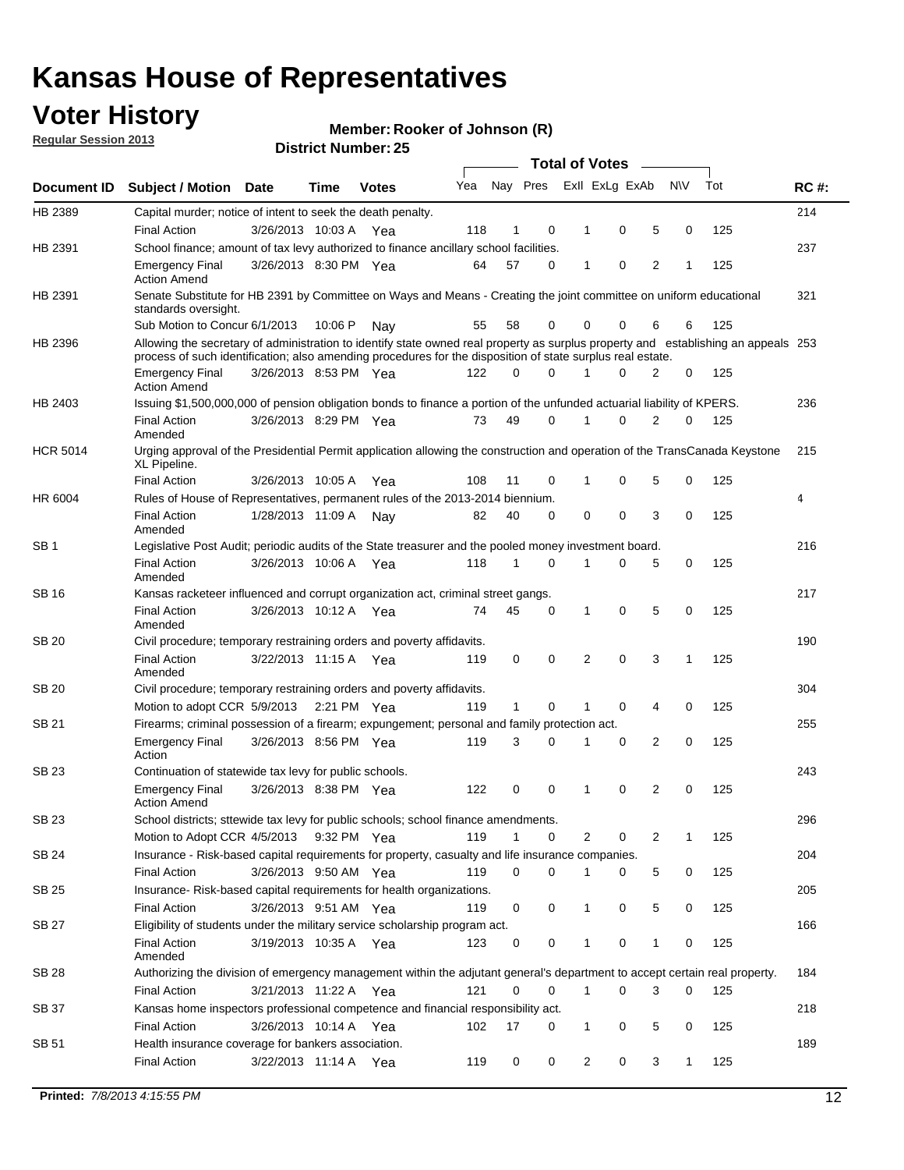## **Voter History**

**Member: Rooker of Johnson (R)** 

**Regular Session 2013**

|                 |                                                                                                                                                                                                                                                  |                       |         | PIJUIVI INUIIIVUI . 4J |     |              |             |              | <b>Total of Votes</b> | $\overline{\phantom{a}}$ |           |     |             |
|-----------------|--------------------------------------------------------------------------------------------------------------------------------------------------------------------------------------------------------------------------------------------------|-----------------------|---------|------------------------|-----|--------------|-------------|--------------|-----------------------|--------------------------|-----------|-----|-------------|
| Document ID     | <b>Subject / Motion Date</b>                                                                                                                                                                                                                     |                       | Time    | <b>Votes</b>           | Yea | Nay Pres     |             |              | Exll ExLg ExAb        |                          | <b>NV</b> | Tot | <b>RC#:</b> |
| HB 2389         | Capital murder; notice of intent to seek the death penalty.                                                                                                                                                                                      |                       |         |                        |     |              |             |              |                       |                          |           |     | 214         |
|                 | <b>Final Action</b>                                                                                                                                                                                                                              | 3/26/2013 10:03 A Yea |         |                        | 118 | 1            | 0           | 1            | 0                     | 5                        | 0         | 125 |             |
| HB 2391         | School finance; amount of tax levy authorized to finance ancillary school facilities.                                                                                                                                                            |                       |         |                        |     |              |             |              |                       |                          |           |     | 237         |
|                 | <b>Emergency Final</b><br><b>Action Amend</b>                                                                                                                                                                                                    | 3/26/2013 8:30 PM Yea |         |                        | 64  | 57           | $\Omega$    | 1            | 0                     | $\overline{2}$           | 1         | 125 |             |
| HB 2391         | Senate Substitute for HB 2391 by Committee on Ways and Means - Creating the joint committee on uniform educational<br>standards oversight.                                                                                                       |                       |         |                        |     |              |             |              |                       |                          |           |     | 321         |
|                 | Sub Motion to Concur 6/1/2013                                                                                                                                                                                                                    |                       | 10:06 P | Nav                    | 55  | 58           | 0           | 0            | 0                     | 6                        | 6         | 125 |             |
| HB 2396         | Allowing the secretary of administration to identify state owned real property as surplus property and establishing an appeals 253<br>process of such identification; also amending procedures for the disposition of state surplus real estate. |                       |         |                        |     |              |             |              |                       |                          |           |     |             |
|                 | <b>Emergency Final</b><br><b>Action Amend</b>                                                                                                                                                                                                    | 3/26/2013 8:53 PM Yea |         |                        | 122 | 0            | $\Omega$    |              | $\Omega$              | 2                        | 0         | 125 |             |
| HB 2403         | Issuing \$1,500,000,000 of pension obligation bonds to finance a portion of the unfunded actuarial liability of KPERS.                                                                                                                           |                       |         |                        |     |              |             |              |                       |                          |           |     | 236         |
|                 | <b>Final Action</b><br>Amended                                                                                                                                                                                                                   | 3/26/2013 8:29 PM Yea |         |                        | 73  | 49           | 0           | 1            | 0                     | $\overline{2}$           | 0         | 125 |             |
| <b>HCR 5014</b> | Urging approval of the Presidential Permit application allowing the construction and operation of the TransCanada Keystone<br>XL Pipeline.                                                                                                       |                       |         |                        |     |              |             |              |                       |                          |           |     | 215         |
|                 | <b>Final Action</b>                                                                                                                                                                                                                              | 3/26/2013 10:05 A     |         | Yea                    | 108 | 11           | 0           | 1            | 0                     | 5                        | 0         | 125 |             |
| HR 6004         | Rules of House of Representatives, permanent rules of the 2013-2014 biennium.                                                                                                                                                                    |                       |         |                        |     |              |             |              |                       |                          |           |     | 4           |
|                 | <b>Final Action</b><br>Amended                                                                                                                                                                                                                   | 1/28/2013 11:09 A     |         | Nay                    | 82  | 40           | 0           | 0            | 0                     | 3                        | 0         | 125 |             |
| SB <sub>1</sub> | Legislative Post Audit; periodic audits of the State treasurer and the pooled money investment board.                                                                                                                                            |                       |         |                        |     |              |             |              |                       |                          |           |     | 216         |
|                 | <b>Final Action</b><br>Amended                                                                                                                                                                                                                   | 3/26/2013 10:06 A     |         | Yea                    | 118 | 1            | $\Omega$    | 1            | 0                     | 5                        | 0         | 125 |             |
| SB 16           | Kansas racketeer influenced and corrupt organization act, criminal street gangs.                                                                                                                                                                 |                       |         |                        |     |              |             |              |                       |                          |           |     | 217         |
|                 | <b>Final Action</b><br>Amended                                                                                                                                                                                                                   | 3/26/2013 10:12 A Yea |         |                        | 74  | 45           | 0           | 1            | 0                     | 5                        | 0         | 125 |             |
| <b>SB 20</b>    | Civil procedure; temporary restraining orders and poverty affidavits.                                                                                                                                                                            |                       |         |                        |     |              |             |              |                       |                          |           |     | 190         |
|                 | <b>Final Action</b><br>Amended                                                                                                                                                                                                                   | 3/22/2013 11:15 A     |         | Yea                    | 119 | 0            | 0           | 2            | $\Omega$              | 3                        | 1         | 125 |             |
| SB 20           | Civil procedure; temporary restraining orders and poverty affidavits.                                                                                                                                                                            |                       |         |                        |     |              |             |              |                       |                          |           |     | 304         |
|                 | Motion to adopt CCR 5/9/2013                                                                                                                                                                                                                     |                       |         | 2:21 PM Yea            | 119 | $\mathbf{1}$ | 0           | 1            | 0                     | 4                        | 0         | 125 |             |
| <b>SB 21</b>    | Firearms; criminal possession of a firearm; expungement; personal and family protection act.                                                                                                                                                     |                       |         |                        |     |              |             |              |                       |                          |           |     | 255         |
|                 | <b>Emergency Final</b><br>Action                                                                                                                                                                                                                 | 3/26/2013 8:56 PM Yea |         |                        | 119 | 3            | $\Omega$    | 1            | 0                     | 2                        | 0         | 125 |             |
| <b>SB 23</b>    | Continuation of statewide tax levy for public schools.                                                                                                                                                                                           |                       |         |                        |     |              |             |              |                       |                          |           |     | 243         |
|                 | <b>Emergency Final</b><br><b>Action Amend</b>                                                                                                                                                                                                    | 3/26/2013 8:38 PM Yea |         |                        | 122 | 0            | 0           | 1            | 0                     | 2                        | 0         | 125 |             |
| SB 23           | School districts; sttewide tax levy for public schools; school finance amendments.                                                                                                                                                               |                       |         |                        |     |              |             |              |                       |                          |           |     | 296         |
|                 | Motion to Adopt CCR 4/5/2013                                                                                                                                                                                                                     |                       |         | 9:32 PM Yea            | 119 | 1            | 0           | 2            | 0                     | 2                        | 1         | 125 |             |
| <b>SB 24</b>    | Insurance - Risk-based capital requirements for property, casualty and life insurance companies.                                                                                                                                                 |                       |         |                        |     |              |             |              |                       |                          |           |     | 204         |
|                 | Final Action                                                                                                                                                                                                                                     | 3/26/2013 9:50 AM Yea |         |                        | 119 | 0            | 0           | 1            | 0                     | 5                        | 0         | 125 |             |
| <b>SB 25</b>    | Insurance-Risk-based capital requirements for health organizations.                                                                                                                                                                              |                       |         |                        |     |              |             |              |                       |                          |           |     | 205         |
|                 | Final Action                                                                                                                                                                                                                                     | 3/26/2013 9:51 AM Yea |         |                        | 119 | 0            | 0           | 1            | 0                     | 5                        | 0         | 125 |             |
| <b>SB 27</b>    | Eligibility of students under the military service scholarship program act.                                                                                                                                                                      |                       |         |                        |     |              |             |              |                       |                          |           |     | 166         |
|                 | <b>Final Action</b><br>Amended                                                                                                                                                                                                                   | 3/19/2013 10:35 A Yea |         |                        | 123 | 0            | 0           |              | 0                     | 1                        | 0         | 125 |             |
| SB 28           | Authorizing the division of emergency management within the adjutant general's department to accept certain real property.                                                                                                                       |                       |         |                        |     |              |             |              |                       |                          |           |     | 184         |
|                 | <b>Final Action</b>                                                                                                                                                                                                                              | 3/21/2013 11:22 A Yea |         |                        | 121 | 0            | $\mathbf 0$ | $\mathbf{1}$ | 0                     | 3                        | 0         | 125 |             |
| SB 37           | Kansas home inspectors professional competence and financial responsibility act.                                                                                                                                                                 |                       |         |                        |     |              |             |              |                       |                          |           |     | 218         |
|                 | <b>Final Action</b>                                                                                                                                                                                                                              | 3/26/2013 10:14 A Yea |         |                        | 102 | 17           | 0           | 1            | 0                     | 5                        | 0         | 125 |             |
| SB 51           | Health insurance coverage for bankers association.                                                                                                                                                                                               |                       |         |                        |     |              |             |              |                       |                          |           |     | 189         |
|                 | Final Action                                                                                                                                                                                                                                     | 3/22/2013 11:14 A Yea |         |                        | 119 | 0            | 0           | 2            | 0                     | 3                        | 1         | 125 |             |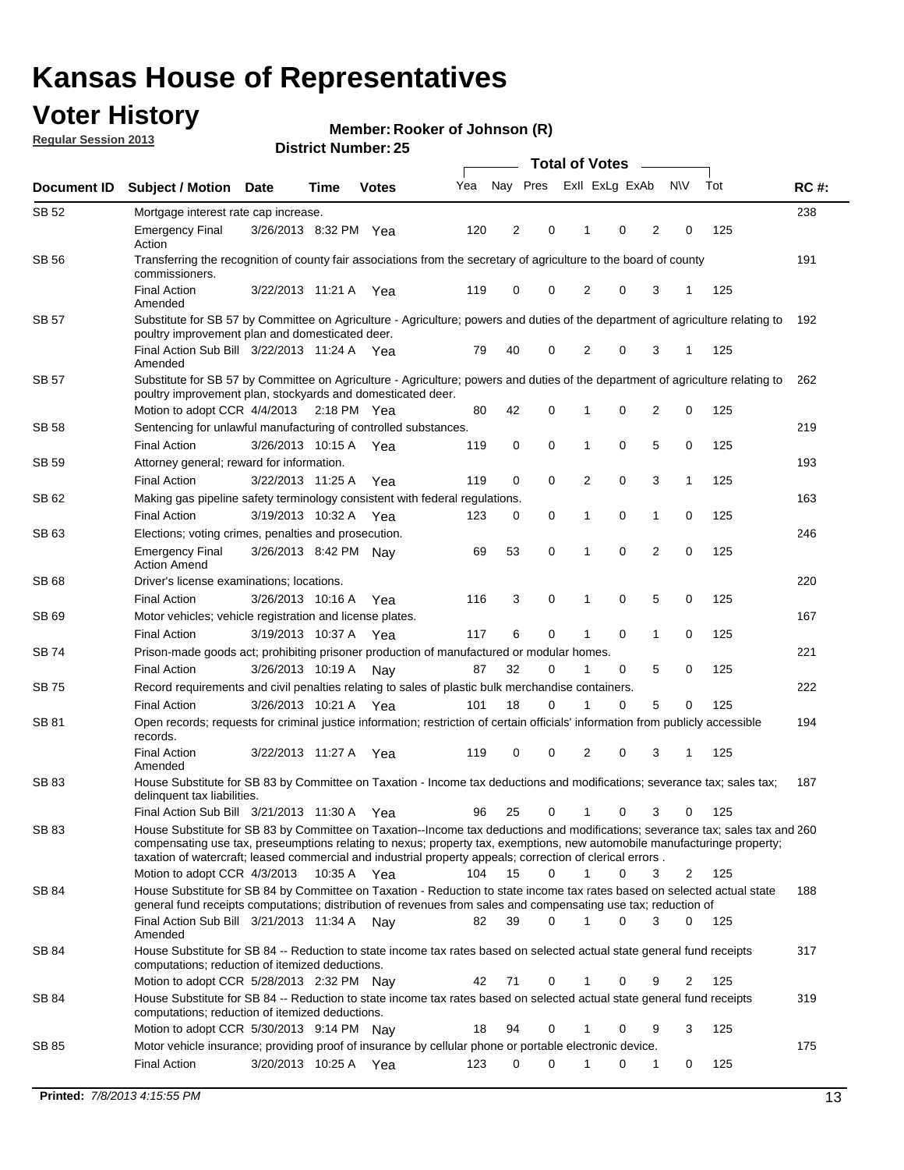## **Voter History**

**Member: Rooker of Johnson (R)** 

**Regular Session 2013**

|              |                                                                                                                                                                                                                                            |                       |             |              |     | <b>Total of Votes</b> |             |                |   |                |             |     |             |  |
|--------------|--------------------------------------------------------------------------------------------------------------------------------------------------------------------------------------------------------------------------------------------|-----------------------|-------------|--------------|-----|-----------------------|-------------|----------------|---|----------------|-------------|-----|-------------|--|
| Document ID  | <b>Subject / Motion Date</b>                                                                                                                                                                                                               |                       | Time        | <b>Votes</b> | Yea | Nay Pres              |             | Exll ExLg ExAb |   |                | <b>NV</b>   | Tot | <b>RC#:</b> |  |
| SB 52        | Mortgage interest rate cap increase.                                                                                                                                                                                                       |                       |             |              |     |                       |             |                |   |                |             |     | 238         |  |
|              | <b>Emergency Final</b><br>Action                                                                                                                                                                                                           | 3/26/2013 8:32 PM Yea |             |              | 120 | 2                     | 0           |                | 0 | 2              | 0           | 125 |             |  |
| SB 56        | Transferring the recognition of county fair associations from the secretary of agriculture to the board of county<br>commissioners.                                                                                                        |                       |             |              |     |                       |             |                |   |                |             |     | 191         |  |
|              | <b>Final Action</b><br>Amended                                                                                                                                                                                                             | 3/22/2013 11:21 A     |             | Yea          | 119 | 0                     | 0           | 2              | 0 | 3              | 1           | 125 |             |  |
| SB 57        | Substitute for SB 57 by Committee on Agriculture - Agriculture; powers and duties of the department of agriculture relating to                                                                                                             |                       |             |              |     |                       |             |                |   |                |             |     | 192         |  |
|              | poultry improvement plan and domesticated deer.<br>Final Action Sub Bill 3/22/2013 11:24 A Yea<br>Amended                                                                                                                                  |                       |             |              | 79  | 40                    | 0           | 2              | 0 | 3              | 1           | 125 |             |  |
| SB 57        | Substitute for SB 57 by Committee on Agriculture - Agriculture; powers and duties of the department of agriculture relating to<br>poultry improvement plan, stockyards and domesticated deer.                                              |                       |             |              |     |                       |             |                |   |                |             |     | 262         |  |
|              | Motion to adopt CCR 4/4/2013 2:18 PM Yea                                                                                                                                                                                                   |                       |             |              | 80  | 42                    | 0           | 1              | 0 | 2              | 0           | 125 |             |  |
| SB 58        | Sentencing for unlawful manufacturing of controlled substances.                                                                                                                                                                            |                       |             |              |     |                       |             |                |   |                |             |     | 219         |  |
|              | <b>Final Action</b>                                                                                                                                                                                                                        | 3/26/2013 10:15 A     |             | Yea          | 119 | 0                     | 0           | 1              | 0 | 5              | 0           | 125 |             |  |
| <b>SB 59</b> | Attorney general; reward for information.                                                                                                                                                                                                  |                       |             |              |     |                       |             |                |   |                |             |     | 193         |  |
|              | <b>Final Action</b>                                                                                                                                                                                                                        | 3/22/2013 11:25 A     |             | Yea          | 119 | 0                     | 0           | 2              | 0 | 3              | 1           | 125 |             |  |
| SB 62        | Making gas pipeline safety terminology consistent with federal regulations.                                                                                                                                                                |                       |             |              |     |                       |             |                |   |                |             |     | 163         |  |
|              | <b>Final Action</b>                                                                                                                                                                                                                        | 3/19/2013 10:32 A     |             | Yea          | 123 | 0                     | 0           | 1              | 0 | 1              | 0           | 125 |             |  |
| SB 63        | Elections; voting crimes, penalties and prosecution.                                                                                                                                                                                       |                       |             |              |     |                       |             |                |   |                |             |     | 246         |  |
|              | <b>Emergency Final</b><br><b>Action Amend</b>                                                                                                                                                                                              | 3/26/2013 8:42 PM Nay |             |              | 69  | 53                    | $\mathbf 0$ | 1              | 0 | $\overline{2}$ | $\mathbf 0$ | 125 |             |  |
| SB 68        | Driver's license examinations; locations.                                                                                                                                                                                                  |                       |             |              |     |                       |             |                |   |                |             |     | 220         |  |
|              | <b>Final Action</b>                                                                                                                                                                                                                        | 3/26/2013 10:16 A     |             | Yea          | 116 | 3                     | 0           | 1              | 0 | 5              | 0           | 125 |             |  |
| SB 69        | Motor vehicles; vehicle registration and license plates.                                                                                                                                                                                   |                       |             |              |     |                       |             |                |   |                |             |     | 167         |  |
|              | <b>Final Action</b>                                                                                                                                                                                                                        | 3/19/2013 10:37 A     |             | Yea          | 117 | 6                     | 0           | 1              | 0 | $\mathbf{1}$   | 0           | 125 |             |  |
| SB 74        | Prison-made goods act; prohibiting prisoner production of manufactured or modular homes.                                                                                                                                                   |                       |             |              |     |                       |             |                |   |                |             |     | 221         |  |
|              | <b>Final Action</b>                                                                                                                                                                                                                        | 3/26/2013 10:19 A     |             | Nay          | 87  | 32                    | 0           | 1              | 0 | 5              | 0           | 125 |             |  |
| SB 75        | Record requirements and civil penalties relating to sales of plastic bulk merchandise containers.                                                                                                                                          |                       |             |              |     |                       |             |                |   |                |             |     | 222         |  |
|              | <b>Final Action</b>                                                                                                                                                                                                                        | 3/26/2013 10:21 A     |             | Yea          | 101 | 18                    | 0           | 1              | 0 | 5              | 0           | 125 |             |  |
| SB 81        | Open records; requests for criminal justice information; restriction of certain officials' information from publicly accessible<br>records.                                                                                                |                       |             |              |     |                       |             |                |   |                |             |     | 194         |  |
|              | <b>Final Action</b><br>Amended                                                                                                                                                                                                             | 3/22/2013 11:27 A     |             | Yea          | 119 | 0                     | 0           | 2              | 0 | 3              | 1           | 125 |             |  |
| <b>SB83</b>  | House Substitute for SB 83 by Committee on Taxation - Income tax deductions and modifications; severance tax; sales tax;<br>delinquent tax liabilities.<br>Final Action Sub Bill 3/21/2013 11:30 A Yea                                     |                       |             |              | 96  | 25                    | 0           | 1              | 0 | 3              | 0           | 125 | 187         |  |
| SB 83        | House Substitute for SB 83 by Committee on Taxation--Income tax deductions and modifications; severance tax; sales tax and 260                                                                                                             |                       |             |              |     |                       |             |                |   |                |             |     |             |  |
|              | compensating use tax, preseumptions relating to nexus; property tax, exemptions, new automobile manufacturinge property;<br>taxation of watercraft; leased commercial and industrial property appeals; correction of clerical errors.      |                       |             |              |     |                       |             |                |   |                |             |     |             |  |
|              | Motion to adopt CCR 4/3/2013                                                                                                                                                                                                               |                       | 10:35 A Yea |              | 104 | 15                    | 0           | $\mathbf{1}$   | 0 | 3              | 2           | 125 |             |  |
| SB 84        | House Substitute for SB 84 by Committee on Taxation - Reduction to state income tax rates based on selected actual state<br>general fund receipts computations; distribution of revenues from sales and compensating use tax; reduction of |                       |             |              |     |                       |             |                |   |                |             |     | 188         |  |
| SB 84        | Final Action Sub Bill 3/21/2013 11:34 A Nay<br>Amended                                                                                                                                                                                     |                       |             |              | 82  | 39                    | $\Omega$    |                | 0 | 3              | $\Omega$    | 125 | 317         |  |
|              | House Substitute for SB 84 -- Reduction to state income tax rates based on selected actual state general fund receipts<br>computations; reduction of itemized deductions.<br>Motion to adopt CCR 5/28/2013 2:32 PM Nav                     |                       |             |              | 42  | 71                    | 0           |                | 0 | 9              | 2           | 125 |             |  |
| SB 84        | House Substitute for SB 84 -- Reduction to state income tax rates based on selected actual state general fund receipts                                                                                                                     |                       |             |              |     |                       |             |                |   |                |             |     | 319         |  |
|              | computations; reduction of itemized deductions.<br>Motion to adopt CCR 5/30/2013 9:14 PM Nay                                                                                                                                               |                       |             |              | 18  | 94                    | 0           |                | 0 | 9              | 3           | 125 |             |  |
| SB 85        | Motor vehicle insurance; providing proof of insurance by cellular phone or portable electronic device.                                                                                                                                     |                       |             |              |     |                       |             |                |   |                |             |     | 175         |  |
|              | <b>Final Action</b>                                                                                                                                                                                                                        | 3/20/2013 10:25 A Yea |             |              | 123 | 0                     | $\Omega$    |                | 0 | 1              | 0           | 125 |             |  |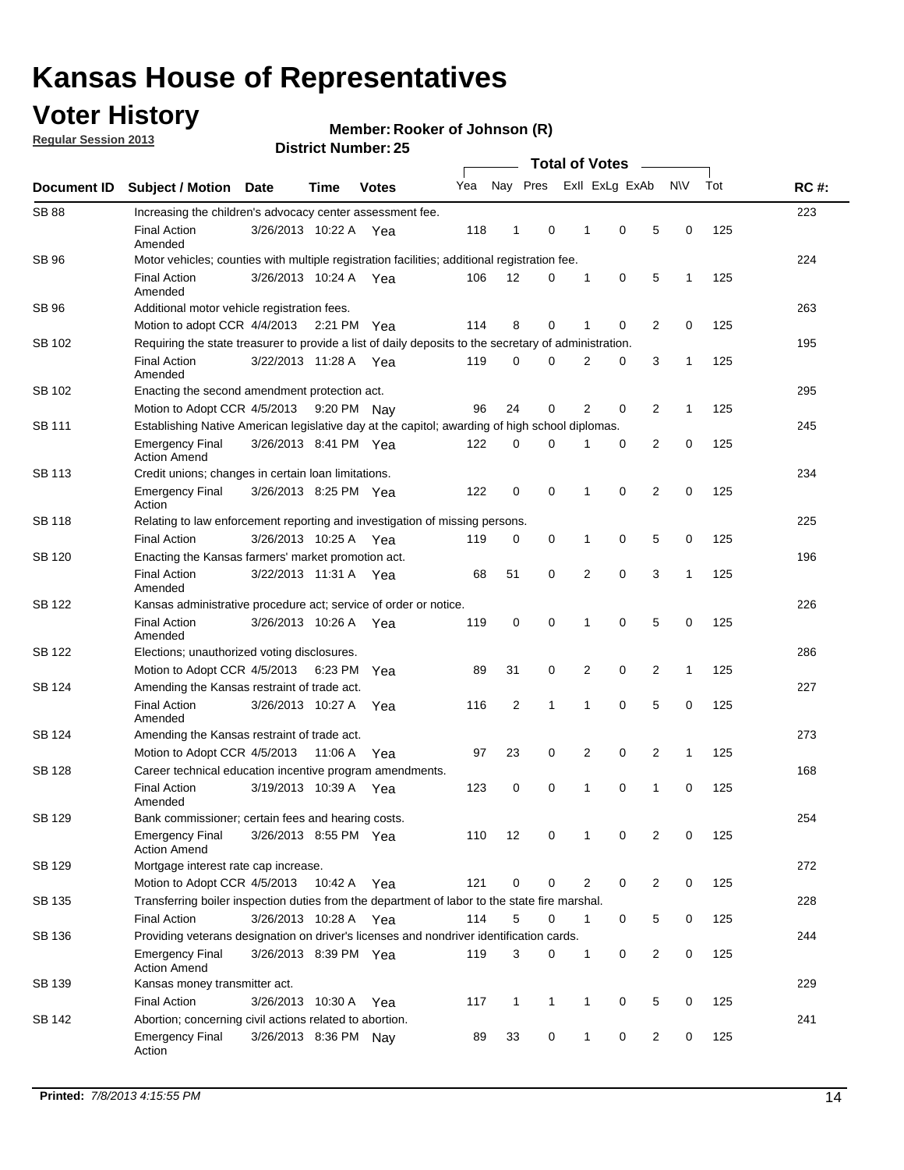## **Voter History**

**Regular Session 2013**

**Member: Rooker of Johnson (R)** 

|                    |                                                                                                       | PIJU IVI INUHIDGI . ZJ |             |              | <b>Total of Votes</b> |              |              |  |                |                |                |              |     |             |
|--------------------|-------------------------------------------------------------------------------------------------------|------------------------|-------------|--------------|-----------------------|--------------|--------------|--|----------------|----------------|----------------|--------------|-----|-------------|
| <b>Document ID</b> | <b>Subject / Motion</b>                                                                               | Date                   | <b>Time</b> | <b>Votes</b> | Yea                   |              | Nay Pres     |  |                | Exll ExLg ExAb |                | <b>NV</b>    | Tot | <b>RC#:</b> |
| <b>SB 88</b>       | Increasing the children's advocacy center assessment fee.                                             |                        |             |              |                       |              |              |  |                |                |                |              |     | 223         |
|                    | <b>Final Action</b><br>Amended                                                                        | 3/26/2013 10:22 A Yea  |             |              | 118                   | 1            | 0            |  | $\mathbf 1$    | 0              | 5              | 0            | 125 |             |
| SB 96              | Motor vehicles; counties with multiple registration facilities; additional registration fee.          |                        |             |              |                       |              |              |  |                |                |                |              |     | 224         |
|                    | <b>Final Action</b><br>Amended                                                                        | 3/26/2013 10:24 A      |             | Yea          | 106                   | 12           | 0            |  | 1              | 0              | 5              | 1            | 125 |             |
| SB 96              | Additional motor vehicle registration fees.                                                           |                        |             |              |                       |              |              |  |                |                |                |              |     | 263         |
|                    | Motion to adopt CCR 4/4/2013 2:21 PM Yea                                                              |                        |             |              | 114                   | 8            | 0            |  | 1              | 0              | $\overline{2}$ | 0            | 125 |             |
| SB 102             | Requiring the state treasurer to provide a list of daily deposits to the secretary of administration. |                        |             |              |                       |              |              |  |                |                |                |              |     | 195         |
|                    | <b>Final Action</b><br>Amended                                                                        | 3/22/2013 11:28 A Yea  |             |              | 119                   | 0            | 0            |  | 2              | 0              | 3              | 1            | 125 |             |
| SB 102             | Enacting the second amendment protection act.                                                         |                        |             |              |                       |              |              |  |                |                |                |              |     | 295         |
|                    | Motion to Adopt CCR 4/5/2013                                                                          |                        | 9:20 PM Nay |              | 96                    | 24           | 0            |  | 2              | $\mathbf 0$    | 2              | 1            | 125 |             |
| SB 111             | Establishing Native American legislative day at the capitol; awarding of high school diplomas.        |                        |             |              |                       |              |              |  |                |                |                |              |     | 245         |
|                    | <b>Emergency Final</b><br><b>Action Amend</b>                                                         | 3/26/2013 8:41 PM Yea  |             |              | 122                   | 0            | $\Omega$     |  | 1              | 0              | $\overline{2}$ | 0            | 125 |             |
| SB 113             | Credit unions; changes in certain loan limitations.                                                   |                        |             |              |                       |              |              |  |                |                |                |              |     | 234         |
|                    | <b>Emergency Final</b><br>Action                                                                      | 3/26/2013 8:25 PM Yea  |             |              | 122                   | 0            | 0            |  | 1              | $\mathbf 0$    | 2              | 0            | 125 |             |
| <b>SB 118</b>      | Relating to law enforcement reporting and investigation of missing persons.                           |                        |             |              |                       |              |              |  |                |                |                |              |     | 225         |
|                    | <b>Final Action</b>                                                                                   | 3/26/2013 10:25 A Yea  |             |              | 119                   | 0            | 0            |  | 1              | $\mathbf 0$    | 5              | 0            | 125 |             |
| SB 120             | Enacting the Kansas farmers' market promotion act.                                                    |                        |             |              |                       |              |              |  |                |                |                |              |     | 196         |
|                    | <b>Final Action</b><br>Amended                                                                        | 3/22/2013 11:31 A Yea  |             |              | 68                    | 51           | 0            |  | 2              | $\mathbf 0$    | 3              | 1            | 125 |             |
| SB 122             | Kansas administrative procedure act; service of order or notice.                                      |                        |             |              |                       |              |              |  |                |                |                |              |     | 226         |
|                    | <b>Final Action</b><br>Amended                                                                        | 3/26/2013 10:26 A Yea  |             |              | 119                   | 0            | 0            |  | 1              | $\mathbf 0$    | 5              | 0            | 125 |             |
| SB 122             | Elections; unauthorized voting disclosures.                                                           |                        |             |              |                       |              |              |  |                |                |                |              |     | 286         |
|                    | Motion to Adopt CCR 4/5/2013                                                                          |                        | 6:23 PM     | Yea          | 89                    | 31           | 0            |  | 2              | 0              | 2              | $\mathbf{1}$ | 125 |             |
| SB 124             | Amending the Kansas restraint of trade act.                                                           |                        |             |              |                       |              |              |  |                |                |                |              |     | 227         |
|                    | <b>Final Action</b><br>Amended                                                                        | 3/26/2013 10:27 A      |             | Yea          | 116                   | 2            | 1            |  | 1              | $\mathbf 0$    | 5              | 0            | 125 |             |
| SB 124             | Amending the Kansas restraint of trade act.                                                           |                        |             |              |                       |              |              |  |                |                |                |              |     | 273         |
|                    | Motion to Adopt CCR 4/5/2013                                                                          |                        | 11:06 A     | Yea          | 97                    | 23           | 0            |  | 2              | $\mathbf 0$    | $\overline{2}$ | 1            | 125 |             |
| SB 128             | Career technical education incentive program amendments.                                              |                        |             |              |                       |              |              |  |                |                |                |              |     | 168         |
|                    | <b>Final Action</b><br>Amended                                                                        | 3/19/2013 10:39 A      |             | Yea          | 123                   | 0            | 0            |  | 1              | 0              | 1              | 0            | 125 |             |
| SB 129             | Bank commissioner; certain fees and hearing costs.                                                    |                        |             |              |                       |              |              |  |                |                |                |              |     | 254         |
|                    | <b>Emergency Final</b><br><b>Action Amend</b>                                                         | 3/26/2013 8:55 PM Yea  |             |              | 110                   | 12           | 0            |  | 1              | 0              | 2              | 0            | 125 |             |
| SB 129             | Mortgage interest rate cap increase.                                                                  |                        |             |              |                       |              |              |  |                |                |                |              |     | 272         |
|                    | Motion to Adopt CCR 4/5/2013                                                                          |                        | 10:42 A Yea |              | 121                   | $\mathbf 0$  | 0            |  | $\overline{2}$ | 0              | 2              | 0            | 125 |             |
| SB 135             | Transferring boiler inspection duties from the department of labor to the state fire marshal.         |                        |             |              |                       |              |              |  |                |                |                |              |     | 228         |
|                    | Final Action                                                                                          | 3/26/2013 10:28 A Yea  |             |              | 114                   | 5            | 0            |  | $\mathbf 1$    | 0              | 5              | 0            | 125 |             |
| SB 136             | Providing veterans designation on driver's licenses and nondriver identification cards.               |                        |             |              |                       |              |              |  |                |                |                |              |     | 244         |
|                    | <b>Emergency Final</b><br><b>Action Amend</b>                                                         | 3/26/2013 8:39 PM Yea  |             |              | 119                   | 3            | 0            |  | 1              | 0              | 2              | 0            | 125 |             |
| SB 139             | Kansas money transmitter act.                                                                         |                        |             |              |                       |              |              |  |                |                |                |              |     | 229         |
|                    | <b>Final Action</b>                                                                                   | 3/26/2013 10:30 A Yea  |             |              | 117                   | $\mathbf{1}$ | $\mathbf{1}$ |  | 1              | 0              | 5              | 0            | 125 |             |
| SB 142             | Abortion; concerning civil actions related to abortion.                                               |                        |             |              |                       |              |              |  |                |                |                |              |     | 241         |
|                    | Emergency Final<br>Action                                                                             | 3/26/2013 8:36 PM Nay  |             |              | 89                    | 33           | 0            |  | $\mathbf 1$    | 0              | $\overline{2}$ | 0            | 125 |             |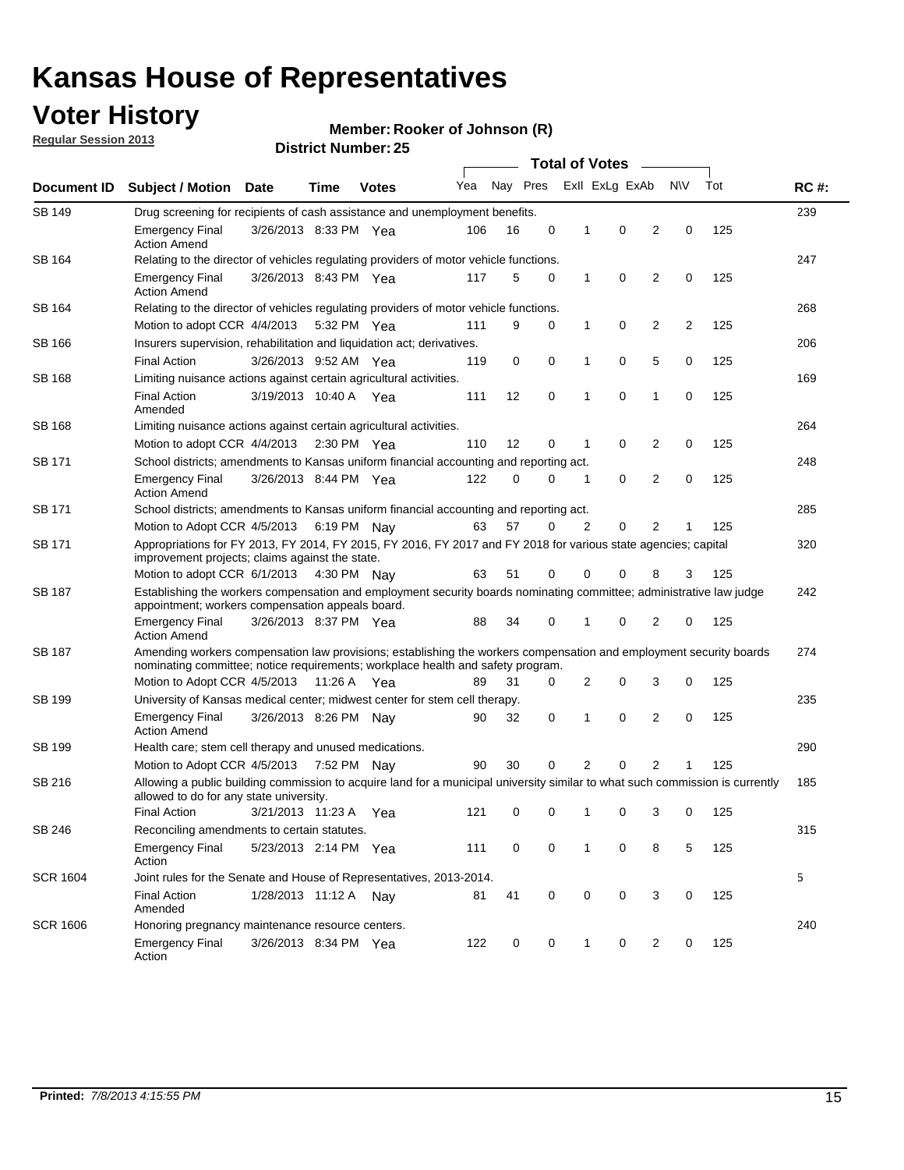## **Voter History**

**Member: Rooker of Johnson (R)** 

**Regular Session 2013**

|                 |                                                                                                                                                                                                       |                                                                                       |                       |              | <b>Total of Votes</b><br>$\overline{\phantom{a}}$ |          |   |                |                |                |     |     |             |  |  |  |  |  |  |  |
|-----------------|-------------------------------------------------------------------------------------------------------------------------------------------------------------------------------------------------------|---------------------------------------------------------------------------------------|-----------------------|--------------|---------------------------------------------------|----------|---|----------------|----------------|----------------|-----|-----|-------------|--|--|--|--|--|--|--|
| Document ID     | <b>Subject / Motion</b>                                                                                                                                                                               | Date                                                                                  | Time                  | <b>Votes</b> | Yea                                               | Nay Pres |   |                | Exll ExLg ExAb |                | N\V | Tot | <b>RC#:</b> |  |  |  |  |  |  |  |
| <b>SB 149</b>   | Drug screening for recipients of cash assistance and unemployment benefits.                                                                                                                           |                                                                                       |                       |              |                                                   |          |   |                |                |                |     |     | 239         |  |  |  |  |  |  |  |
|                 | <b>Emergency Final</b><br><b>Action Amend</b>                                                                                                                                                         | 3/26/2013 8:33 PM Yea                                                                 |                       |              | 106                                               | 16       | 0 | 1              | 0              | 2              | 0   | 125 |             |  |  |  |  |  |  |  |
| SB 164          |                                                                                                                                                                                                       | Relating to the director of vehicles regulating providers of motor vehicle functions. |                       |              |                                                   |          |   |                |                |                |     |     |             |  |  |  |  |  |  |  |
|                 | <b>Emergency Final</b><br><b>Action Amend</b>                                                                                                                                                         | 3/26/2013 8:43 PM Yea                                                                 |                       |              | 117                                               | 5        | 0 | $\mathbf{1}$   | 0              | 2              | 0   | 125 |             |  |  |  |  |  |  |  |
| SB 164          | Relating to the director of vehicles regulating providers of motor vehicle functions.                                                                                                                 |                                                                                       |                       |              |                                                   |          |   |                |                |                |     |     | 268         |  |  |  |  |  |  |  |
|                 | Motion to adopt CCR 4/4/2013 5:32 PM Yea                                                                                                                                                              |                                                                                       |                       |              | 111                                               | 9        | 0 | $\mathbf{1}$   | 0              | 2              | 2   | 125 |             |  |  |  |  |  |  |  |
| SB 166          | Insurers supervision, rehabilitation and liquidation act; derivatives.                                                                                                                                |                                                                                       |                       |              |                                                   |          |   |                |                |                |     |     | 206         |  |  |  |  |  |  |  |
|                 | <b>Final Action</b>                                                                                                                                                                                   | 3/26/2013 9:52 AM Yea                                                                 |                       |              | 119                                               | 0        | 0 | 1              | 0              | 5              | 0   | 125 |             |  |  |  |  |  |  |  |
| <b>SB 168</b>   | Limiting nuisance actions against certain agricultural activities.                                                                                                                                    |                                                                                       |                       |              |                                                   |          |   |                |                |                |     |     | 169         |  |  |  |  |  |  |  |
|                 | <b>Final Action</b><br>Amended                                                                                                                                                                        | 3/19/2013 10:40 A Yea                                                                 |                       |              | 111                                               | 12       | 0 | 1              | 0              | 1              | 0   | 125 |             |  |  |  |  |  |  |  |
| <b>SB 168</b>   | Limiting nuisance actions against certain agricultural activities.                                                                                                                                    |                                                                                       |                       |              |                                                   |          |   |                |                |                |     |     | 264         |  |  |  |  |  |  |  |
|                 | Motion to adopt CCR 4/4/2013                                                                                                                                                                          |                                                                                       | $2:30 \text{ PM}$ Yea |              | 110                                               | 12       | 0 | 1              | 0              | 2              | 0   | 125 |             |  |  |  |  |  |  |  |
| SB 171          | School districts; amendments to Kansas uniform financial accounting and reporting act.                                                                                                                |                                                                                       |                       |              |                                                   |          |   |                |                |                |     |     | 248         |  |  |  |  |  |  |  |
|                 | <b>Emergency Final</b><br><b>Action Amend</b>                                                                                                                                                         | 3/26/2013 8:44 PM Yea                                                                 |                       |              | 122                                               | 0        | 0 | 1              | 0              | 2              | 0   | 125 |             |  |  |  |  |  |  |  |
| SB 171          | School districts; amendments to Kansas uniform financial accounting and reporting act.                                                                                                                |                                                                                       |                       |              |                                                   |          |   |                |                |                |     |     | 285         |  |  |  |  |  |  |  |
|                 | Motion to Adopt CCR 4/5/2013 6:19 PM Nay                                                                                                                                                              |                                                                                       |                       |              | 63                                                | 57       | 0 | $\overline{2}$ | 0              | 2              | 1   | 125 |             |  |  |  |  |  |  |  |
| SB 171          | Appropriations for FY 2013, FY 2014, FY 2015, FY 2016, FY 2017 and FY 2018 for various state agencies; capital<br>improvement projects; claims against the state.                                     |                                                                                       |                       |              |                                                   |          |   |                |                |                |     | 125 | 320         |  |  |  |  |  |  |  |
|                 | Motion to adopt CCR 6/1/2013 4:30 PM Nay                                                                                                                                                              |                                                                                       |                       |              | 63                                                | 51       | 0 | 0              | 0              | 8              | 3   |     |             |  |  |  |  |  |  |  |
| SB 187          | Establishing the workers compensation and employment security boards nominating committee; administrative law judge<br>appointment; workers compensation appeals board.                               |                                                                                       |                       |              |                                                   |          |   |                |                |                |     |     | 242         |  |  |  |  |  |  |  |
|                 | <b>Emergency Final</b><br><b>Action Amend</b>                                                                                                                                                         | 3/26/2013 8:37 PM Yea                                                                 |                       |              | 88                                                | 34       | 0 |                | 0              | 2              | 0   | 125 |             |  |  |  |  |  |  |  |
| SB 187          | Amending workers compensation law provisions; establishing the workers compensation and employment security boards<br>nominating committee; notice requirements; workplace health and safety program. |                                                                                       |                       |              |                                                   |          |   |                |                |                |     |     | 274         |  |  |  |  |  |  |  |
|                 | Motion to Adopt CCR 4/5/2013 11:26 A Yea                                                                                                                                                              |                                                                                       |                       |              | 89                                                | 31       | 0 | 2              | 0              | 3              | 0   | 125 |             |  |  |  |  |  |  |  |
| SB 199          | University of Kansas medical center; midwest center for stem cell therapy.                                                                                                                            |                                                                                       |                       |              |                                                   |          |   |                |                |                |     |     | 235         |  |  |  |  |  |  |  |
|                 | <b>Emergency Final</b><br><b>Action Amend</b>                                                                                                                                                         | 3/26/2013 8:26 PM Nav                                                                 |                       |              | 90                                                | 32       | 0 | 1              | 0              | 2              | 0   | 125 |             |  |  |  |  |  |  |  |
| SB 199          | Health care; stem cell therapy and unused medications.                                                                                                                                                |                                                                                       |                       |              |                                                   |          |   |                |                |                |     |     | 290         |  |  |  |  |  |  |  |
|                 | Motion to Adopt CCR 4/5/2013 7:52 PM Nay                                                                                                                                                              |                                                                                       |                       |              | 90                                                | 30       | 0 | 2              | 0              | 2              | 1   | 125 |             |  |  |  |  |  |  |  |
| SB 216          | Allowing a public building commission to acquire land for a municipal university similar to what such commission is currently<br>allowed to do for any state university.                              |                                                                                       |                       |              |                                                   |          |   |                |                |                |     |     | 185         |  |  |  |  |  |  |  |
|                 | <b>Final Action</b>                                                                                                                                                                                   | 3/21/2013 11:23 A                                                                     |                       | Yea          | 121                                               | 0        | 0 | 1              | 0              | 3              | 0   | 125 |             |  |  |  |  |  |  |  |
| SB 246          | Reconciling amendments to certain statutes.                                                                                                                                                           |                                                                                       |                       |              |                                                   |          |   |                |                |                |     |     | 315         |  |  |  |  |  |  |  |
|                 | <b>Emergency Final</b><br>Action                                                                                                                                                                      | 5/23/2013 2:14 PM Yea                                                                 |                       |              | 111                                               | 0        | 0 | $\mathbf 1$    | 0              | 8              | 5   | 125 |             |  |  |  |  |  |  |  |
| <b>SCR 1604</b> | Joint rules for the Senate and House of Representatives, 2013-2014.                                                                                                                                   |                                                                                       |                       |              |                                                   |          |   |                |                |                |     |     | 5           |  |  |  |  |  |  |  |
|                 | <b>Final Action</b><br>Amended                                                                                                                                                                        | 1/28/2013 11:12 A Nay                                                                 |                       |              | 81                                                | 41       | 0 | 0              | 0              | 3              | 0   | 125 |             |  |  |  |  |  |  |  |
| <b>SCR 1606</b> | Honoring pregnancy maintenance resource centers.                                                                                                                                                      |                                                                                       |                       |              |                                                   |          |   |                |                |                |     |     | 240         |  |  |  |  |  |  |  |
|                 | Emergency Final<br>Action                                                                                                                                                                             | 3/26/2013 8:34 PM Yea                                                                 |                       |              | 122                                               | 0        | 0 | 1              | 0              | $\overline{2}$ | 0   | 125 |             |  |  |  |  |  |  |  |